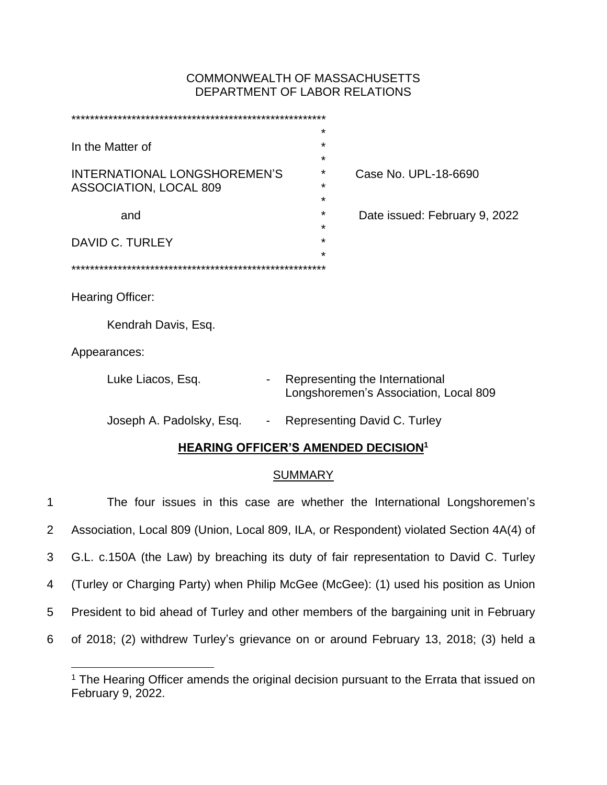# COMMONWEALTH OF MASSACHUSETTS DEPARTMENT OF LABOR RELATIONS

|                                     |   | ¥                                                                       |  |  |  |  |
|-------------------------------------|---|-------------------------------------------------------------------------|--|--|--|--|
| In the Matter of                    |   | $\star$                                                                 |  |  |  |  |
|                                     |   | $\star$                                                                 |  |  |  |  |
| <b>INTERNATIONAL LONGSHOREMEN'S</b> |   | *<br>Case No. UPL-18-6690                                               |  |  |  |  |
| ASSOCIATION, LOCAL 809              |   | $\star$                                                                 |  |  |  |  |
|                                     |   | *                                                                       |  |  |  |  |
| and                                 |   | $\star$<br>Date issued: February 9, 2022                                |  |  |  |  |
|                                     |   | $\star$<br>$\star$                                                      |  |  |  |  |
| DAVID C. TURLEY                     |   | $\star$                                                                 |  |  |  |  |
|                                     |   |                                                                         |  |  |  |  |
|                                     |   |                                                                         |  |  |  |  |
| Hearing Officer:                    |   |                                                                         |  |  |  |  |
|                                     |   |                                                                         |  |  |  |  |
| Kendrah Davis, Esq.                 |   |                                                                         |  |  |  |  |
|                                     |   |                                                                         |  |  |  |  |
| Appearances:                        |   |                                                                         |  |  |  |  |
|                                     |   |                                                                         |  |  |  |  |
| Luke Liacos, Esq.                   |   | Representing the International<br>Longshoremen's Association, Local 809 |  |  |  |  |
|                                     |   |                                                                         |  |  |  |  |
| Joseph A. Padolsky, Esq.            | ۰ | Representing David C. Turley                                            |  |  |  |  |
|                                     |   |                                                                         |  |  |  |  |

# **HEARING OFFICER'S AMENDED DECISION<sup>1</sup>**

## SUMMARY

 The four issues in this case are whether the International Longshoremen's Association, Local 809 (Union, Local 809, ILA, or Respondent) violated Section 4A(4) of G.L. c.150A (the Law) by breaching its duty of fair representation to David C. Turley (Turley or Charging Party) when Philip McGee (McGee): (1) used his position as Union President to bid ahead of Turley and other members of the bargaining unit in February of 2018; (2) withdrew Turley's grievance on or around February 13, 2018; (3) held a

 $1$  The Hearing Officer amends the original decision pursuant to the Errata that issued on February 9, 2022.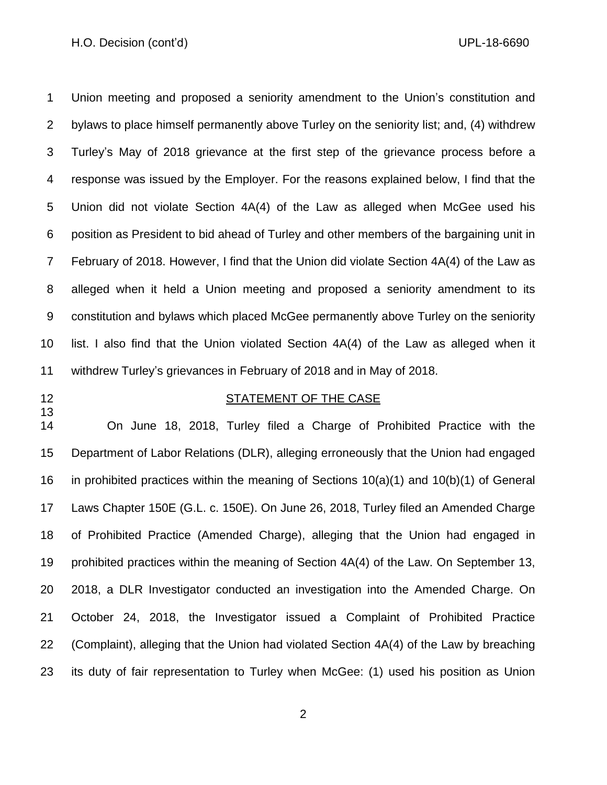#### H.O. Decision (cont'd) UPL-18-6690

 Union meeting and proposed a seniority amendment to the Union's constitution and bylaws to place himself permanently above Turley on the seniority list; and, (4) withdrew Turley's May of 2018 grievance at the first step of the grievance process before a response was issued by the Employer. For the reasons explained below, I find that the Union did not violate Section 4A(4) of the Law as alleged when McGee used his position as President to bid ahead of Turley and other members of the bargaining unit in February of 2018. However, I find that the Union did violate Section 4A(4) of the Law as alleged when it held a Union meeting and proposed a seniority amendment to its constitution and bylaws which placed McGee permanently above Turley on the seniority list. I also find that the Union violated Section 4A(4) of the Law as alleged when it withdrew Turley's grievances in February of 2018 and in May of 2018.

## 12 STATEMENT OF THE CASE

 On June 18, 2018, Turley filed a Charge of Prohibited Practice with the Department of Labor Relations (DLR), alleging erroneously that the Union had engaged in prohibited practices within the meaning of Sections 10(a)(1) and 10(b)(1) of General Laws Chapter 150E (G.L. c. 150E). On June 26, 2018, Turley filed an Amended Charge of Prohibited Practice (Amended Charge), alleging that the Union had engaged in prohibited practices within the meaning of Section 4A(4) of the Law. On September 13, 2018, a DLR Investigator conducted an investigation into the Amended Charge. On October 24, 2018, the Investigator issued a Complaint of Prohibited Practice (Complaint), alleging that the Union had violated Section 4A(4) of the Law by breaching its duty of fair representation to Turley when McGee: (1) used his position as Union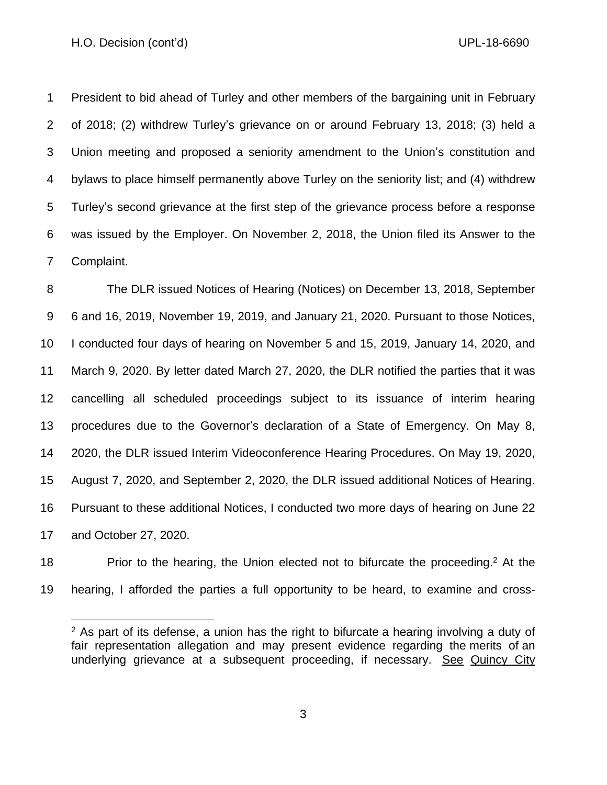President to bid ahead of Turley and other members of the bargaining unit in February of 2018; (2) withdrew Turley's grievance on or around February 13, 2018; (3) held a Union meeting and proposed a seniority amendment to the Union's constitution and bylaws to place himself permanently above Turley on the seniority list; and (4) withdrew Turley's second grievance at the first step of the grievance process before a response was issued by the Employer. On November 2, 2018, the Union filed its Answer to the Complaint.

 The DLR issued Notices of Hearing (Notices) on December 13, 2018, September 6 and 16, 2019, November 19, 2019, and January 21, 2020. Pursuant to those Notices, I conducted four days of hearing on November 5 and 15, 2019, January 14, 2020, and March 9, 2020. By letter dated March 27, 2020, the DLR notified the parties that it was cancelling all scheduled proceedings subject to its issuance of interim hearing procedures due to the Governor's declaration of a State of Emergency. On May 8, 2020, the DLR issued Interim Videoconference Hearing Procedures. On May 19, 2020, August 7, 2020, and September 2, 2020, the DLR issued additional Notices of Hearing. Pursuant to these additional Notices, I conducted two more days of hearing on June 22 and October 27, 2020.

18 Prior to the hearing, the Union elected not to bifurcate the proceeding.<sup>2</sup> At the hearing, I afforded the parties a full opportunity to be heard, to examine and cross-

 As part of its defense, a union has the right to bifurcate a hearing involving a duty of fair representation allegation and may present evidence regarding the merits of an underlying grievance at a subsequent proceeding, if necessary. See Quincy City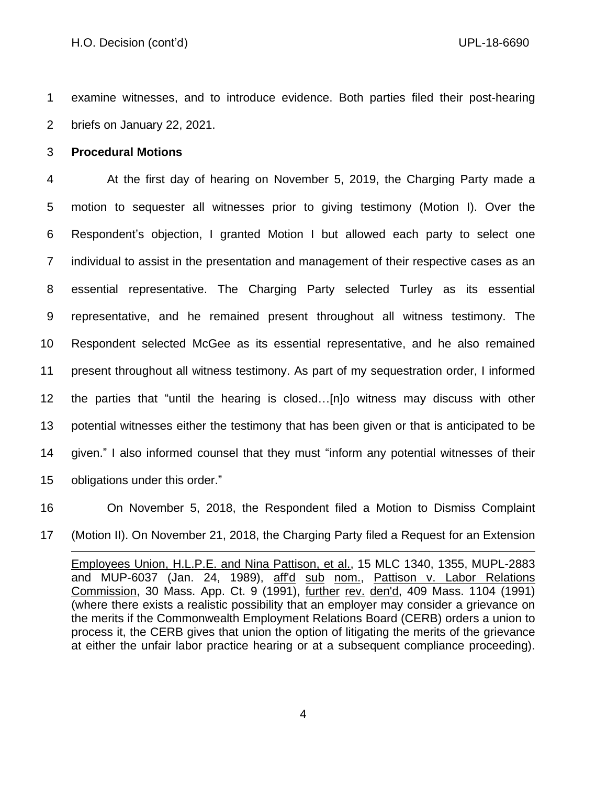examine witnesses, and to introduce evidence. Both parties filed their post-hearing briefs on January 22, 2021.

#### **Procedural Motions**

 At the first day of hearing on November 5, 2019, the Charging Party made a motion to sequester all witnesses prior to giving testimony (Motion I). Over the Respondent's objection, I granted Motion I but allowed each party to select one individual to assist in the presentation and management of their respective cases as an essential representative. The Charging Party selected Turley as its essential representative, and he remained present throughout all witness testimony. The Respondent selected McGee as its essential representative, and he also remained present throughout all witness testimony. As part of my sequestration order, I informed the parties that "until the hearing is closed…[n]o witness may discuss with other potential witnesses either the testimony that has been given or that is anticipated to be given." I also informed counsel that they must "inform any potential witnesses of their obligations under this order."

On November 5, 2018, the Respondent filed a Motion to Dismiss Complaint

(Motion II). On November 21, 2018, the Charging Party filed a Request for an Extension

Employees Union, H.L.P.E. and Nina Pattison, et al., 15 MLC 1340, 1355, MUPL-2883 and MUP-6037 (Jan. 24, 1989), aff'd sub nom., Pattison v. Labor Relations Commission, [30 Mass. App. Ct. 9](http://sll.gvpi.net/document.php?field=jd&value=sjcapp:30_mass._app._ct._9) (1991), further rev. den'd, 409 Mass. 1104 (1991) (where there exists a realistic possibility that an employer may consider a grievance on the merits if the Commonwealth Employment Relations Board (CERB) orders a union to process it, the CERB gives that union the option of litigating the merits of the grievance at either the unfair labor practice hearing or at a subsequent compliance proceeding).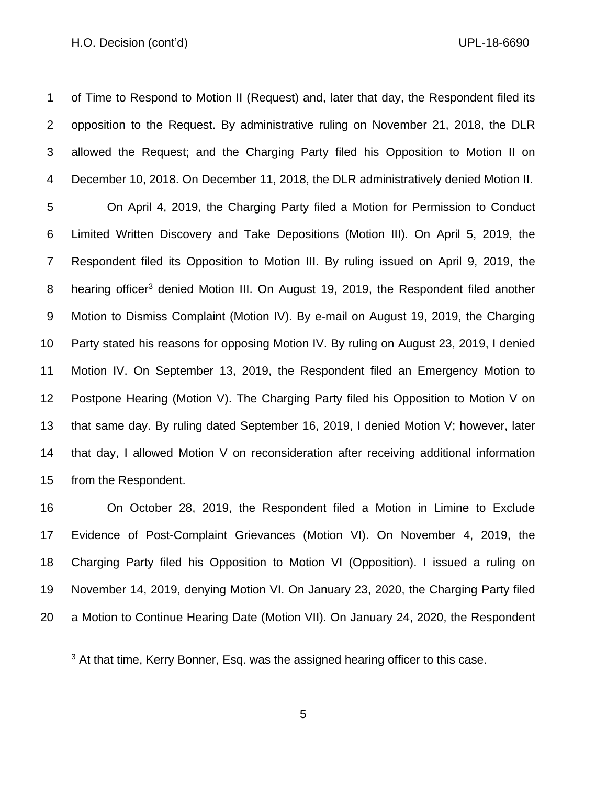#### H.O. Decision (cont'd) UPL-18-6690

 of Time to Respond to Motion II (Request) and, later that day, the Respondent filed its opposition to the Request. By administrative ruling on November 21, 2018, the DLR allowed the Request; and the Charging Party filed his Opposition to Motion II on December 10, 2018. On December 11, 2018, the DLR administratively denied Motion II.

 On April 4, 2019, the Charging Party filed a Motion for Permission to Conduct Limited Written Discovery and Take Depositions (Motion III). On April 5, 2019, the Respondent filed its Opposition to Motion III. By ruling issued on April 9, 2019, the 8 hearing officer<sup>3</sup> denied Motion III. On August 19, 2019, the Respondent filed another Motion to Dismiss Complaint (Motion IV). By e-mail on August 19, 2019, the Charging Party stated his reasons for opposing Motion IV. By ruling on August 23, 2019, I denied Motion IV. On September 13, 2019, the Respondent filed an Emergency Motion to Postpone Hearing (Motion V). The Charging Party filed his Opposition to Motion V on that same day. By ruling dated September 16, 2019, I denied Motion V; however, later that day, I allowed Motion V on reconsideration after receiving additional information from the Respondent.

 On October 28, 2019, the Respondent filed a Motion in Limine to Exclude Evidence of Post-Complaint Grievances (Motion VI). On November 4, 2019, the Charging Party filed his Opposition to Motion VI (Opposition). I issued a ruling on November 14, 2019, denying Motion VI. On January 23, 2020, the Charging Party filed a Motion to Continue Hearing Date (Motion VII). On January 24, 2020, the Respondent

<sup>&</sup>lt;sup>3</sup> At that time, Kerry Bonner, Esq. was the assigned hearing officer to this case.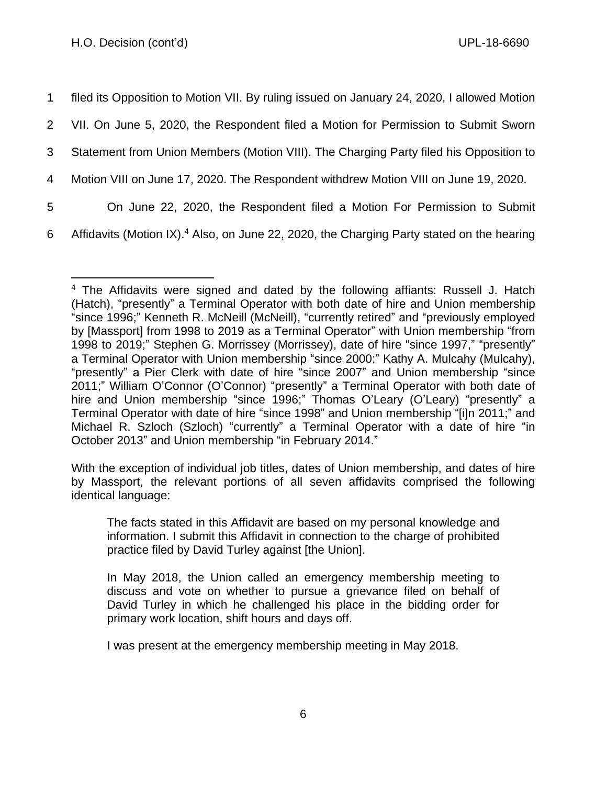filed its Opposition to Motion VII. By ruling issued on January 24, 2020, I allowed Motion VII. On June 5, 2020, the Respondent filed a Motion for Permission to Submit Sworn Statement from Union Members (Motion VIII). The Charging Party filed his Opposition to Motion VIII on June 17, 2020. The Respondent withdrew Motion VIII on June 19, 2020. On June 22, 2020, the Respondent filed a Motion For Permission to Submit

6 Affidavits (Motion IX).<sup>4</sup> Also, on June 22, 2020, the Charging Party stated on the hearing

With the exception of individual job titles, dates of Union membership, and dates of hire by Massport, the relevant portions of all seven affidavits comprised the following identical language:

The facts stated in this Affidavit are based on my personal knowledge and information. I submit this Affidavit in connection to the charge of prohibited practice filed by David Turley against [the Union].

In May 2018, the Union called an emergency membership meeting to discuss and vote on whether to pursue a grievance filed on behalf of David Turley in which he challenged his place in the bidding order for primary work location, shift hours and days off.

I was present at the emergency membership meeting in May 2018.

<sup>4</sup> The Affidavits were signed and dated by the following affiants: Russell J. Hatch (Hatch), "presently" a Terminal Operator with both date of hire and Union membership "since 1996;" Kenneth R. McNeill (McNeill), "currently retired" and "previously employed by [Massport] from 1998 to 2019 as a Terminal Operator" with Union membership "from 1998 to 2019;" Stephen G. Morrissey (Morrissey), date of hire "since 1997," "presently" a Terminal Operator with Union membership "since 2000;" Kathy A. Mulcahy (Mulcahy), "presently" a Pier Clerk with date of hire "since 2007" and Union membership "since 2011;" William O'Connor (O'Connor) "presently" a Terminal Operator with both date of hire and Union membership "since 1996;" Thomas O'Leary (O'Leary) "presently" a Terminal Operator with date of hire "since 1998" and Union membership "[i]n 2011;" and Michael R. Szloch (Szloch) "currently" a Terminal Operator with a date of hire "in October 2013" and Union membership "in February 2014."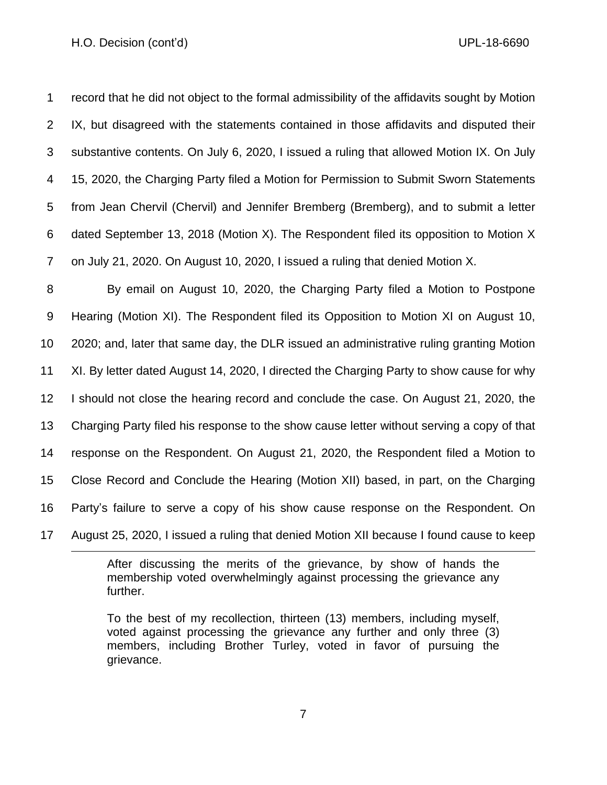#### H.O. Decision (cont'd) UPL-18-6690

 record that he did not object to the formal admissibility of the affidavits sought by Motion IX, but disagreed with the statements contained in those affidavits and disputed their substantive contents. On July 6, 2020, I issued a ruling that allowed Motion IX. On July 15, 2020, the Charging Party filed a Motion for Permission to Submit Sworn Statements from Jean Chervil (Chervil) and Jennifer Bremberg (Bremberg), and to submit a letter dated September 13, 2018 (Motion X). The Respondent filed its opposition to Motion X on July 21, 2020. On August 10, 2020, I issued a ruling that denied Motion X.

 By email on August 10, 2020, the Charging Party filed a Motion to Postpone Hearing (Motion XI). The Respondent filed its Opposition to Motion XI on August 10, 2020; and, later that same day, the DLR issued an administrative ruling granting Motion XI. By letter dated August 14, 2020, I directed the Charging Party to show cause for why I should not close the hearing record and conclude the case. On August 21, 2020, the Charging Party filed his response to the show cause letter without serving a copy of that response on the Respondent. On August 21, 2020, the Respondent filed a Motion to Close Record and Conclude the Hearing (Motion XII) based, in part, on the Charging Party's failure to serve a copy of his show cause response on the Respondent. On August 25, 2020, I issued a ruling that denied Motion XII because I found cause to keep

> After discussing the merits of the grievance, by show of hands the membership voted overwhelmingly against processing the grievance any further.

> To the best of my recollection, thirteen (13) members, including myself, voted against processing the grievance any further and only three (3) members, including Brother Turley, voted in favor of pursuing the grievance.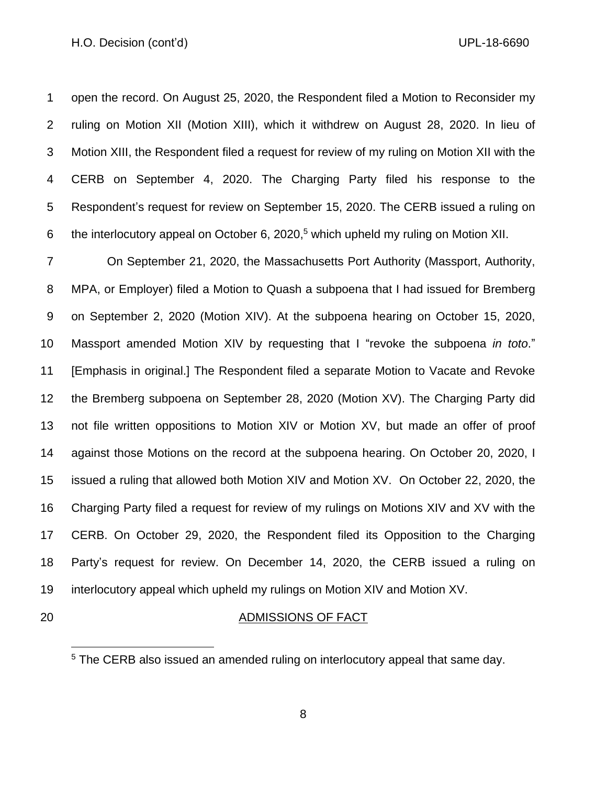#### H.O. Decision (cont'd) UPL-18-6690

 open the record. On August 25, 2020, the Respondent filed a Motion to Reconsider my ruling on Motion XII (Motion XIII), which it withdrew on August 28, 2020. In lieu of Motion XIII, the Respondent filed a request for review of my ruling on Motion XII with the CERB on September 4, 2020. The Charging Party filed his response to the Respondent's request for review on September 15, 2020. The CERB issued a ruling on 6 the interlocutory appeal on October 6, 2020,<sup>5</sup> which upheld my ruling on Motion XII.

 On September 21, 2020, the Massachusetts Port Authority (Massport, Authority, MPA, or Employer) filed a Motion to Quash a subpoena that I had issued for Bremberg on September 2, 2020 (Motion XIV). At the subpoena hearing on October 15, 2020, Massport amended Motion XIV by requesting that I "revoke the subpoena *in toto*." [Emphasis in original.] The Respondent filed a separate Motion to Vacate and Revoke the Bremberg subpoena on September 28, 2020 (Motion XV). The Charging Party did not file written oppositions to Motion XIV or Motion XV, but made an offer of proof against those Motions on the record at the subpoena hearing. On October 20, 2020, I issued a ruling that allowed both Motion XIV and Motion XV. On October 22, 2020, the Charging Party filed a request for review of my rulings on Motions XIV and XV with the CERB. On October 29, 2020, the Respondent filed its Opposition to the Charging Party's request for review. On December 14, 2020, the CERB issued a ruling on interlocutory appeal which upheld my rulings on Motion XIV and Motion XV.

## ADMISSIONS OF FACT

The CERB also issued an amended ruling on interlocutory appeal that same day.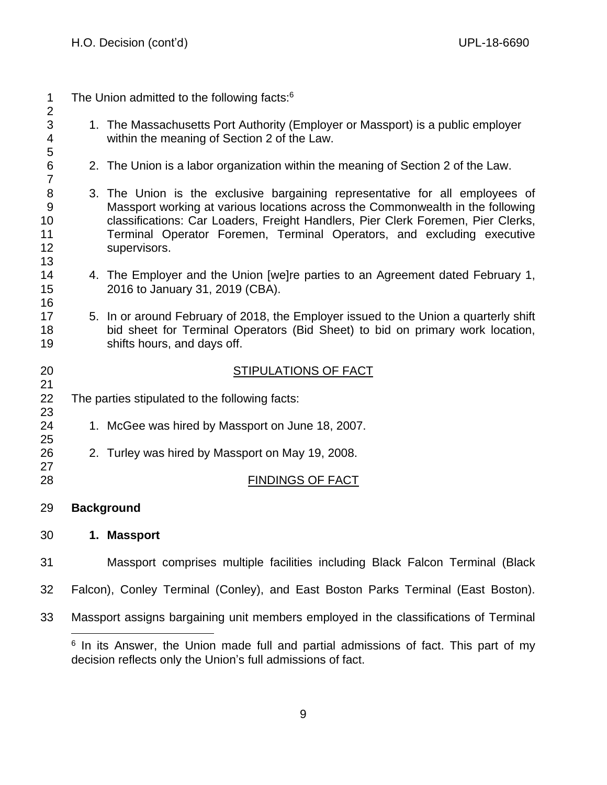1 The Union admitted to the following facts: 1. The Massachusetts Port Authority (Employer or Massport) is a public employer within the meaning of Section 2 of the Law. 2. The Union is a labor organization within the meaning of Section 2 of the Law. 3. The Union is the exclusive bargaining representative for all employees of Massport working at various locations across the Commonwealth in the following classifications: Car Loaders, Freight Handlers, Pier Clerk Foremen, Pier Clerks, Terminal Operator Foremen, Terminal Operators, and excluding executive supervisors. 4. The Employer and the Union [we]re parties to an Agreement dated February 1, 2016 to January 31, 2019 (CBA). 5. In or around February of 2018, the Employer issued to the Union a quarterly shift bid sheet for Terminal Operators (Bid Sheet) to bid on primary work location, shifts hours, and days off. STIPULATIONS OF FACT The parties stipulated to the following facts: 1. McGee was hired by Massport on June 18, 2007. 2. Turley was hired by Massport on May 19, 2008. 28 FINDINGS OF FACT **Background 1. Massport** Massport comprises multiple facilities including Black Falcon Terminal (Black Falcon), Conley Terminal (Conley), and East Boston Parks Terminal (East Boston). Massport assigns bargaining unit members employed in the classifications of Terminal

 In its Answer, the Union made full and partial admissions of fact. This part of my decision reflects only the Union's full admissions of fact.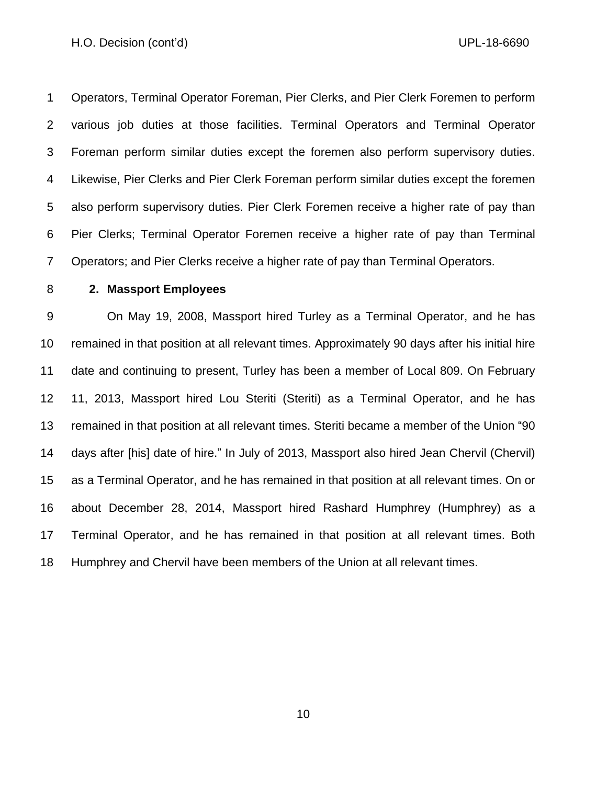#### H.O. Decision (cont'd) UPL-18-6690

 Operators, Terminal Operator Foreman, Pier Clerks, and Pier Clerk Foremen to perform various job duties at those facilities. Terminal Operators and Terminal Operator Foreman perform similar duties except the foremen also perform supervisory duties. Likewise, Pier Clerks and Pier Clerk Foreman perform similar duties except the foremen also perform supervisory duties. Pier Clerk Foremen receive a higher rate of pay than Pier Clerks; Terminal Operator Foremen receive a higher rate of pay than Terminal Operators; and Pier Clerks receive a higher rate of pay than Terminal Operators.

## **2. Massport Employees**

 On May 19, 2008, Massport hired Turley as a Terminal Operator, and he has remained in that position at all relevant times. Approximately 90 days after his initial hire date and continuing to present, Turley has been a member of Local 809. On February 11, 2013, Massport hired Lou Steriti (Steriti) as a Terminal Operator, and he has remained in that position at all relevant times. Steriti became a member of the Union "90 days after [his] date of hire." In July of 2013, Massport also hired Jean Chervil (Chervil) as a Terminal Operator, and he has remained in that position at all relevant times. On or about December 28, 2014, Massport hired Rashard Humphrey (Humphrey) as a Terminal Operator, and he has remained in that position at all relevant times. Both Humphrey and Chervil have been members of the Union at all relevant times.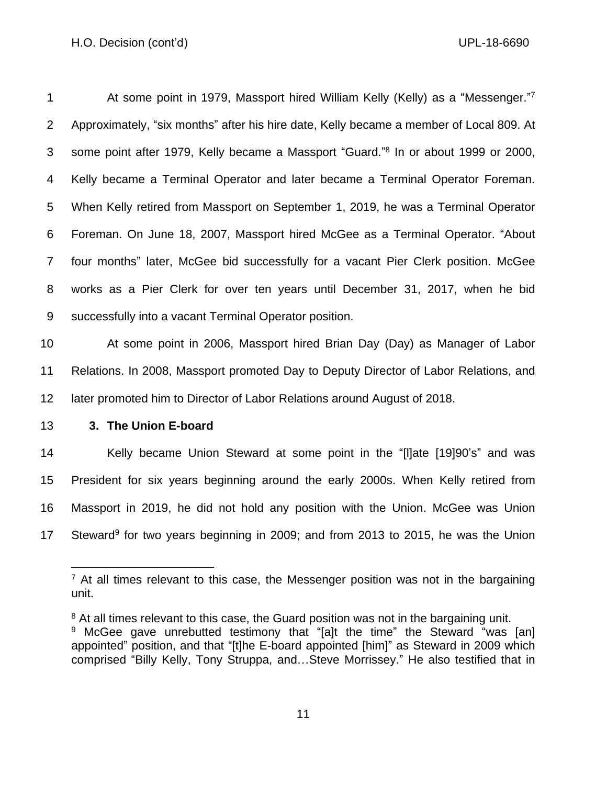## H.O. Decision (cont'd) UPL-18-6690

| 1              | At some point in 1979, Massport hired William Kelly (Kelly) as a "Messenger."7                 |
|----------------|------------------------------------------------------------------------------------------------|
| $\overline{2}$ | Approximately, "six months" after his hire date, Kelly became a member of Local 809. At        |
| 3              | some point after 1979, Kelly became a Massport "Guard." <sup>8</sup> In or about 1999 or 2000, |
| 4              | Kelly became a Terminal Operator and later became a Terminal Operator Foreman.                 |
| 5              | When Kelly retired from Massport on September 1, 2019, he was a Terminal Operator              |
| 6              | Foreman. On June 18, 2007, Massport hired McGee as a Terminal Operator. "About                 |
| $\overline{7}$ | four months" later, McGee bid successfully for a vacant Pier Clerk position. McGee             |
| 8              | works as a Pier Clerk for over ten years until December 31, 2017, when he bid                  |
| 9              | successfully into a vacant Terminal Operator position.                                         |
| 10             | At some point in 2006, Massport hired Brian Day (Day) as Manager of Labor                      |

 Relations. In 2008, Massport promoted Day to Deputy Director of Labor Relations, and later promoted him to Director of Labor Relations around August of 2018.

# **3. The Union E-board**

 Kelly became Union Steward at some point in the "[l]ate [19]90's" and was President for six years beginning around the early 2000s. When Kelly retired from Massport in 2019, he did not hold any position with the Union. McGee was Union 17 Steward<sup>9</sup> for two years beginning in 2009; and from 2013 to 2015, he was the Union

 $<sup>7</sup>$  At all times relevant to this case, the Messenger position was not in the bargaining</sup> unit.

<sup>&</sup>lt;sup>8</sup> At all times relevant to this case, the Guard position was not in the bargaining unit.

<sup>&</sup>lt;sup>9</sup> McGee gave unrebutted testimony that "[a]t the time" the Steward "was [an] appointed" position, and that "[t]he E-board appointed [him]" as Steward in 2009 which comprised "Billy Kelly, Tony Struppa, and…Steve Morrissey." He also testified that in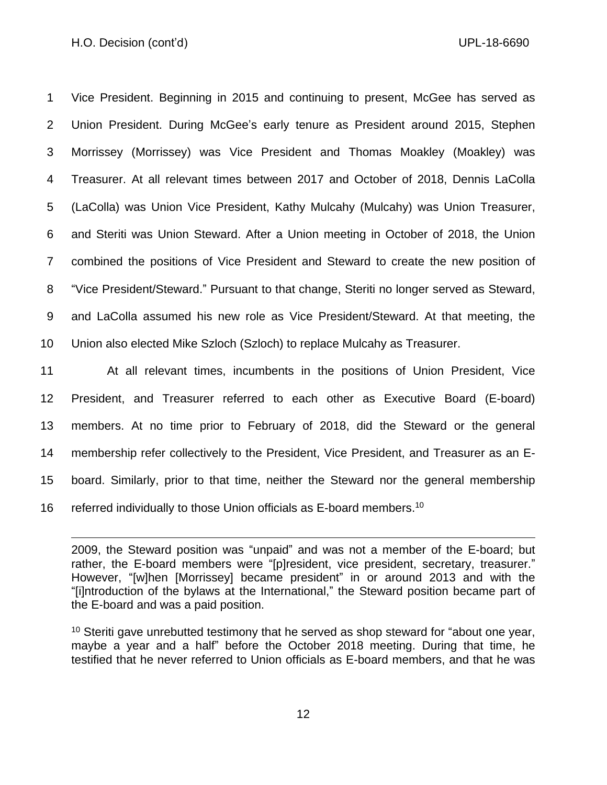Vice President. Beginning in 2015 and continuing to present, McGee has served as Union President. During McGee's early tenure as President around 2015, Stephen Morrissey (Morrissey) was Vice President and Thomas Moakley (Moakley) was Treasurer. At all relevant times between 2017 and October of 2018, Dennis LaColla (LaColla) was Union Vice President, Kathy Mulcahy (Mulcahy) was Union Treasurer, and Steriti was Union Steward. After a Union meeting in October of 2018, the Union combined the positions of Vice President and Steward to create the new position of "Vice President/Steward." Pursuant to that change, Steriti no longer served as Steward, and LaColla assumed his new role as Vice President/Steward. At that meeting, the Union also elected Mike Szloch (Szloch) to replace Mulcahy as Treasurer.

 At all relevant times, incumbents in the positions of Union President, Vice President, and Treasurer referred to each other as Executive Board (E-board) members. At no time prior to February of 2018, did the Steward or the general membership refer collectively to the President, Vice President, and Treasurer as an E- board. Similarly, prior to that time, neither the Steward nor the general membership 16 referred individually to those Union officials as E-board members.<sup>10</sup>

2009, the Steward position was "unpaid" and was not a member of the E-board; but rather, the E-board members were "[p]resident, vice president, secretary, treasurer." However, "[w]hen [Morrissey] became president" in or around 2013 and with the "[i]ntroduction of the bylaws at the International," the Steward position became part of the E-board and was a paid position.

 Steriti gave unrebutted testimony that he served as shop steward for "about one year, maybe a year and a half" before the October 2018 meeting. During that time, he testified that he never referred to Union officials as E-board members, and that he was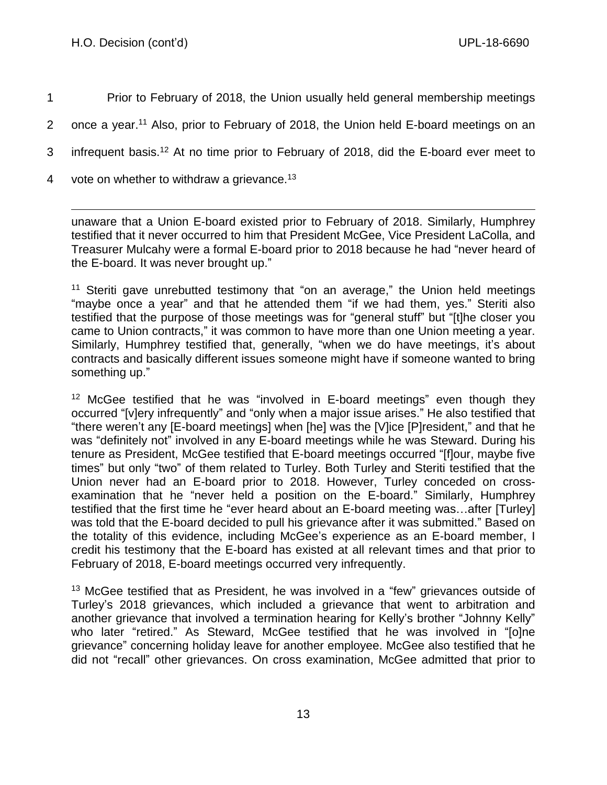1 Prior to February of 2018, the Union usually held general membership meetings

- 2 once a year.<sup>11</sup> Also, prior to February of 2018, the Union held E-board meetings on an
- 3 infrequent basis.<sup>12</sup> At no time prior to February of 2018, did the E-board ever meet to
- 4 vote on whether to withdraw a grievance.<sup>13</sup>

unaware that a Union E-board existed prior to February of 2018. Similarly, Humphrey testified that it never occurred to him that President McGee, Vice President LaColla, and Treasurer Mulcahy were a formal E-board prior to 2018 because he had "never heard of the E-board. It was never brought up."

<sup>11</sup> Steriti gave unrebutted testimony that "on an average," the Union held meetings "maybe once a year" and that he attended them "if we had them, yes." Steriti also testified that the purpose of those meetings was for "general stuff" but "[t]he closer you came to Union contracts," it was common to have more than one Union meeting a year. Similarly, Humphrey testified that, generally, "when we do have meetings, it's about contracts and basically different issues someone might have if someone wanted to bring something up."

<sup>12</sup> McGee testified that he was "involved in E-board meetings" even though they occurred "[v]ery infrequently" and "only when a major issue arises." He also testified that "there weren't any [E-board meetings] when [he] was the [V]ice [P]resident," and that he was "definitely not" involved in any E-board meetings while he was Steward. During his tenure as President, McGee testified that E-board meetings occurred "[f]our, maybe five times" but only "two" of them related to Turley. Both Turley and Steriti testified that the Union never had an E-board prior to 2018. However, Turley conceded on crossexamination that he "never held a position on the E-board." Similarly, Humphrey testified that the first time he "ever heard about an E-board meeting was…after [Turley] was told that the E-board decided to pull his grievance after it was submitted." Based on the totality of this evidence, including McGee's experience as an E-board member, I credit his testimony that the E-board has existed at all relevant times and that prior to February of 2018, E-board meetings occurred very infrequently.

<sup>13</sup> McGee testified that as President, he was involved in a "few" grievances outside of Turley's 2018 grievances, which included a grievance that went to arbitration and another grievance that involved a termination hearing for Kelly's brother "Johnny Kelly" who later "retired." As Steward, McGee testified that he was involved in "[o]ne grievance" concerning holiday leave for another employee. McGee also testified that he did not "recall" other grievances. On cross examination, McGee admitted that prior to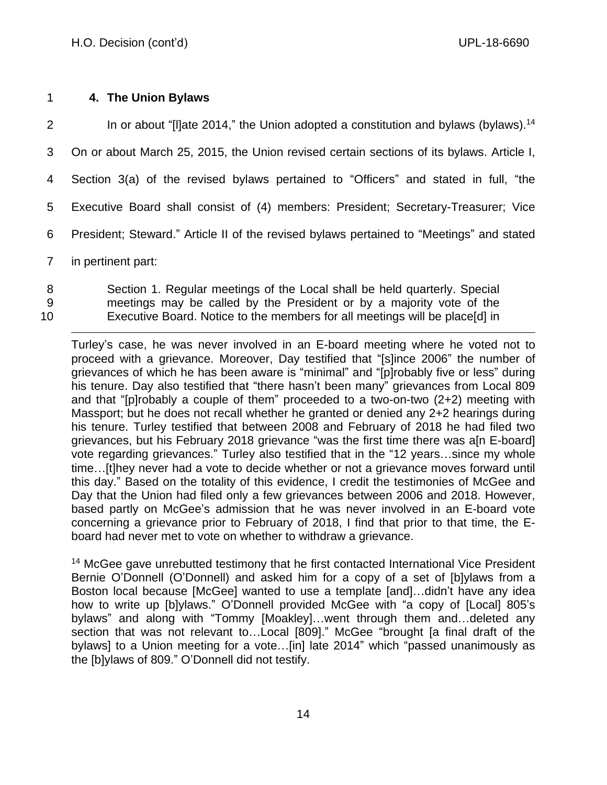## 1 **4. The Union Bylaws**

2 In or about "[I]ate 2014," the Union adopted a constitution and bylaws (bylaws).<sup>14</sup> On or about March 25, 2015, the Union revised certain sections of its bylaws. Article I, Section 3(a) of the revised bylaws pertained to "Officers" and stated in full, "the Executive Board shall consist of (4) members: President; Secretary-Treasurer; Vice President; Steward." Article II of the revised bylaws pertained to "Meetings" and stated in pertinent part:

- 8 Section 1. Regular meetings of the Local shall be held quarterly. Special 9 meetings may be called by the President or by a majority vote of the
- 10 Executive Board. Notice to the members for all meetings will be place[d] in

Turley's case, he was never involved in an E-board meeting where he voted not to proceed with a grievance. Moreover, Day testified that "[s]ince 2006" the number of grievances of which he has been aware is "minimal" and "[p]robably five or less" during his tenure. Day also testified that "there hasn't been many" grievances from Local 809 and that "[p]robably a couple of them" proceeded to a two-on-two (2+2) meeting with Massport; but he does not recall whether he granted or denied any 2+2 hearings during his tenure. Turley testified that between 2008 and February of 2018 he had filed two grievances, but his February 2018 grievance "was the first time there was a[n E-board] vote regarding grievances." Turley also testified that in the "12 years…since my whole time…[t]hey never had a vote to decide whether or not a grievance moves forward until this day." Based on the totality of this evidence, I credit the testimonies of McGee and Day that the Union had filed only a few grievances between 2006 and 2018. However, based partly on McGee's admission that he was never involved in an E-board vote concerning a grievance prior to February of 2018, I find that prior to that time, the Eboard had never met to vote on whether to withdraw a grievance.

<sup>14</sup> McGee gave unrebutted testimony that he first contacted International Vice President Bernie O'Donnell (O'Donnell) and asked him for a copy of a set of [b]ylaws from a Boston local because [McGee] wanted to use a template [and]…didn't have any idea how to write up [b]ylaws." O'Donnell provided McGee with "a copy of [Local] 805's bylaws" and along with "Tommy [Moakley]…went through them and…deleted any section that was not relevant to...Local [809]." McGee "brought [a final draft of the bylaws] to a Union meeting for a vote...[in] late 2014" which "passed unanimously as the [b]ylaws of 809." O'Donnell did not testify.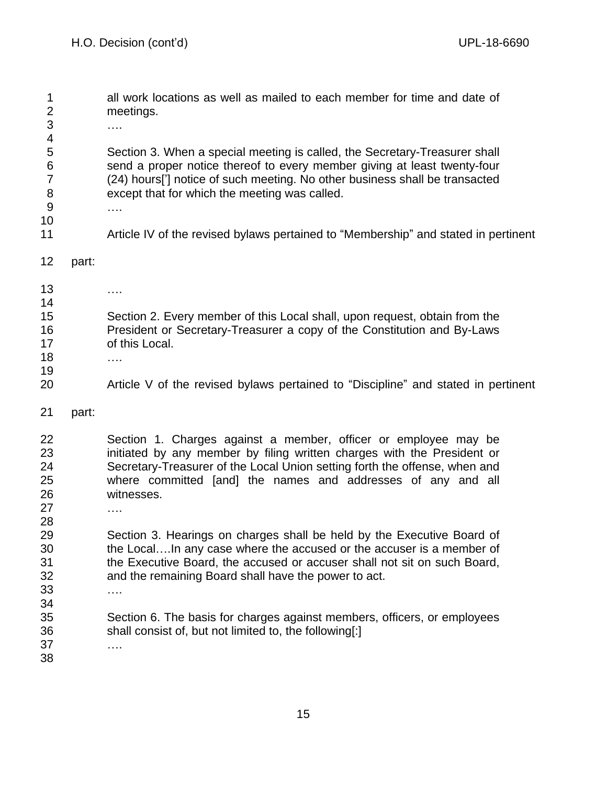all work locations as well as mailed to each member for time and date of meetings. …. Section 3. When a special meeting is called, the Secretary-Treasurer shall send a proper notice thereof to every member giving at least twenty-four (24) hours['] notice of such meeting. No other business shall be transacted except that for which the meeting was called. …. Article IV of the revised bylaws pertained to "Membership" and stated in pertinent part: …. Section 2. Every member of this Local shall, upon request, obtain from the President or Secretary-Treasurer a copy of the Constitution and By-Laws of this Local. …. Article V of the revised bylaws pertained to "Discipline" and stated in pertinent part: Section 1. Charges against a member, officer or employee may be initiated by any member by filing written charges with the President or Secretary-Treasurer of the Local Union setting forth the offense, when and where committed [and] the names and addresses of any and all witnesses. …. Section 3. Hearings on charges shall be held by the Executive Board of the Local….In any case where the accused or the accuser is a member of the Executive Board, the accused or accuser shall not sit on such Board, and the remaining Board shall have the power to act. …. Section 6. The basis for charges against members, officers, or employees shall consist of, but not limited to, the following[:] ….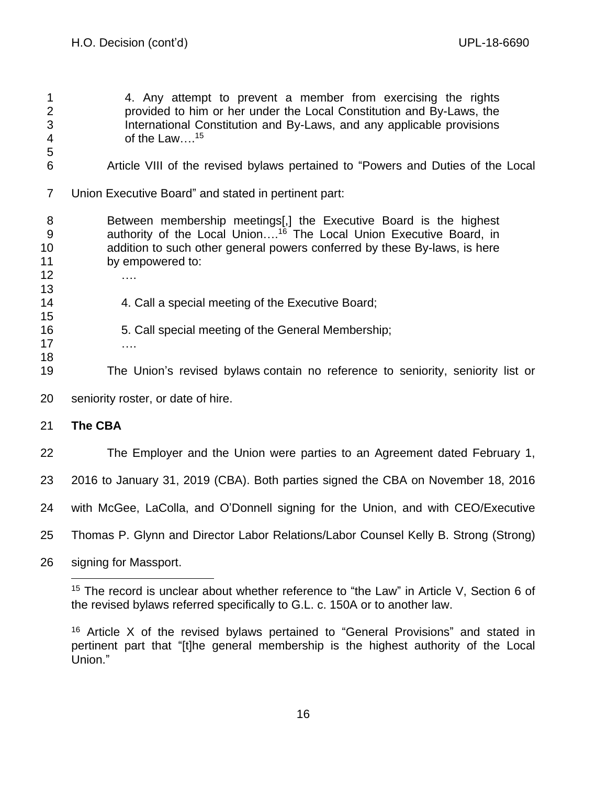4. Any attempt to prevent a member from exercising the rights provided to him or her under the Local Constitution and By-Laws, the International Constitution and By-Laws, and any applicable provisions 4 of the Law....<sup>15</sup>

- Article VIII of the revised bylaws pertained to "Powers and Duties of the Local
- Union Executive Board" and stated in pertinent part:

 Between membership meetings[,] the Executive Board is the highest 9 30 9 30 authority of the Local Union....<sup>16</sup> The Local Union Executive Board, in addition to such other general powers conferred by these By-laws, is here by empowered to:

- ….
- 14 4. Call a special meeting of the Executive Board;
- 5. Call special meeting of the General Membership;
- ….

- The Union's revised bylaws contain no reference to seniority, seniority list or
- seniority roster, or date of hire.

# **The CBA**

The Employer and the Union were parties to an Agreement dated February 1,

2016 to January 31, 2019 (CBA). Both parties signed the CBA on November 18, 2016

with McGee, LaColla, and O'Donnell signing for the Union, and with CEO/Executive

Thomas P. Glynn and Director Labor Relations/Labor Counsel Kelly B. Strong (Strong)

signing for Massport.

<sup>&</sup>lt;sup>15</sup> The record is unclear about whether reference to "the Law" in Article V, Section 6 of the revised bylaws referred specifically to G.L. c. 150A or to another law.

 Article X of the revised bylaws pertained to "General Provisions" and stated in pertinent part that "[t]he general membership is the highest authority of the Local Union."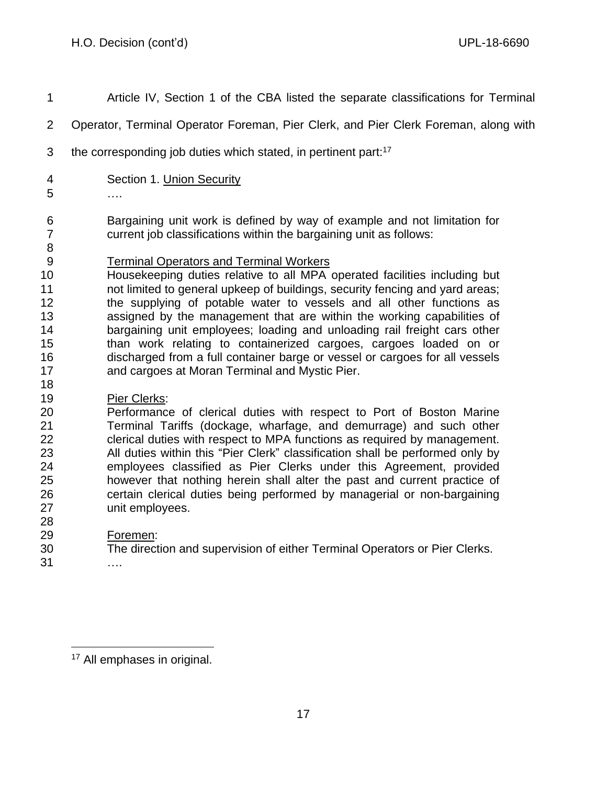Article IV, Section 1 of the CBA listed the separate classifications for Terminal Operator, Terminal Operator Foreman, Pier Clerk, and Pier Clerk Foreman, along with 3 the corresponding job duties which stated, in pertinent part:<sup>17</sup> Section 1. Union Security …. Bargaining unit work is defined by way of example and not limitation for current job classifications within the bargaining unit as follows: Terminal Operators and Terminal Workers Housekeeping duties relative to all MPA operated facilities including but not limited to general upkeep of buildings, security fencing and yard areas; 12 the supplying of potable water to vessels and all other functions as assigned by the management that are within the working capabilities of 14 bargaining unit employees; loading and unloading rail freight cars other than work relating to containerized cargoes, cargoes loaded on or discharged from a full container barge or vessel or cargoes for all vessels and cargoes at Moran Terminal and Mystic Pier. Pier Clerks: Performance of clerical duties with respect to Port of Boston Marine Terminal Tariffs (dockage, wharfage, and demurrage) and such other clerical duties with respect to MPA functions as required by management. All duties within this "Pier Clerk" classification shall be performed only by employees classified as Pier Clerks under this Agreement, provided however that nothing herein shall alter the past and current practice of certain clerical duties being performed by managerial or non-bargaining unit employees. Foremen: The direction and supervision of either Terminal Operators or Pier Clerks.

….

All emphases in original.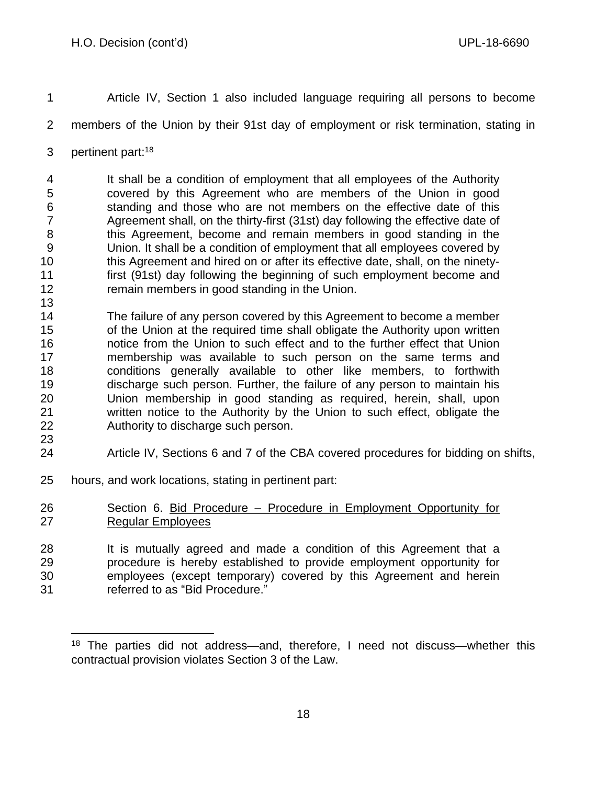- Article IV, Section 1 also included language requiring all persons to become
- members of the Union by their 91st day of employment or risk termination, stating in
- 3 pertinent part:<sup>18</sup>

 It shall be a condition of employment that all employees of the Authority covered by this Agreement who are members of the Union in good standing and those who are not members on the effective date of this Agreement shall, on the thirty-first (31st) day following the effective date of this Agreement, become and remain members in good standing in the Union. It shall be a condition of employment that all employees covered by this Agreement and hired on or after its effective date, shall, on the ninety- first (91st) day following the beginning of such employment become and 12 remain members in good standing in the Union. 

- The failure of any person covered by this Agreement to become a member of the Union at the required time shall obligate the Authority upon written notice from the Union to such effect and to the further effect that Union membership was available to such person on the same terms and conditions generally available to other like members, to forthwith discharge such person. Further, the failure of any person to maintain his Union membership in good standing as required, herein, shall, upon written notice to the Authority by the Union to such effect, obligate the Authority to discharge such person.
- Article IV, Sections 6 and 7 of the CBA covered procedures for bidding on shifts,
- hours, and work locations, stating in pertinent part:
- Section 6. Bid Procedure Procedure in Employment Opportunity for 27 Regular Employees
- It is mutually agreed and made a condition of this Agreement that a procedure is hereby established to provide employment opportunity for employees (except temporary) covered by this Agreement and herein referred to as "Bid Procedure."

 The parties did not address—and, therefore, I need not discuss—whether this contractual provision violates Section 3 of the Law.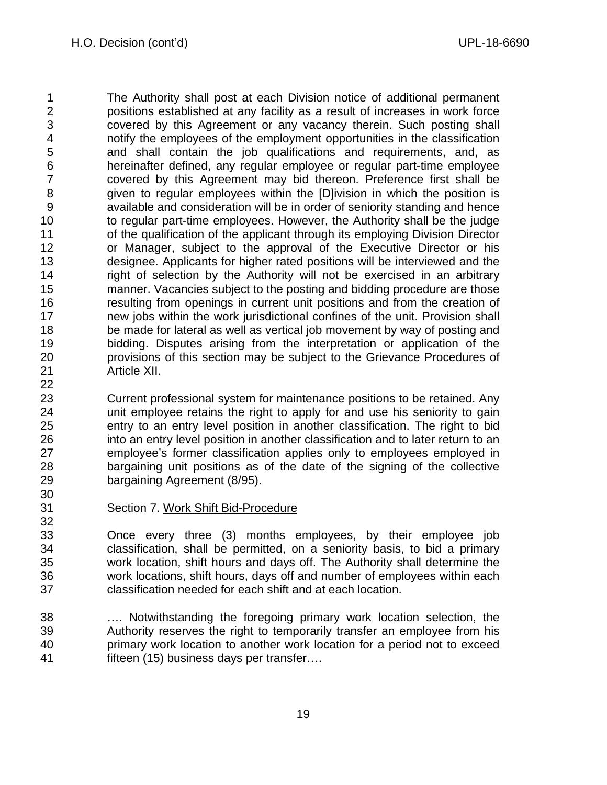The Authority shall post at each Division notice of additional permanent positions established at any facility as a result of increases in work force covered by this Agreement or any vacancy therein. Such posting shall notify the employees of the employment opportunities in the classification and shall contain the job qualifications and requirements, and, as hereinafter defined, any regular employee or regular part-time employee covered by this Agreement may bid thereon. Preference first shall be given to regular employees within the [D]ivision in which the position is available and consideration will be in order of seniority standing and hence to regular part-time employees. However, the Authority shall be the judge 11 of the qualification of the applicant through its employing Division Director or Manager, subject to the approval of the Executive Director or his designee. Applicants for higher rated positions will be interviewed and the right of selection by the Authority will not be exercised in an arbitrary manner. Vacancies subject to the posting and bidding procedure are those resulting from openings in current unit positions and from the creation of new jobs within the work jurisdictional confines of the unit. Provision shall be made for lateral as well as vertical job movement by way of posting and bidding. Disputes arising from the interpretation or application of the provisions of this section may be subject to the Grievance Procedures of Article XII.

 Current professional system for maintenance positions to be retained. Any unit employee retains the right to apply for and use his seniority to gain entry to an entry level position in another classification. The right to bid into an entry level position in another classification and to later return to an employee's former classification applies only to employees employed in bargaining unit positions as of the date of the signing of the collective bargaining Agreement (8/95). 

Section 7. Work Shift Bid-Procedure

 Once every three (3) months employees, by their employee job classification, shall be permitted, on a seniority basis, to bid a primary work location, shift hours and days off. The Authority shall determine the work locations, shift hours, days off and number of employees within each classification needed for each shift and at each location.

 …. Notwithstanding the foregoing primary work location selection, the Authority reserves the right to temporarily transfer an employee from his primary work location to another work location for a period not to exceed fifteen (15) business days per transfer….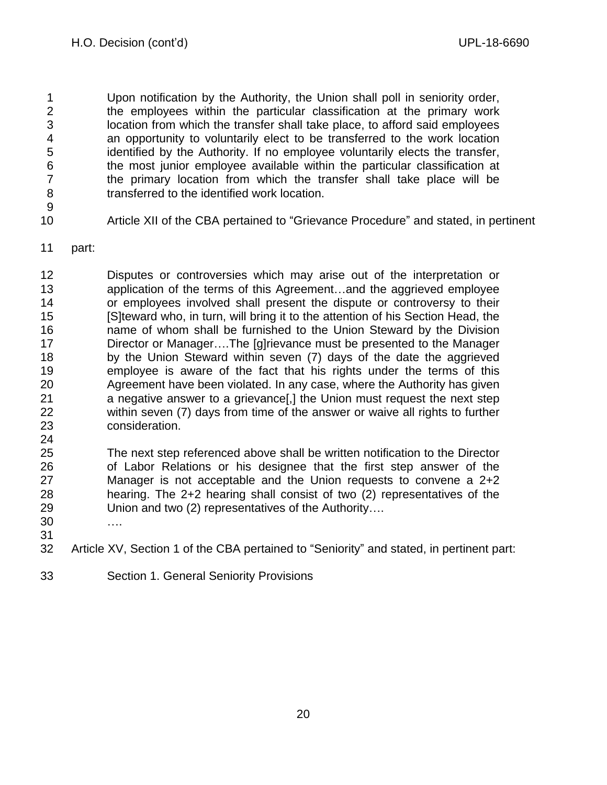Upon notification by the Authority, the Union shall poll in seniority order, the employees within the particular classification at the primary work location from which the transfer shall take place, to afford said employees an opportunity to voluntarily elect to be transferred to the work location identified by the Authority. If no employee voluntarily elects the transfer, the most junior employee available within the particular classification at the primary location from which the transfer shall take place will be transferred to the identified work location.

Article XII of the CBA pertained to "Grievance Procedure" and stated, in pertinent

part:

 Disputes or controversies which may arise out of the interpretation or application of the terms of this Agreement…and the aggrieved employee or employees involved shall present the dispute or controversy to their [S]teward who, in turn, will bring it to the attention of his Section Head, the name of whom shall be furnished to the Union Steward by the Division Director or Manager….The [g]rievance must be presented to the Manager by the Union Steward within seven (7) days of the date the aggrieved employee is aware of the fact that his rights under the terms of this Agreement have been violated. In any case, where the Authority has given a negative answer to a grievance[,] the Union must request the next step within seven (7) days from time of the answer or waive all rights to further consideration. 

 The next step referenced above shall be written notification to the Director of Labor Relations or his designee that the first step answer of the Manager is not acceptable and the Union requests to convene a 2+2 hearing. The 2+2 hearing shall consist of two (2) representatives of the Union and two (2) representatives of the Authority….

- ….
- Article XV, Section 1 of the CBA pertained to "Seniority" and stated, in pertinent part:
- Section 1. General Seniority Provisions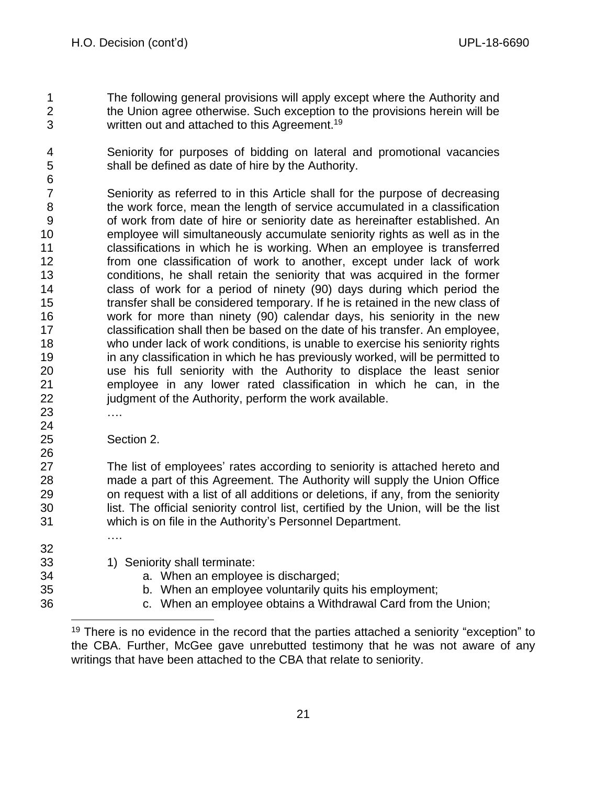- The following general provisions will apply except where the Authority and the Union agree otherwise. Such exception to the provisions herein will be 3 written out and attached to this Agreement.<sup>19</sup>
- Seniority for purposes of bidding on lateral and promotional vacancies shall be defined as date of hire by the Authority.
- Seniority as referred to in this Article shall for the purpose of decreasing the work force, mean the length of service accumulated in a classification of work from date of hire or seniority date as hereinafter established. An employee will simultaneously accumulate seniority rights as well as in the classifications in which he is working. When an employee is transferred from one classification of work to another, except under lack of work conditions, he shall retain the seniority that was acquired in the former class of work for a period of ninety (90) days during which period the transfer shall be considered temporary. If he is retained in the new class of work for more than ninety (90) calendar days, his seniority in the new classification shall then be based on the date of his transfer. An employee, who under lack of work conditions, is unable to exercise his seniority rights in any classification in which he has previously worked, will be permitted to use his full seniority with the Authority to displace the least senior employee in any lower rated classification in which he can, in the 22 judgment of the Authority, perform the work available.
- ….

Section 2.

….

 The list of employees' rates according to seniority is attached hereto and made a part of this Agreement. The Authority will supply the Union Office on request with a list of all additions or deletions, if any, from the seniority list. The official seniority control list, certified by the Union, will be the list which is on file in the Authority's Personnel Department.

- 33 1) Seniority shall terminate:
- a. When an employee is discharged;
- b. When an employee voluntarily quits his employment;
- c. When an employee obtains a Withdrawal Card from the Union;

 There is no evidence in the record that the parties attached a seniority "exception" to the CBA. Further, McGee gave unrebutted testimony that he was not aware of any writings that have been attached to the CBA that relate to seniority.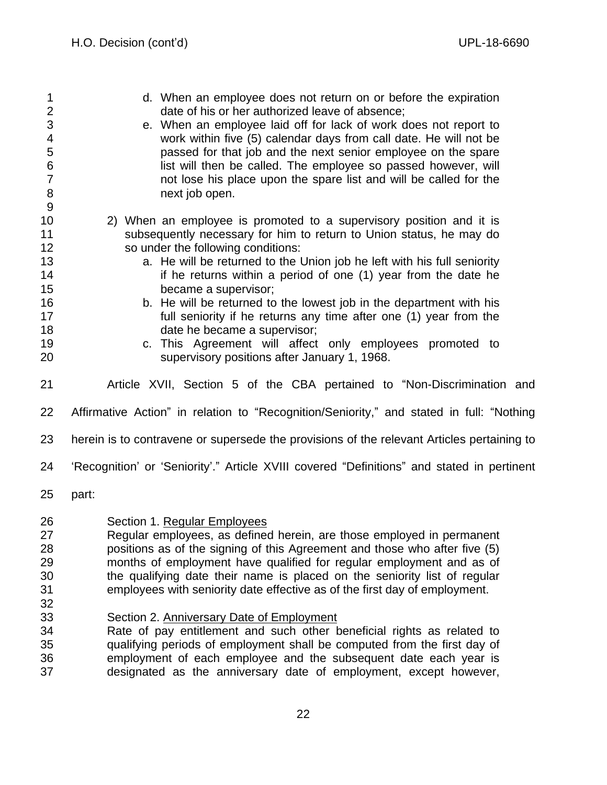d. When an employee does not return on or before the expiration date of his or her authorized leave of absence; e. When an employee laid off for lack of work does not report to work within five (5) calendar days from call date. He will not be passed for that job and the next senior employee on the spare **induced in the state of the employee** so passed however, will not lose his place upon the spare list and will be called for the 8 next job open. 2) When an employee is promoted to a supervisory position and it is subsequently necessary for him to return to Union status, he may do so under the following conditions: **13 a.** He will be returned to the Union job he left with his full seniority **if he returns within a period of one (1)** year from the date he became a supervisor; b. He will be returned to the lowest job in the department with his full seniority if he returns any time after one (1) year from the 18 date he became a supervisor; c. This Agreement will affect only employees promoted to supervisory positions after January 1, 1968. Article XVII, Section 5 of the CBA pertained to "Non-Discrimination and Affirmative Action" in relation to "Recognition/Seniority," and stated in full: "Nothing herein is to contravene or supersede the provisions of the relevant Articles pertaining to 'Recognition' or 'Seniority'." Article XVIII covered "Definitions" and stated in pertinent part: Section 1. Regular Employees Regular employees, as defined herein, are those employed in permanent positions as of the signing of this Agreement and those who after five (5) months of employment have qualified for regular employment and as of the qualifying date their name is placed on the seniority list of regular employees with seniority date effective as of the first day of employment. Section 2. Anniversary Date of Employment Rate of pay entitlement and such other beneficial rights as related to qualifying periods of employment shall be computed from the first day of employment of each employee and the subsequent date each year is designated as the anniversary date of employment, except however,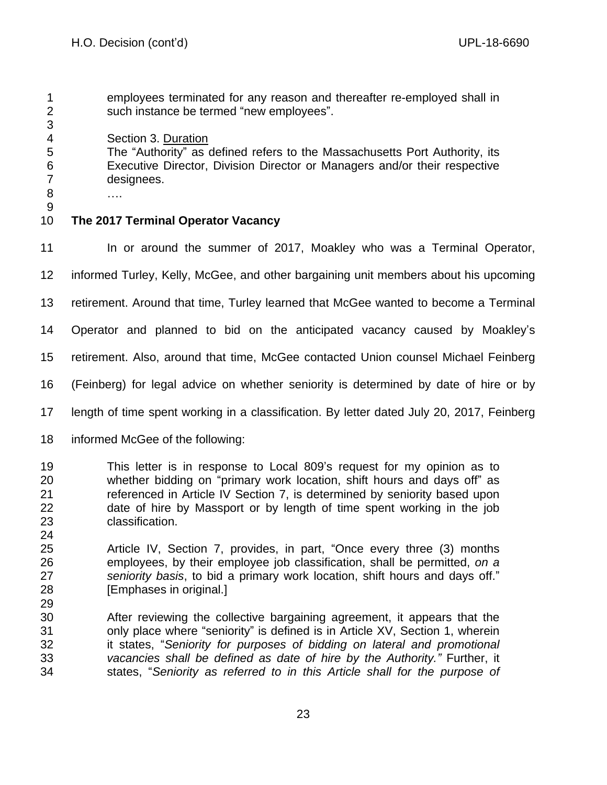- employees terminated for any reason and thereafter re-employed shall in such instance be termed "new employees".
- Section 3. Duration

 The "Authority" as defined refers to the Massachusetts Port Authority, its Executive Director, Division Director or Managers and/or their respective designees.

 …. 

# **The 2017 Terminal Operator Vacancy**

11 In or around the summer of 2017, Moakley who was a Terminal Operator,

informed Turley, Kelly, McGee, and other bargaining unit members about his upcoming

retirement. Around that time, Turley learned that McGee wanted to become a Terminal

Operator and planned to bid on the anticipated vacancy caused by Moakley's

retirement. Also, around that time, McGee contacted Union counsel Michael Feinberg

- (Feinberg) for legal advice on whether seniority is determined by date of hire or by
- length of time spent working in a classification. By letter dated July 20, 2017, Feinberg
- informed McGee of the following:
- This letter is in response to Local 809's request for my opinion as to whether bidding on "primary work location, shift hours and days off" as referenced in Article IV Section 7, is determined by seniority based upon date of hire by Massport or by length of time spent working in the job classification.
- Article IV, Section 7, provides, in part, "Once every three (3) months employees, by their employee job classification, shall be permitted, *on a seniority basis*, to bid a primary work location, shift hours and days off." [Emphases in original.]
- After reviewing the collective bargaining agreement, it appears that the only place where "seniority" is defined is in Article XV, Section 1, wherein it states, "*Seniority for purposes of bidding on lateral and promotional vacancies shall be defined as date of hire by the Authority."* Further, it states, "*Seniority as referred to in this Article shall for the purpose of*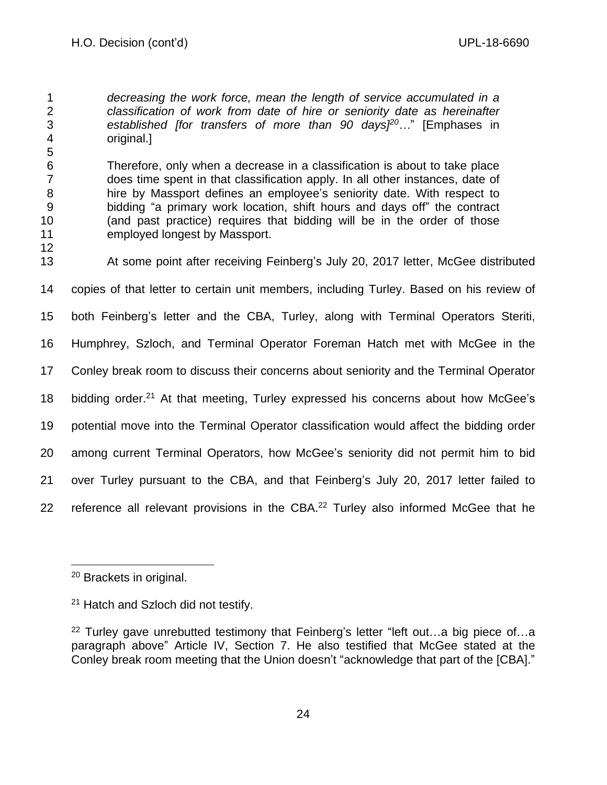*decreasing the work force, mean the length of service accumulated in a classification of work from date of hire or seniority date as hereinafter established [for transfers of more than 90 days] <sup>20</sup>…*" [Emphases in original.]

 Therefore, only when a decrease in a classification is about to take place does time spent in that classification apply. In all other instances, date of hire by Massport defines an employee's seniority date. With respect to bidding "a primary work location, shift hours and days off" the contract (and past practice) requires that bidding will be in the order of those employed longest by Massport.

 At some point after receiving Feinberg's July 20, 2017 letter, McGee distributed copies of that letter to certain unit members, including Turley. Based on his review of both Feinberg's letter and the CBA, Turley, along with Terminal Operators Steriti, Humphrey, Szloch, and Terminal Operator Foreman Hatch met with McGee in the Conley break room to discuss their concerns about seniority and the Terminal Operator 18 bidding order.<sup>21</sup> At that meeting, Turley expressed his concerns about how McGee's potential move into the Terminal Operator classification would affect the bidding order among current Terminal Operators, how McGee's seniority did not permit him to bid over Turley pursuant to the CBA, and that Feinberg's July 20, 2017 letter failed to 22 reference all relevant provisions in the CBA.<sup>22</sup> Turley also informed McGee that he

Brackets in original.

<sup>&</sup>lt;sup>21</sup> Hatch and Szloch did not testify.

<sup>&</sup>lt;sup>22</sup> Turley gave unrebutted testimony that Feinberg's letter "left out...a big piece of...a paragraph above" Article IV, Section 7. He also testified that McGee stated at the Conley break room meeting that the Union doesn't "acknowledge that part of the [CBA]."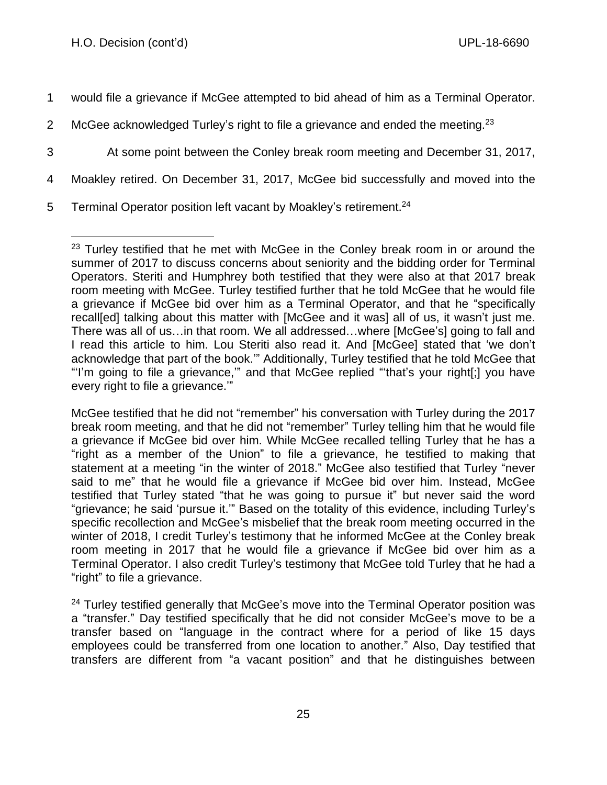- 1 would file a grievance if McGee attempted to bid ahead of him as a Terminal Operator.
- 2 McGee acknowledged Turley's right to file a grievance and ended the meeting.  $23$
- 3 At some point between the Conley break room meeting and December 31, 2017,
- 4 Moakley retired. On December 31, 2017, McGee bid successfully and moved into the
- 5 Terminal Operator position left vacant by Moakley's retirement.<sup>24</sup>

 $23$  Turley testified that he met with McGee in the Conley break room in or around the summer of 2017 to discuss concerns about seniority and the bidding order for Terminal Operators. Steriti and Humphrey both testified that they were also at that 2017 break room meeting with McGee. Turley testified further that he told McGee that he would file a grievance if McGee bid over him as a Terminal Operator, and that he "specifically recall[ed] talking about this matter with [McGee and it was] all of us, it wasn't just me. There was all of us…in that room. We all addressed…where [McGee's] going to fall and I read this article to him. Lou Steriti also read it. And [McGee] stated that 'we don't acknowledge that part of the book.'" Additionally, Turley testified that he told McGee that "'I'm going to file a grievance,'" and that McGee replied "'that's your right[;] you have every right to file a grievance.'"

McGee testified that he did not "remember" his conversation with Turley during the 2017 break room meeting, and that he did not "remember" Turley telling him that he would file a grievance if McGee bid over him. While McGee recalled telling Turley that he has a "right as a member of the Union" to file a grievance, he testified to making that statement at a meeting "in the winter of 2018." McGee also testified that Turley "never said to me" that he would file a grievance if McGee bid over him. Instead, McGee testified that Turley stated "that he was going to pursue it" but never said the word "grievance; he said 'pursue it.'" Based on the totality of this evidence, including Turley's specific recollection and McGee's misbelief that the break room meeting occurred in the winter of 2018, I credit Turley's testimony that he informed McGee at the Conley break room meeting in 2017 that he would file a grievance if McGee bid over him as a Terminal Operator. I also credit Turley's testimony that McGee told Turley that he had a "right" to file a grievance.

<sup>&</sup>lt;sup>24</sup> Turley testified generally that McGee's move into the Terminal Operator position was a "transfer." Day testified specifically that he did not consider McGee's move to be a transfer based on "language in the contract where for a period of like 15 days employees could be transferred from one location to another." Also, Day testified that transfers are different from "a vacant position" and that he distinguishes between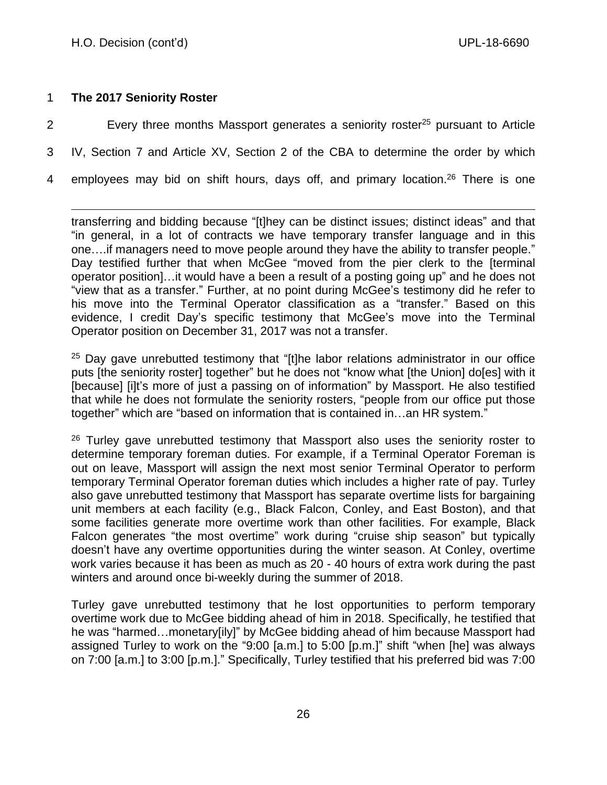# 1 **The 2017 Seniority Roster**

- 2 Every three months Massport generates a seniority roster<sup>25</sup> pursuant to Article 3 IV, Section 7 and Article XV, Section 2 of the CBA to determine the order by which
- 4 employees may bid on shift hours, days off, and primary location.<sup>26</sup> There is one

transferring and bidding because "[t]hey can be distinct issues; distinct ideas" and that "in general, in a lot of contracts we have temporary transfer language and in this one….if managers need to move people around they have the ability to transfer people." Day testified further that when McGee "moved from the pier clerk to the [terminal operator position]…it would have a been a result of a posting going up" and he does not "view that as a transfer." Further, at no point during McGee's testimony did he refer to his move into the Terminal Operator classification as a "transfer." Based on this evidence, I credit Day's specific testimony that McGee's move into the Terminal Operator position on December 31, 2017 was not a transfer.

 $25$  Day gave unrebutted testimony that "[t]he labor relations administrator in our office puts [the seniority roster] together" but he does not "know what [the Union] do[es] with it [because] [i]t's more of just a passing on of information" by Massport. He also testified that while he does not formulate the seniority rosters, "people from our office put those together" which are "based on information that is contained in…an HR system."

 $26$  Turley gave unrebutted testimony that Massport also uses the seniority roster to determine temporary foreman duties. For example, if a Terminal Operator Foreman is out on leave, Massport will assign the next most senior Terminal Operator to perform temporary Terminal Operator foreman duties which includes a higher rate of pay. Turley also gave unrebutted testimony that Massport has separate overtime lists for bargaining unit members at each facility (e.g., Black Falcon, Conley, and East Boston), and that some facilities generate more overtime work than other facilities. For example, Black Falcon generates "the most overtime" work during "cruise ship season" but typically doesn't have any overtime opportunities during the winter season. At Conley, overtime work varies because it has been as much as 20 - 40 hours of extra work during the past winters and around once bi-weekly during the summer of 2018.

Turley gave unrebutted testimony that he lost opportunities to perform temporary overtime work due to McGee bidding ahead of him in 2018. Specifically, he testified that he was "harmed…monetary[ily]" by McGee bidding ahead of him because Massport had assigned Turley to work on the "9:00 [a.m.] to 5:00 [p.m.]" shift "when [he] was always on 7:00 [a.m.] to 3:00 [p.m.]." Specifically, Turley testified that his preferred bid was 7:00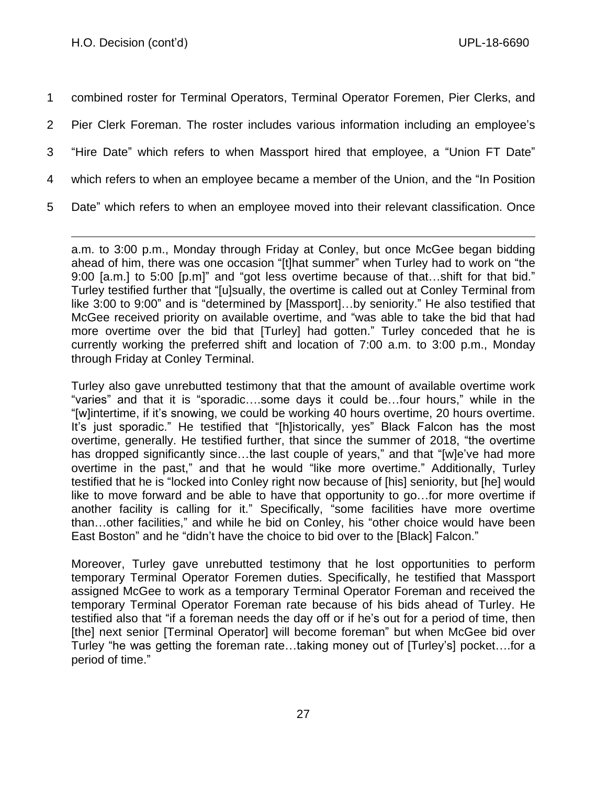combined roster for Terminal Operators, Terminal Operator Foremen, Pier Clerks, and Pier Clerk Foreman. The roster includes various information including an employee's "Hire Date" which refers to when Massport hired that employee, a "Union FT Date" which refers to when an employee became a member of the Union, and the "In Position Date" which refers to when an employee moved into their relevant classification. Once

a.m. to 3:00 p.m., Monday through Friday at Conley, but once McGee began bidding ahead of him, there was one occasion "[t]hat summer" when Turley had to work on "the 9:00 [a.m.] to 5:00 [p.m]" and "got less overtime because of that…shift for that bid." Turley testified further that "[u]sually, the overtime is called out at Conley Terminal from like 3:00 to 9:00" and is "determined by [Massport]…by seniority." He also testified that McGee received priority on available overtime, and "was able to take the bid that had more overtime over the bid that [Turley] had gotten." Turley conceded that he is currently working the preferred shift and location of 7:00 a.m. to 3:00 p.m., Monday through Friday at Conley Terminal.

Turley also gave unrebutted testimony that that the amount of available overtime work "varies" and that it is "sporadic….some days it could be…four hours," while in the "[w]intertime, if it's snowing, we could be working 40 hours overtime, 20 hours overtime. It's just sporadic." He testified that "[h]istorically, yes" Black Falcon has the most overtime, generally. He testified further, that since the summer of 2018, "the overtime has dropped significantly since...the last couple of years," and that "[w]e've had more overtime in the past," and that he would "like more overtime." Additionally, Turley testified that he is "locked into Conley right now because of [his] seniority, but [he] would like to move forward and be able to have that opportunity to go…for more overtime if another facility is calling for it." Specifically, "some facilities have more overtime than…other facilities," and while he bid on Conley, his "other choice would have been East Boston" and he "didn't have the choice to bid over to the [Black] Falcon."

Moreover, Turley gave unrebutted testimony that he lost opportunities to perform temporary Terminal Operator Foremen duties. Specifically, he testified that Massport assigned McGee to work as a temporary Terminal Operator Foreman and received the temporary Terminal Operator Foreman rate because of his bids ahead of Turley. He testified also that "if a foreman needs the day off or if he's out for a period of time, then [the] next senior [Terminal Operator] will become foreman" but when McGee bid over Turley "he was getting the foreman rate…taking money out of [Turley's] pocket….for a period of time."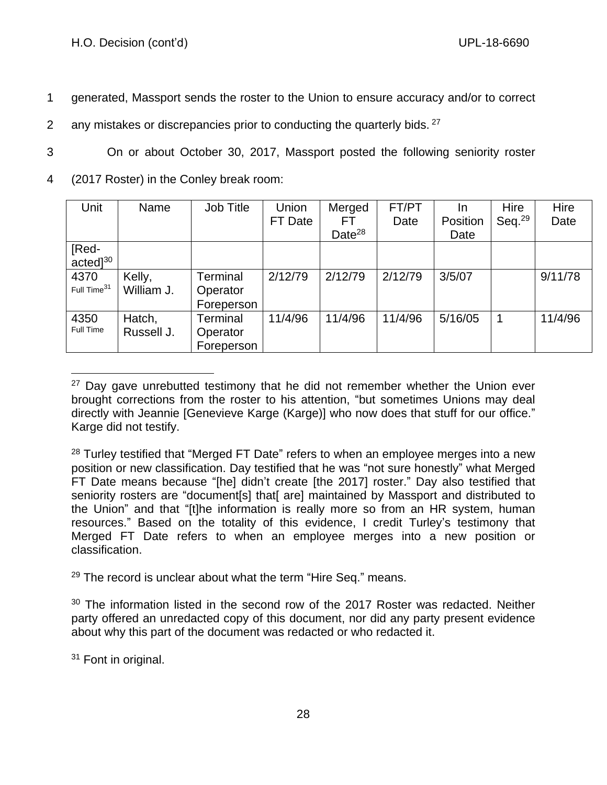- 1 generated, Massport sends the roster to the Union to ensure accuracy and/or to correct
- 2 any mistakes or discrepancies prior to conducting the quarterly bids.  $27$
- 3 On or about October 30, 2017, Massport posted the following seniority roster
- 4 (2017 Roster) in the Conley break room:

| Unit                    | Name       | Job Title  | Union   | Merged             | FT/PT   | <u>In</u> | Hire      | Hire    |
|-------------------------|------------|------------|---------|--------------------|---------|-----------|-----------|---------|
|                         |            |            | FT Date | FТ                 | Date    | Position  | Seq. $29$ | Date    |
|                         |            |            |         | Date <sup>28</sup> |         | Date      |           |         |
| [Red-                   |            |            |         |                    |         |           |           |         |
| $acted]^{30}$           |            |            |         |                    |         |           |           |         |
| 4370                    | Kelly,     | Terminal   | 2/12/79 | 2/12/79            | 2/12/79 | 3/5/07    |           | 9/11/78 |
| Full Time <sup>31</sup> | William J. | Operator   |         |                    |         |           |           |         |
|                         |            | Foreperson |         |                    |         |           |           |         |
| 4350                    | Hatch,     | Terminal   | 11/4/96 | 11/4/96            | 11/4/96 | 5/16/05   | 1         | 11/4/96 |
| Full Time               | Russell J. | Operator   |         |                    |         |           |           |         |
|                         |            | Foreperson |         |                    |         |           |           |         |

 $27$  Day gave unrebutted testimony that he did not remember whether the Union ever brought corrections from the roster to his attention, "but sometimes Unions may deal directly with Jeannie [Genevieve Karge (Karge)] who now does that stuff for our office." Karge did not testify.

- $29$  The record is unclear about what the term "Hire Seq." means.
- <sup>30</sup> The information listed in the second row of the 2017 Roster was redacted. Neither party offered an unredacted copy of this document, nor did any party present evidence about why this part of the document was redacted or who redacted it.

<sup>31</sup> Font in original.

<sup>&</sup>lt;sup>28</sup> Turley testified that "Merged FT Date" refers to when an employee merges into a new position or new classification. Day testified that he was "not sure honestly" what Merged FT Date means because "[he] didn't create [the 2017] roster." Day also testified that seniority rosters are "document[s] that[ are] maintained by Massport and distributed to the Union" and that "[t]he information is really more so from an HR system, human resources." Based on the totality of this evidence, I credit Turley's testimony that Merged FT Date refers to when an employee merges into a new position or classification.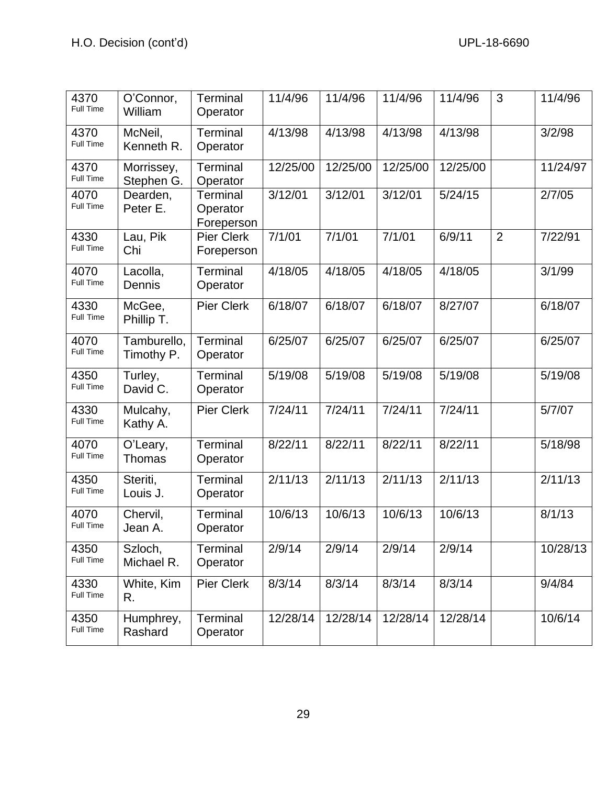| 4370<br>Full Time        | O'Connor,<br>William      | Terminal<br>Operator                      | 11/4/96  | 11/4/96  | 11/4/96  | 11/4/96  | 3              | 11/4/96  |
|--------------------------|---------------------------|-------------------------------------------|----------|----------|----------|----------|----------------|----------|
| 4370<br>Full Time        | McNeil,<br>Kenneth R.     | Terminal<br>Operator                      | 4/13/98  | 4/13/98  | 4/13/98  | 4/13/98  |                | 3/2/98   |
| 4370<br>Full Time        | Morrissey,<br>Stephen G.  | Terminal<br>Operator                      | 12/25/00 | 12/25/00 | 12/25/00 | 12/25/00 |                | 11/24/97 |
| 4070<br>Full Time        | Dearden,<br>Peter E.      | <b>Terminal</b><br>Operator<br>Foreperson | 3/12/01  | 3/12/01  | 3/12/01  | 5/24/15  |                | 2/7/05   |
| 4330<br>Full Time        | Lau, Pik<br>Chi           | <b>Pier Clerk</b><br>Foreperson           | 7/1/01   | 7/1/01   | 7/1/01   | 6/9/11   | $\overline{2}$ | 7/22/91  |
| 4070<br><b>Full Time</b> | Lacolla,<br>Dennis        | Terminal<br>Operator                      | 4/18/05  | 4/18/05  | 4/18/05  | 4/18/05  |                | 3/1/99   |
| 4330<br>Full Time        | McGee,<br>Phillip T.      | <b>Pier Clerk</b>                         | 6/18/07  | 6/18/07  | 6/18/07  | 8/27/07  |                | 6/18/07  |
| 4070<br>Full Time        | Tamburello,<br>Timothy P. | Terminal<br>Operator                      | 6/25/07  | 6/25/07  | 6/25/07  | 6/25/07  |                | 6/25/07  |
| 4350<br>Full Time        | Turley,<br>David C.       | <b>Terminal</b><br>Operator               | 5/19/08  | 5/19/08  | 5/19/08  | 5/19/08  |                | 5/19/08  |
| 4330<br>Full Time        | Mulcahy,<br>Kathy A.      | <b>Pier Clerk</b>                         | 7/24/11  | 7/24/11  | 7/24/11  | 7/24/11  |                | 5/7/07   |
| 4070<br>Full Time        | O'Leary,<br>Thomas        | Terminal<br>Operator                      | 8/22/11  | 8/22/11  | 8/22/11  | 8/22/11  |                | 5/18/98  |
| 4350<br><b>Full Time</b> | Steriti,<br>Louis J.      | Terminal<br>Operator                      | 2/11/13  | 2/11/13  | 2/11/13  | 2/11/13  |                | 2/11/13  |
| 4070<br>Full Time        | Chervil,<br>Jean A.       | Terminal<br>Operator                      | 10/6/13  | 10/6/13  | 10/6/13  | 10/6/13  |                | 8/1/13   |
| 4350<br>Full Time        | Szloch,<br>Michael R.     | Terminal<br>Operator                      | 2/9/14   | 2/9/14   | 2/9/14   | 2/9/14   |                | 10/28/13 |
| 4330<br>Full Time        | White, Kim<br>R.          | Pier Clerk                                | 8/3/14   | 8/3/14   | 8/3/14   | 8/3/14   |                | 9/4/84   |
| 4350<br>Full Time        | Humphrey,<br>Rashard      | Terminal<br>Operator                      | 12/28/14 | 12/28/14 | 12/28/14 | 12/28/14 |                | 10/6/14  |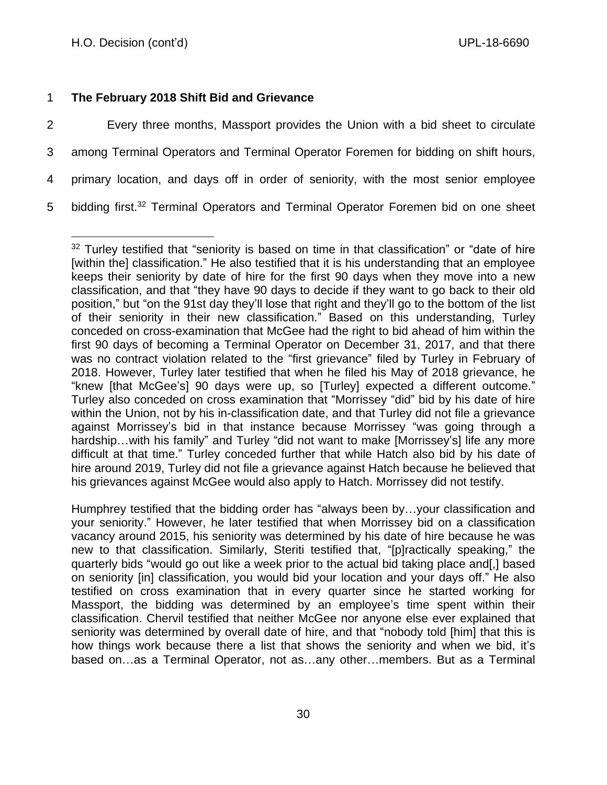# 1 **The February 2018 Shift Bid and Grievance**

 Every three months, Massport provides the Union with a bid sheet to circulate among Terminal Operators and Terminal Operator Foremen for bidding on shift hours, primary location, and days off in order of seniority, with the most senior employee 5 bidding first.<sup>32</sup> Terminal Operators and Terminal Operator Foremen bid on one sheet

Humphrey testified that the bidding order has "always been by…your classification and your seniority." However, he later testified that when Morrissey bid on a classification vacancy around 2015, his seniority was determined by his date of hire because he was new to that classification. Similarly, Steriti testified that, "[p]ractically speaking," the quarterly bids "would go out like a week prior to the actual bid taking place and[,] based on seniority [in] classification, you would bid your location and your days off." He also testified on cross examination that in every quarter since he started working for Massport, the bidding was determined by an employee's time spent within their classification. Chervil testified that neither McGee nor anyone else ever explained that seniority was determined by overall date of hire, and that "nobody told [him] that this is how things work because there a list that shows the seniority and when we bid, it's based on…as a Terminal Operator, not as…any other…members. But as a Terminal

 $32$  Turley testified that "seniority is based on time in that classification" or "date of hire [within the] classification." He also testified that it is his understanding that an employee keeps their seniority by date of hire for the first 90 days when they move into a new classification, and that "they have 90 days to decide if they want to go back to their old position," but "on the 91st day they'll lose that right and they'll go to the bottom of the list of their seniority in their new classification." Based on this understanding, Turley conceded on cross-examination that McGee had the right to bid ahead of him within the first 90 days of becoming a Terminal Operator on December 31, 2017, and that there was no contract violation related to the "first grievance" filed by Turley in February of 2018. However, Turley later testified that when he filed his May of 2018 grievance, he "knew [that McGee's] 90 days were up, so [Turley] expected a different outcome." Turley also conceded on cross examination that "Morrissey "did" bid by his date of hire within the Union, not by his in-classification date, and that Turley did not file a grievance against Morrissey's bid in that instance because Morrissey "was going through a hardship... with his family" and Turley "did not want to make [Morrissey's] life any more difficult at that time." Turley conceded further that while Hatch also bid by his date of hire around 2019, Turley did not file a grievance against Hatch because he believed that his grievances against McGee would also apply to Hatch. Morrissey did not testify.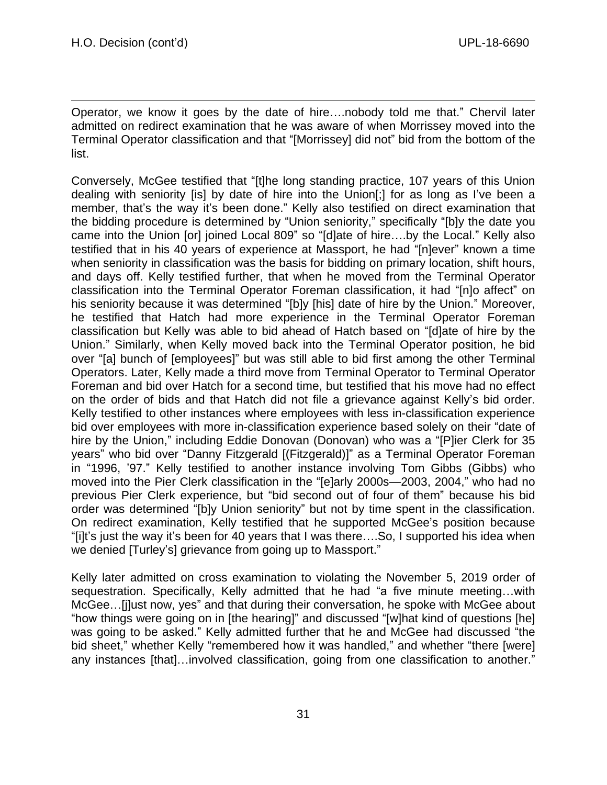Operator, we know it goes by the date of hire….nobody told me that." Chervil later admitted on redirect examination that he was aware of when Morrissey moved into the Terminal Operator classification and that "[Morrissey] did not" bid from the bottom of the list.

Conversely, McGee testified that "[t]he long standing practice, 107 years of this Union dealing with seniority [is] by date of hire into the Union[;] for as long as I've been a member, that's the way it's been done." Kelly also testified on direct examination that the bidding procedure is determined by "Union seniority," specifically "[b]y the date you came into the Union [or] joined Local 809" so "[d]ate of hire….by the Local." Kelly also testified that in his 40 years of experience at Massport, he had "[n]ever" known a time when seniority in classification was the basis for bidding on primary location, shift hours, and days off. Kelly testified further, that when he moved from the Terminal Operator classification into the Terminal Operator Foreman classification, it had "[n]o affect" on his seniority because it was determined "[b]y [his] date of hire by the Union." Moreover, he testified that Hatch had more experience in the Terminal Operator Foreman classification but Kelly was able to bid ahead of Hatch based on "[d]ate of hire by the Union." Similarly, when Kelly moved back into the Terminal Operator position, he bid over "[a] bunch of [employees]" but was still able to bid first among the other Terminal Operators. Later, Kelly made a third move from Terminal Operator to Terminal Operator Foreman and bid over Hatch for a second time, but testified that his move had no effect on the order of bids and that Hatch did not file a grievance against Kelly's bid order. Kelly testified to other instances where employees with less in-classification experience bid over employees with more in-classification experience based solely on their "date of hire by the Union," including Eddie Donovan (Donovan) who was a "[P]ier Clerk for 35 years" who bid over "Danny Fitzgerald [(Fitzgerald)]" as a Terminal Operator Foreman in "1996, '97." Kelly testified to another instance involving Tom Gibbs (Gibbs) who moved into the Pier Clerk classification in the "[e]arly 2000s—2003, 2004," who had no previous Pier Clerk experience, but "bid second out of four of them" because his bid order was determined "[b]y Union seniority" but not by time spent in the classification. On redirect examination, Kelly testified that he supported McGee's position because "[i]t's just the way it's been for 40 years that I was there….So, I supported his idea when we denied [Turley's] grievance from going up to Massport."

Kelly later admitted on cross examination to violating the November 5, 2019 order of sequestration. Specifically, Kelly admitted that he had "a five minute meeting…with McGee…[j]ust now, yes" and that during their conversation, he spoke with McGee about "how things were going on in [the hearing]" and discussed "[w]hat kind of questions [he] was going to be asked." Kelly admitted further that he and McGee had discussed "the bid sheet," whether Kelly "remembered how it was handled," and whether "there [were] any instances [that]…involved classification, going from one classification to another."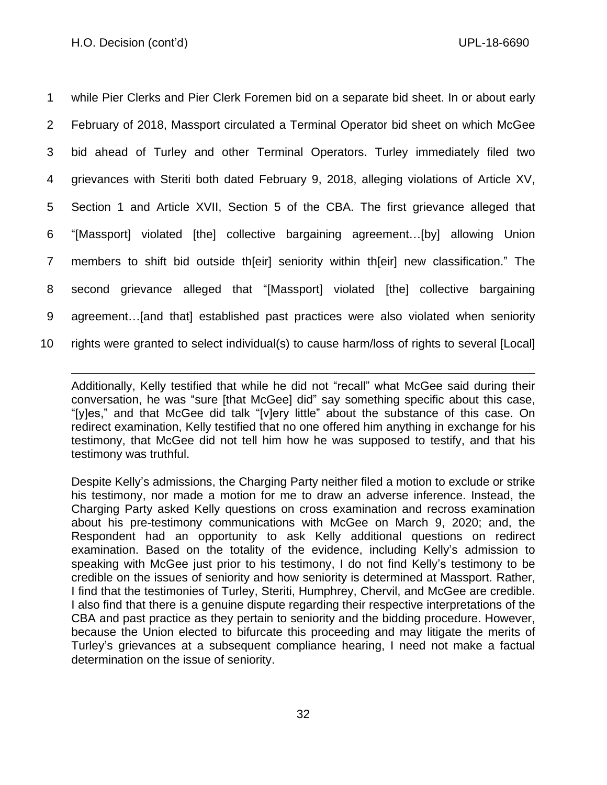while Pier Clerks and Pier Clerk Foremen bid on a separate bid sheet. In or about early February of 2018, Massport circulated a Terminal Operator bid sheet on which McGee bid ahead of Turley and other Terminal Operators. Turley immediately filed two grievances with Steriti both dated February 9, 2018, alleging violations of Article XV, Section 1 and Article XVII, Section 5 of the CBA. The first grievance alleged that "[Massport] violated [the] collective bargaining agreement…[by] allowing Union members to shift bid outside th[eir] seniority within th[eir] new classification." The second grievance alleged that "[Massport] violated [the] collective bargaining agreement…[and that] established past practices were also violated when seniority rights were granted to select individual(s) to cause harm/loss of rights to several [Local]

Additionally, Kelly testified that while he did not "recall" what McGee said during their conversation, he was "sure [that McGee] did" say something specific about this case, "[y]es," and that McGee did talk "[v]ery little" about the substance of this case. On redirect examination, Kelly testified that no one offered him anything in exchange for his testimony, that McGee did not tell him how he was supposed to testify, and that his testimony was truthful.

Despite Kelly's admissions, the Charging Party neither filed a motion to exclude or strike his testimony, nor made a motion for me to draw an adverse inference. Instead, the Charging Party asked Kelly questions on cross examination and recross examination about his pre-testimony communications with McGee on March 9, 2020; and, the Respondent had an opportunity to ask Kelly additional questions on redirect examination. Based on the totality of the evidence, including Kelly's admission to speaking with McGee just prior to his testimony, I do not find Kelly's testimony to be credible on the issues of seniority and how seniority is determined at Massport. Rather, I find that the testimonies of Turley, Steriti, Humphrey, Chervil, and McGee are credible. I also find that there is a genuine dispute regarding their respective interpretations of the CBA and past practice as they pertain to seniority and the bidding procedure. However, because the Union elected to bifurcate this proceeding and may litigate the merits of Turley's grievances at a subsequent compliance hearing, I need not make a factual determination on the issue of seniority.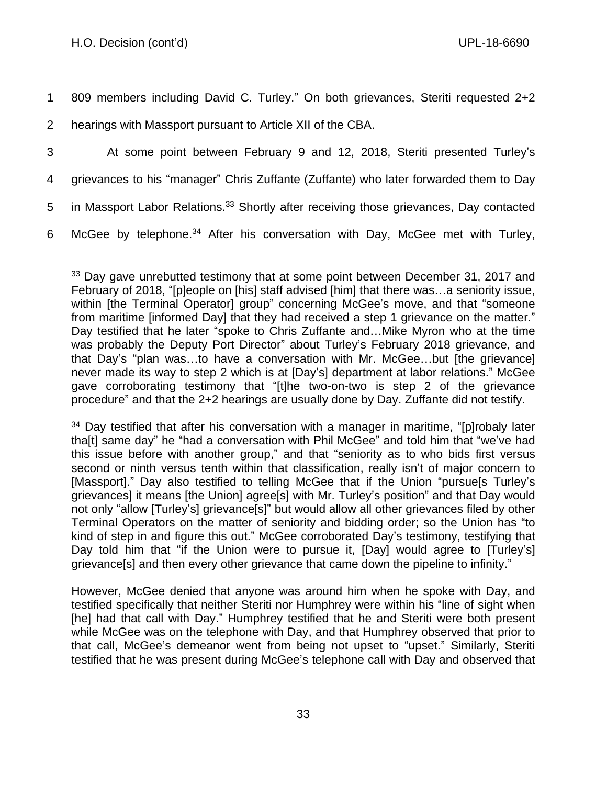1 809 members including David C. Turley." On both grievances, Steriti requested 2+2

- 2 hearings with Massport pursuant to Article XII of the CBA.
- 3 At some point between February 9 and 12, 2018, Steriti presented Turley's
- 4 grievances to his "manager" Chris Zuffante (Zuffante) who later forwarded them to Day
- 5 in Massport Labor Relations.<sup>33</sup> Shortly after receiving those grievances, Day contacted
- 6 McGee by telephone.<sup>34</sup> After his conversation with Day, McGee met with Turley,

<sup>&</sup>lt;sup>33</sup> Day gave unrebutted testimony that at some point between December 31, 2017 and February of 2018, "[p]eople on [his] staff advised [him] that there was…a seniority issue, within [the Terminal Operator] group" concerning McGee's move, and that "someone from maritime [informed Day] that they had received a step 1 grievance on the matter." Day testified that he later "spoke to Chris Zuffante and…Mike Myron who at the time was probably the Deputy Port Director" about Turley's February 2018 grievance, and that Day's "plan was…to have a conversation with Mr. McGee…but [the grievance] never made its way to step 2 which is at [Day's] department at labor relations." McGee gave corroborating testimony that "[t]he two-on-two is step 2 of the grievance procedure" and that the 2+2 hearings are usually done by Day. Zuffante did not testify.

 $34$  Day testified that after his conversation with a manager in maritime, "[p]robaly later tha[t] same day" he "had a conversation with Phil McGee" and told him that "we've had this issue before with another group," and that "seniority as to who bids first versus second or ninth versus tenth within that classification, really isn't of major concern to [Massport]." Day also testified to telling McGee that if the Union "pursue[s Turley's grievances] it means [the Union] agree[s] with Mr. Turley's position" and that Day would not only "allow [Turley's] grievance[s]" but would allow all other grievances filed by other Terminal Operators on the matter of seniority and bidding order; so the Union has "to kind of step in and figure this out." McGee corroborated Day's testimony, testifying that Day told him that "if the Union were to pursue it, [Day] would agree to [Turley's] grievance[s] and then every other grievance that came down the pipeline to infinity."

However, McGee denied that anyone was around him when he spoke with Day, and testified specifically that neither Steriti nor Humphrey were within his "line of sight when [he] had that call with Day." Humphrey testified that he and Steriti were both present while McGee was on the telephone with Day, and that Humphrey observed that prior to that call, McGee's demeanor went from being not upset to "upset." Similarly, Steriti testified that he was present during McGee's telephone call with Day and observed that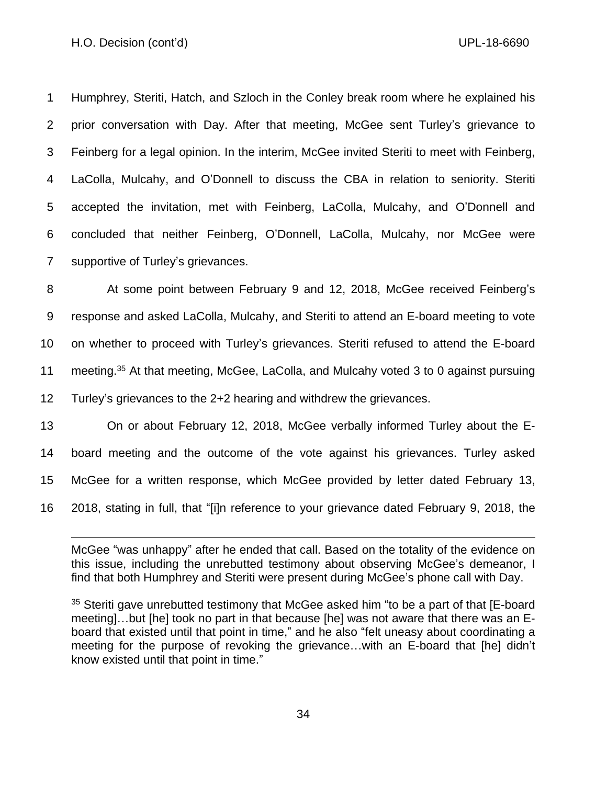Humphrey, Steriti, Hatch, and Szloch in the Conley break room where he explained his prior conversation with Day. After that meeting, McGee sent Turley's grievance to Feinberg for a legal opinion. In the interim, McGee invited Steriti to meet with Feinberg, LaColla, Mulcahy, and O'Donnell to discuss the CBA in relation to seniority. Steriti accepted the invitation, met with Feinberg, LaColla, Mulcahy, and O'Donnell and concluded that neither Feinberg, O'Donnell, LaColla, Mulcahy, nor McGee were supportive of Turley's grievances.

 At some point between February 9 and 12, 2018, McGee received Feinberg's response and asked LaColla, Mulcahy, and Steriti to attend an E-board meeting to vote on whether to proceed with Turley's grievances. Steriti refused to attend the E-board 11 meeting.<sup>35</sup> At that meeting, McGee, LaColla, and Mulcahy voted 3 to 0 against pursuing Turley's grievances to the 2+2 hearing and withdrew the grievances.

 On or about February 12, 2018, McGee verbally informed Turley about the E- board meeting and the outcome of the vote against his grievances. Turley asked McGee for a written response, which McGee provided by letter dated February 13, 2018, stating in full, that "[i]n reference to your grievance dated February 9, 2018, the

McGee "was unhappy" after he ended that call. Based on the totality of the evidence on this issue, including the unrebutted testimony about observing McGee's demeanor, I find that both Humphrey and Steriti were present during McGee's phone call with Day.

<sup>35</sup> Steriti gave unrebutted testimony that McGee asked him "to be a part of that [E-board meeting]…but [he] took no part in that because [he] was not aware that there was an Eboard that existed until that point in time," and he also "felt uneasy about coordinating a meeting for the purpose of revoking the grievance…with an E-board that [he] didn't know existed until that point in time."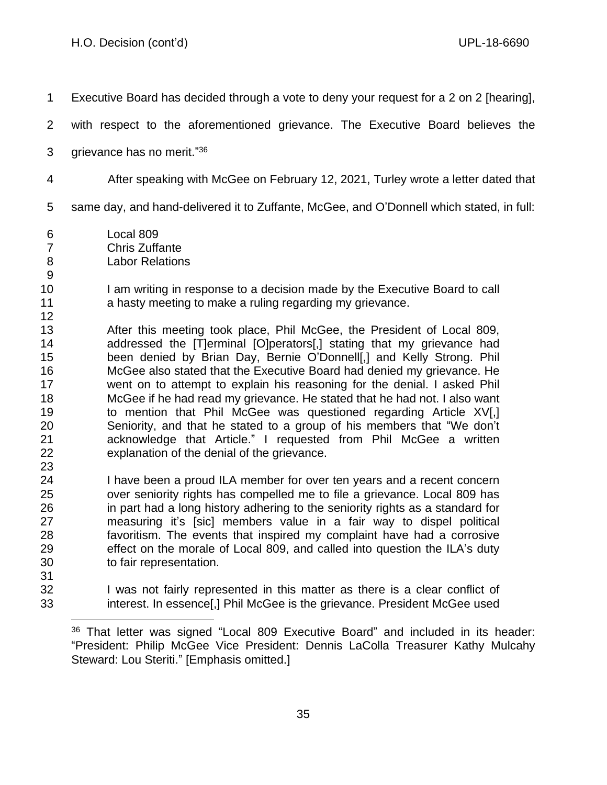Executive Board has decided through a vote to deny your request for a 2 on 2 [hearing], with respect to the aforementioned grievance. The Executive Board believes the 3 grievance has no merit."<sup>36</sup> After speaking with McGee on February 12, 2021, Turley wrote a letter dated that same day, and hand-delivered it to Zuffante, McGee, and O'Donnell which stated, in full: Local 809 Chris Zuffante Labor Relations 10 I am writing in response to a decision made by the Executive Board to call **a** hasty meeting to make a ruling regarding my grievance. After this meeting took place, Phil McGee, the President of Local 809, addressed the [T]erminal [O]perators[,] stating that my grievance had been denied by Brian Day, Bernie O'Donnell[,] and Kelly Strong. Phil McGee also stated that the Executive Board had denied my grievance. He went on to attempt to explain his reasoning for the denial. I asked Phil McGee if he had read my grievance. He stated that he had not. I also want to mention that Phil McGee was questioned regarding Article XV[,] Seniority, and that he stated to a group of his members that "We don't acknowledge that Article." I requested from Phil McGee a written explanation of the denial of the grievance. I have been a proud ILA member for over ten years and a recent concern over seniority rights has compelled me to file a grievance. Local 809 has in part had a long history adhering to the seniority rights as a standard for measuring it's [sic] members value in a fair way to dispel political favoritism. The events that inspired my complaint have had a corrosive effect on the morale of Local 809, and called into question the ILA's duty to fair representation. I was not fairly represented in this matter as there is a clear conflict of interest. In essence[,] Phil McGee is the grievance. President McGee used

 That letter was signed "Local 809 Executive Board" and included in its header: "President: Philip McGee Vice President: Dennis LaColla Treasurer Kathy Mulcahy Steward: Lou Steriti." [Emphasis omitted.]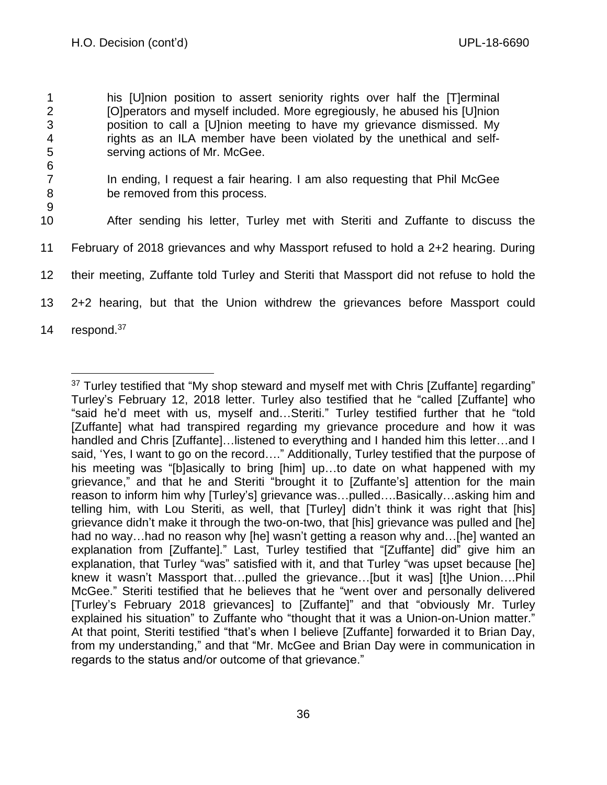his [U]nion position to assert seniority rights over half the [T]erminal [O]perators and myself included. More egregiously, he abused his [U]nion position to call a [U]nion meeting to have my grievance dismissed. My rights as an ILA member have been violated by the unethical and self- serving actions of Mr. McGee. 6 In ending, I request a fair hearing. I am also requesting that Phil McGee be removed from this process. 9 After sending his letter, Turley met with Steriti and Zuffante to discuss the February of 2018 grievances and why Massport refused to hold a 2+2 hearing. During their meeting, Zuffante told Turley and Steriti that Massport did not refuse to hold the 2+2 hearing, but that the Union withdrew the grievances before Massport could 14 respond.<sup>37</sup>

<sup>&</sup>lt;sup>37</sup> Turley testified that "My shop steward and myself met with Chris [Zuffante] regarding" Turley's February 12, 2018 letter. Turley also testified that he "called [Zuffante] who "said he'd meet with us, myself and…Steriti." Turley testified further that he "told [Zuffante] what had transpired regarding my grievance procedure and how it was handled and Chris [Zuffante]…listened to everything and I handed him this letter…and I said, 'Yes, I want to go on the record…." Additionally, Turley testified that the purpose of his meeting was "[b]asically to bring [him] up…to date on what happened with my grievance," and that he and Steriti "brought it to [Zuffante's] attention for the main reason to inform him why [Turley's] grievance was…pulled….Basically…asking him and telling him, with Lou Steriti, as well, that [Turley] didn't think it was right that [his] grievance didn't make it through the two-on-two, that [his] grievance was pulled and [he] had no way…had no reason why [he] wasn't getting a reason why and…[he] wanted an explanation from [Zuffante]." Last, Turley testified that "[Zuffante] did" give him an explanation, that Turley "was" satisfied with it, and that Turley "was upset because [he] knew it wasn't Massport that…pulled the grievance…[but it was] [t]he Union….Phil McGee." Steriti testified that he believes that he "went over and personally delivered [Turley's February 2018 grievances] to [Zuffante]" and that "obviously Mr. Turley explained his situation" to Zuffante who "thought that it was a Union-on-Union matter." At that point, Steriti testified "that's when I believe [Zuffante] forwarded it to Brian Day, from my understanding," and that "Mr. McGee and Brian Day were in communication in regards to the status and/or outcome of that grievance."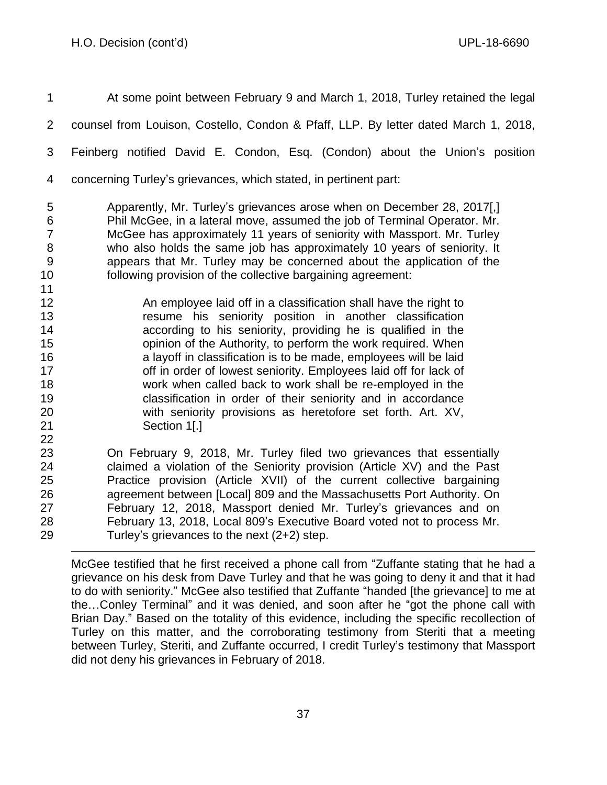At some point between February 9 and March 1, 2018, Turley retained the legal counsel from Louison, Costello, Condon & Pfaff, LLP. By letter dated March 1, 2018, Feinberg notified David E. Condon, Esq. (Condon) about the Union's position

concerning Turley's grievances, which stated, in pertinent part:

 Apparently, Mr. Turley's grievances arose when on December 28, 2017[,] Phil McGee, in a lateral move, assumed the job of Terminal Operator. Mr. McGee has approximately 11 years of seniority with Massport. Mr. Turley who also holds the same job has approximately 10 years of seniority. It appears that Mr. Turley may be concerned about the application of the following provision of the collective bargaining agreement:

 An employee laid off in a classification shall have the right to resume his seniority position in another classification according to his seniority, providing he is qualified in the opinion of the Authority, to perform the work required. When a layoff in classification is to be made, employees will be laid **17** off in order of lowest seniority. Employees laid off for lack of work when called back to work shall be re-employed in the classification in order of their seniority and in accordance with seniority provisions as heretofore set forth. Art. XV, Section 1[.] 

 On February 9, 2018, Mr. Turley filed two grievances that essentially claimed a violation of the Seniority provision (Article XV) and the Past Practice provision (Article XVII) of the current collective bargaining 26 agreement between [Local] 809 and the Massachusetts Port Authority. On February 12, 2018, Massport denied Mr. Turley's grievances and on February 13, 2018, Local 809's Executive Board voted not to process Mr. Turley's grievances to the next (2+2) step.

McGee testified that he first received a phone call from "Zuffante stating that he had a grievance on his desk from Dave Turley and that he was going to deny it and that it had to do with seniority." McGee also testified that Zuffante "handed [the grievance] to me at the…Conley Terminal" and it was denied, and soon after he "got the phone call with Brian Day." Based on the totality of this evidence, including the specific recollection of Turley on this matter, and the corroborating testimony from Steriti that a meeting between Turley, Steriti, and Zuffante occurred, I credit Turley's testimony that Massport did not deny his grievances in February of 2018.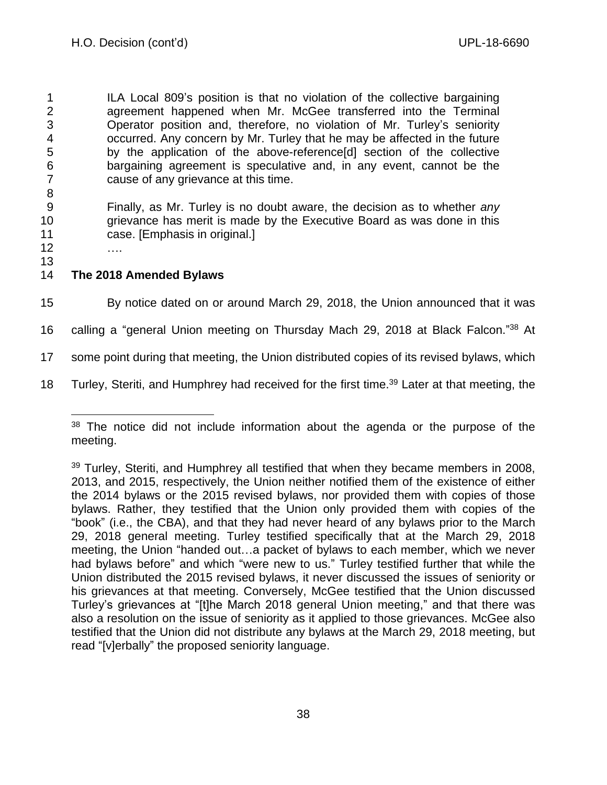ILA Local 809's position is that no violation of the collective bargaining agreement happened when Mr. McGee transferred into the Terminal Operator position and, therefore, no violation of Mr. Turley's seniority occurred. Any concern by Mr. Turley that he may be affected in the future by the application of the above-reference[d] section of the collective bargaining agreement is speculative and, in any event, cannot be the cause of any grievance at this time. 8

9 Finally, as Mr. Turley is no doubt aware, the decision as to whether *any* 10 grievance has merit is made by the Executive Board as was done in this 11 case. [Emphasis in original.]

12 …. 13

# 14 **The 2018 Amended Bylaws**

15 By notice dated on or around March 29, 2018, the Union announced that it was

16 calling a "general Union meeting on Thursday Mach 29, 2018 at Black Falcon."38 At

17 some point during that meeting, the Union distributed copies of its revised bylaws, which

18 Turley, Steriti, and Humphrey had received for the first time.<sup>39</sup> Later at that meeting, the

<sup>&</sup>lt;sup>38</sup> The notice did not include information about the agenda or the purpose of the meeting.

 $39$  Turley, Steriti, and Humphrey all testified that when they became members in 2008, 2013, and 2015, respectively, the Union neither notified them of the existence of either the 2014 bylaws or the 2015 revised bylaws, nor provided them with copies of those bylaws. Rather, they testified that the Union only provided them with copies of the "book" (i.e., the CBA), and that they had never heard of any bylaws prior to the March 29, 2018 general meeting. Turley testified specifically that at the March 29, 2018 meeting, the Union "handed out…a packet of bylaws to each member, which we never had bylaws before" and which "were new to us." Turley testified further that while the Union distributed the 2015 revised bylaws, it never discussed the issues of seniority or his grievances at that meeting. Conversely, McGee testified that the Union discussed Turley's grievances at "[t]he March 2018 general Union meeting," and that there was also a resolution on the issue of seniority as it applied to those grievances. McGee also testified that the Union did not distribute any bylaws at the March 29, 2018 meeting, but read "[v]erbally" the proposed seniority language.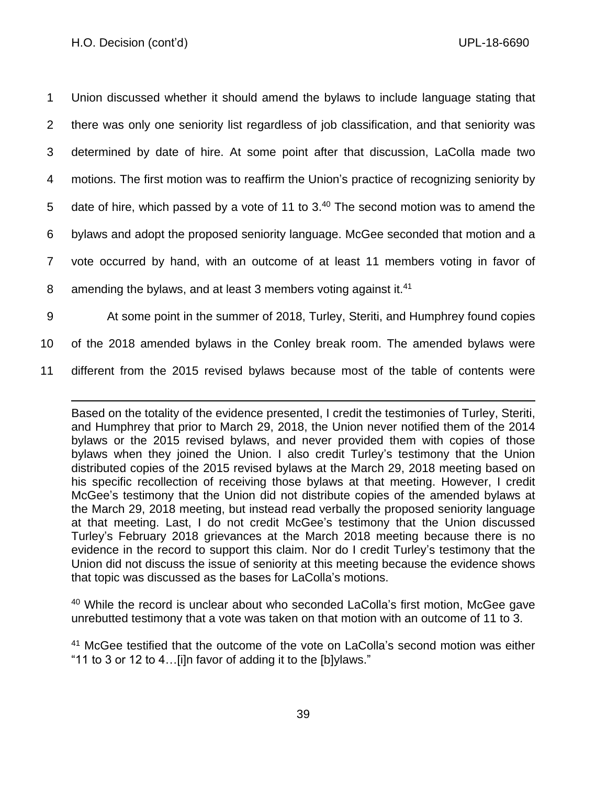Union discussed whether it should amend the bylaws to include language stating that there was only one seniority list regardless of job classification, and that seniority was determined by date of hire. At some point after that discussion, LaColla made two motions. The first motion was to reaffirm the Union's practice of recognizing seniority by 5 date of hire, which passed by a vote of 11 to  $3.40$  The second motion was to amend the bylaws and adopt the proposed seniority language. McGee seconded that motion and a vote occurred by hand, with an outcome of at least 11 members voting in favor of 8 amending the bylaws, and at least 3 members voting against it.<sup>41</sup> At some point in the summer of 2018, Turley, Steriti, and Humphrey found copies

10 of the 2018 amended bylaws in the Conley break room. The amended bylaws were

11 different from the 2015 revised bylaws because most of the table of contents were

Based on the totality of the evidence presented, I credit the testimonies of Turley, Steriti, and Humphrey that prior to March 29, 2018, the Union never notified them of the 2014 bylaws or the 2015 revised bylaws, and never provided them with copies of those bylaws when they joined the Union. I also credit Turley's testimony that the Union distributed copies of the 2015 revised bylaws at the March 29, 2018 meeting based on his specific recollection of receiving those bylaws at that meeting. However, I credit McGee's testimony that the Union did not distribute copies of the amended bylaws at the March 29, 2018 meeting, but instead read verbally the proposed seniority language at that meeting. Last, I do not credit McGee's testimony that the Union discussed Turley's February 2018 grievances at the March 2018 meeting because there is no evidence in the record to support this claim. Nor do I credit Turley's testimony that the Union did not discuss the issue of seniority at this meeting because the evidence shows that topic was discussed as the bases for LaColla's motions.

<sup>40</sup> While the record is unclear about who seconded LaColla's first motion, McGee gave unrebutted testimony that a vote was taken on that motion with an outcome of 11 to 3.

<sup>41</sup> McGee testified that the outcome of the vote on LaColla's second motion was either "11 to 3 or 12 to 4…[i]n favor of adding it to the [b]ylaws."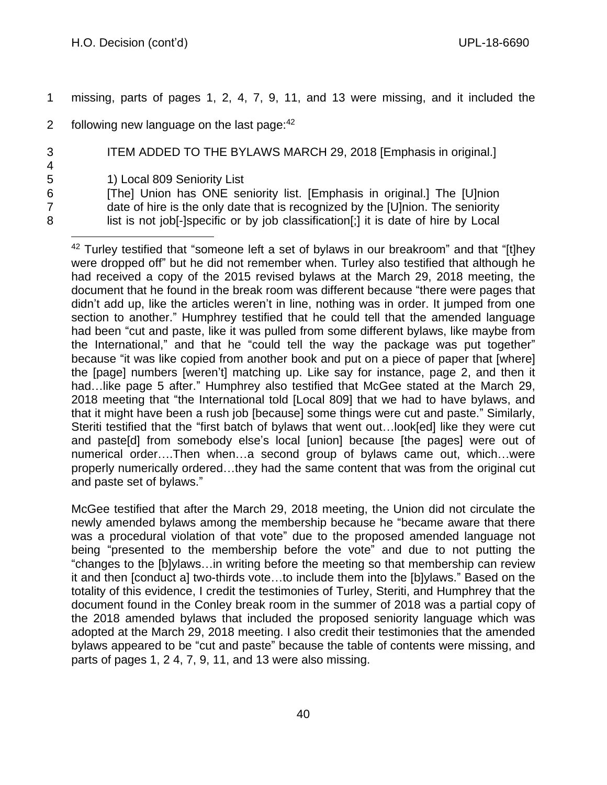1 missing, parts of pages 1, 2, 4, 7, 9, 11, and 13 were missing, and it included the

2 following new language on the last page: $42$ 

3 ITEM ADDED TO THE BYLAWS MARCH 29, 2018 [Emphasis in original.]

5 1) Local 809 Seniority List

4

6 [The] Union has ONE seniority list. [Emphasis in original.] The [U]nion 7 date of hire is the only date that is recognized by the [U]nion. The seniority 8 list is not job[-]specific or by job classification[;] it is date of hire by Local

 $42$  Turley testified that "someone left a set of bylaws in our breakroom" and that "[t]hey were dropped off" but he did not remember when. Turley also testified that although he had received a copy of the 2015 revised bylaws at the March 29, 2018 meeting, the document that he found in the break room was different because "there were pages that didn't add up, like the articles weren't in line, nothing was in order. It jumped from one section to another." Humphrey testified that he could tell that the amended language had been "cut and paste, like it was pulled from some different bylaws, like maybe from the International," and that he "could tell the way the package was put together" because "it was like copied from another book and put on a piece of paper that [where] the [page] numbers [weren't] matching up. Like say for instance, page 2, and then it had... like page 5 after." Humphrey also testified that McGee stated at the March 29, 2018 meeting that "the International told [Local 809] that we had to have bylaws, and that it might have been a rush job [because] some things were cut and paste." Similarly, Steriti testified that the "first batch of bylaws that went out…look[ed] like they were cut and paste[d] from somebody else's local [union] because [the pages] were out of numerical order….Then when…a second group of bylaws came out, which…were properly numerically ordered…they had the same content that was from the original cut and paste set of bylaws."

McGee testified that after the March 29, 2018 meeting, the Union did not circulate the newly amended bylaws among the membership because he "became aware that there was a procedural violation of that vote" due to the proposed amended language not being "presented to the membership before the vote" and due to not putting the "changes to the [b]ylaws…in writing before the meeting so that membership can review it and then [conduct a] two-thirds vote…to include them into the [b]ylaws." Based on the totality of this evidence, I credit the testimonies of Turley, Steriti, and Humphrey that the document found in the Conley break room in the summer of 2018 was a partial copy of the 2018 amended bylaws that included the proposed seniority language which was adopted at the March 29, 2018 meeting. I also credit their testimonies that the amended bylaws appeared to be "cut and paste" because the table of contents were missing, and parts of pages 1, 2 4, 7, 9, 11, and 13 were also missing.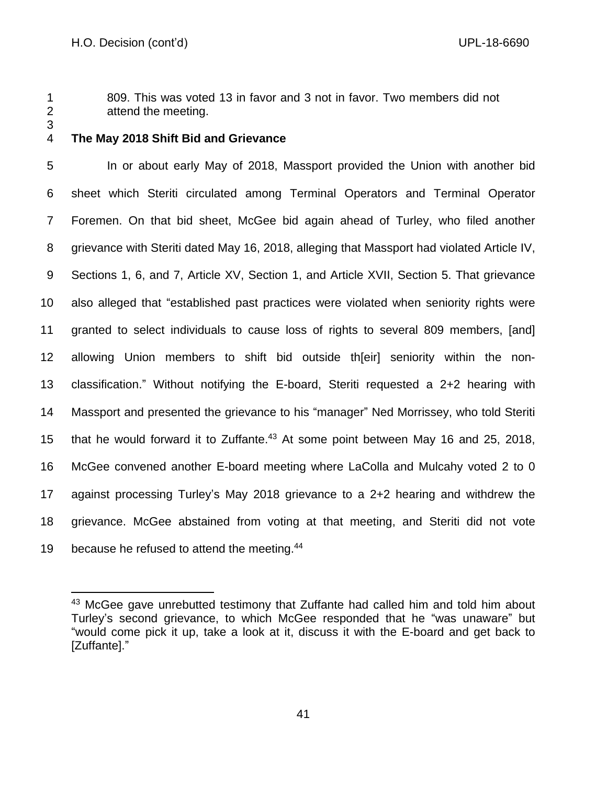809. This was voted 13 in favor and 3 not in favor. Two members did not attend the meeting.

## **The May 2018 Shift Bid and Grievance**

 In or about early May of 2018, Massport provided the Union with another bid sheet which Steriti circulated among Terminal Operators and Terminal Operator Foremen. On that bid sheet, McGee bid again ahead of Turley, who filed another grievance with Steriti dated May 16, 2018, alleging that Massport had violated Article IV, Sections 1, 6, and 7, Article XV, Section 1, and Article XVII, Section 5. That grievance also alleged that "established past practices were violated when seniority rights were granted to select individuals to cause loss of rights to several 809 members, [and] allowing Union members to shift bid outside th[eir] seniority within the non- classification." Without notifying the E-board, Steriti requested a 2+2 hearing with Massport and presented the grievance to his "manager" Ned Morrissey, who told Steriti 15 that he would forward it to Zuffante.<sup>43</sup> At some point between May 16 and 25, 2018, McGee convened another E-board meeting where LaColla and Mulcahy voted 2 to 0 against processing Turley's May 2018 grievance to a 2+2 hearing and withdrew the grievance. McGee abstained from voting at that meeting, and Steriti did not vote 19 because he refused to attend the meeting.<sup>44</sup>

<sup>&</sup>lt;sup>43</sup> McGee gave unrebutted testimony that Zuffante had called him and told him about Turley's second grievance, to which McGee responded that he "was unaware" but "would come pick it up, take a look at it, discuss it with the E-board and get back to [Zuffante]."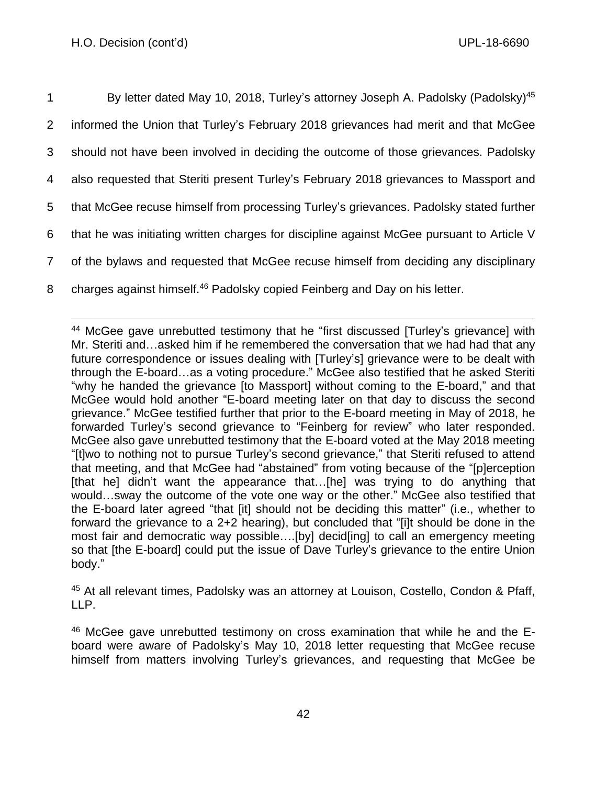| $\mathbf{1}$   | By letter dated May 10, 2018, Turley's attorney Joseph A. Padolsky (Padolsky) <sup>45</sup> |
|----------------|---------------------------------------------------------------------------------------------|
| $\overline{2}$ | informed the Union that Turley's February 2018 grievances had merit and that McGee          |
| 3              | should not have been involved in deciding the outcome of those grievances. Padolsky         |
| 4              | also requested that Steriti present Turley's February 2018 grievances to Massport and       |
| 5              | that McGee recuse himself from processing Turley's grievances. Padolsky stated further      |
| 6              | that he was initiating written charges for discipline against McGee pursuant to Article V   |
| $\overline{7}$ | of the bylaws and requested that McGee recuse himself from deciding any disciplinary        |
| 8              | charges against himself. <sup>46</sup> Padolsky copied Feinberg and Day on his letter.      |

<sup>44</sup> McGee gave unrebutted testimony that he "first discussed [Turley's grievance] with Mr. Steriti and…asked him if he remembered the conversation that we had had that any future correspondence or issues dealing with [Turley's] grievance were to be dealt with through the E-board…as a voting procedure." McGee also testified that he asked Steriti "why he handed the grievance [to Massport] without coming to the E-board," and that McGee would hold another "E-board meeting later on that day to discuss the second grievance." McGee testified further that prior to the E-board meeting in May of 2018, he forwarded Turley's second grievance to "Feinberg for review" who later responded. McGee also gave unrebutted testimony that the E-board voted at the May 2018 meeting "[t]wo to nothing not to pursue Turley's second grievance," that Steriti refused to attend that meeting, and that McGee had "abstained" from voting because of the "[p]erception [that he] didn't want the appearance that...[he] was trying to do anything that would…sway the outcome of the vote one way or the other." McGee also testified that the E-board later agreed "that [it] should not be deciding this matter" (i.e., whether to forward the grievance to a 2+2 hearing), but concluded that "[i]t should be done in the most fair and democratic way possible….[by] decid[ing] to call an emergency meeting so that [the E-board] could put the issue of Dave Turley's grievance to the entire Union body."

<sup>45</sup> At all relevant times, Padolsky was an attorney at Louison, Costello, Condon & Pfaff, LLP.

<sup>46</sup> McGee gave unrebutted testimony on cross examination that while he and the Eboard were aware of Padolsky's May 10, 2018 letter requesting that McGee recuse himself from matters involving Turley's grievances, and requesting that McGee be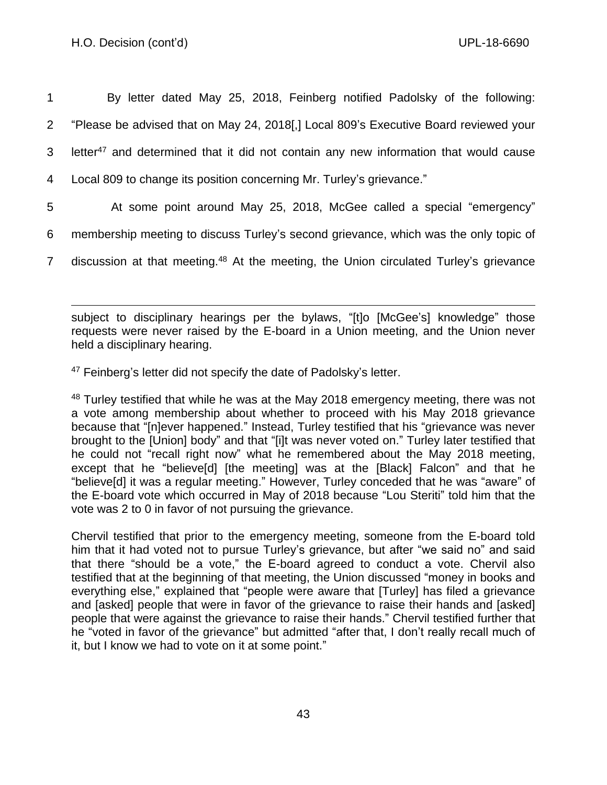| $1 \quad$ | By letter dated May 25, 2018, Feinberg notified Padolsky of the following:                         |
|-----------|----------------------------------------------------------------------------------------------------|
|           | "Please be advised that on May 24, 2018[,] Local 809's Executive Board reviewed your               |
|           | 3 letter <sup>47</sup> and determined that it did not contain any new information that would cause |
|           | 4 Local 809 to change its position concerning Mr. Turley's grievance."                             |

- 5 At some point around May 25, 2018, McGee called a special "emergency"
- 6 membership meeting to discuss Turley's second grievance, which was the only topic of
- 7 discussion at that meeting.<sup>48</sup> At the meeting, the Union circulated Turley's grievance

subject to disciplinary hearings per the bylaws, "[t]o [McGee's] knowledge" those requests were never raised by the E-board in a Union meeting, and the Union never held a disciplinary hearing.

 $47$  Feinberg's letter did not specify the date of Padolsky's letter.

<sup>48</sup> Turley testified that while he was at the May 2018 emergency meeting, there was not a vote among membership about whether to proceed with his May 2018 grievance because that "[n]ever happened." Instead, Turley testified that his "grievance was never brought to the [Union] body" and that "[i]t was never voted on." Turley later testified that he could not "recall right now" what he remembered about the May 2018 meeting, except that he "believe[d] [the meeting] was at the [Black] Falcon" and that he "believe[d] it was a regular meeting." However, Turley conceded that he was "aware" of the E-board vote which occurred in May of 2018 because "Lou Steriti" told him that the vote was 2 to 0 in favor of not pursuing the grievance.

Chervil testified that prior to the emergency meeting, someone from the E-board told him that it had voted not to pursue Turley's grievance, but after "we said no" and said that there "should be a vote," the E-board agreed to conduct a vote. Chervil also testified that at the beginning of that meeting, the Union discussed "money in books and everything else," explained that "people were aware that [Turley] has filed a grievance and [asked] people that were in favor of the grievance to raise their hands and [asked] people that were against the grievance to raise their hands." Chervil testified further that he "voted in favor of the grievance" but admitted "after that, I don't really recall much of it, but I know we had to vote on it at some point."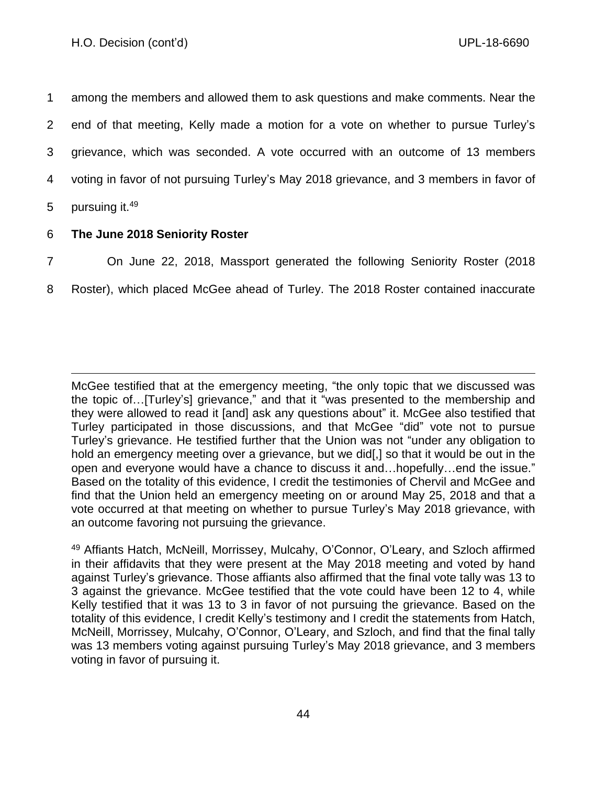among the members and allowed them to ask questions and make comments. Near the end of that meeting, Kelly made a motion for a vote on whether to pursue Turley's grievance, which was seconded. A vote occurred with an outcome of 13 members voting in favor of not pursuing Turley's May 2018 grievance, and 3 members in favor of 5 pursuing it.<sup>49</sup>

## 6 **The June 2018 Seniority Roster**

- 7 On June 22, 2018, Massport generated the following Seniority Roster (2018
- 8 Roster), which placed McGee ahead of Turley. The 2018 Roster contained inaccurate

McGee testified that at the emergency meeting, "the only topic that we discussed was the topic of…[Turley's] grievance," and that it "was presented to the membership and they were allowed to read it [and] ask any questions about" it. McGee also testified that Turley participated in those discussions, and that McGee "did" vote not to pursue Turley's grievance. He testified further that the Union was not "under any obligation to hold an emergency meeting over a grievance, but we did. I so that it would be out in the open and everyone would have a chance to discuss it and…hopefully…end the issue." Based on the totality of this evidence, I credit the testimonies of Chervil and McGee and find that the Union held an emergency meeting on or around May 25, 2018 and that a vote occurred at that meeting on whether to pursue Turley's May 2018 grievance, with an outcome favoring not pursuing the grievance.

<sup>49</sup> Affiants Hatch, McNeill, Morrissey, Mulcahy, O'Connor, O'Leary, and Szloch affirmed in their affidavits that they were present at the May 2018 meeting and voted by hand against Turley's grievance. Those affiants also affirmed that the final vote tally was 13 to 3 against the grievance. McGee testified that the vote could have been 12 to 4, while Kelly testified that it was 13 to 3 in favor of not pursuing the grievance. Based on the totality of this evidence, I credit Kelly's testimony and I credit the statements from Hatch, McNeill, Morrissey, Mulcahy, O'Connor, O'Leary, and Szloch, and find that the final tally was 13 members voting against pursuing Turley's May 2018 grievance, and 3 members voting in favor of pursuing it.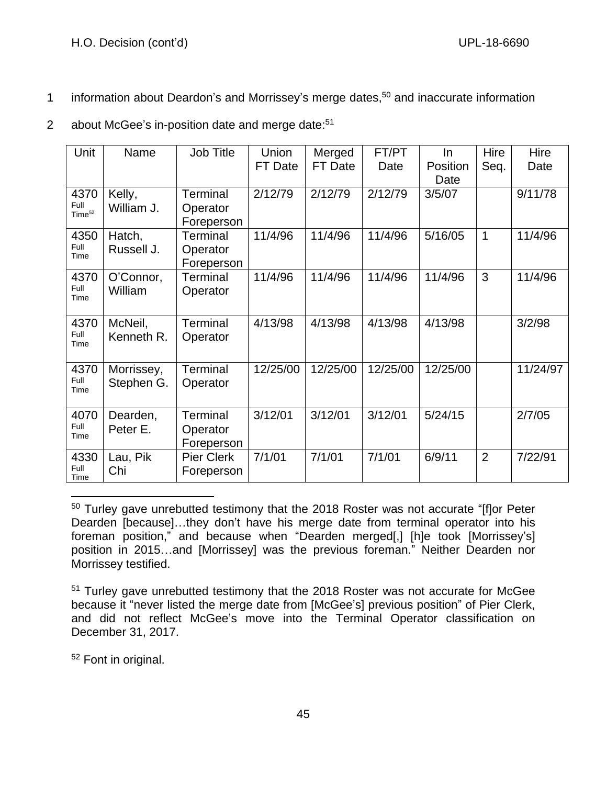- 1 information about Deardon's and Morrissey's merge dates,<sup>50</sup> and inaccurate information
- 2 about McGee's in-position date and merge date:<sup>51</sup>

| Unit                       | Name       | <b>Job Title</b>  | Union    | Merged   | FT/PT    | In       | Hire           | Hire     |
|----------------------------|------------|-------------------|----------|----------|----------|----------|----------------|----------|
|                            |            |                   | FT Date  | FT Date  | Date     | Position | Seq.           | Date     |
|                            |            |                   |          |          |          | Date     |                |          |
| 4370                       | Kelly,     | <b>Terminal</b>   | 2/12/79  | 2/12/79  | 2/12/79  | 3/5/07   |                | 9/11/78  |
| Full<br>Time <sup>52</sup> | William J. | Operator          |          |          |          |          |                |          |
|                            |            | Foreperson        |          |          |          |          |                |          |
| 4350                       | Hatch,     | <b>Terminal</b>   | 11/4/96  | 11/4/96  | 11/4/96  | 5/16/05  | 1              | 11/4/96  |
| Full<br>Time               | Russell J. | Operator          |          |          |          |          |                |          |
|                            |            | Foreperson        |          |          |          |          |                |          |
| 4370                       | O'Connor,  | <b>Terminal</b>   | 11/4/96  | 11/4/96  | 11/4/96  | 11/4/96  | 3              | 11/4/96  |
| Full<br>Time               | William    | Operator          |          |          |          |          |                |          |
|                            |            |                   |          |          |          |          |                |          |
| 4370                       | McNeil,    | Terminal          | 4/13/98  | 4/13/98  | 4/13/98  | 4/13/98  |                | 3/2/98   |
| Full<br>Time               | Kenneth R. | Operator          |          |          |          |          |                |          |
|                            |            |                   |          |          |          |          |                |          |
| 4370                       | Morrissey, | <b>Terminal</b>   | 12/25/00 | 12/25/00 | 12/25/00 | 12/25/00 |                | 11/24/97 |
| Full                       | Stephen G. | Operator          |          |          |          |          |                |          |
| Time                       |            |                   |          |          |          |          |                |          |
| 4070                       | Dearden,   | <b>Terminal</b>   | 3/12/01  | 3/12/01  | 3/12/01  | 5/24/15  |                | 2/7/05   |
| Full                       | Peter E.   | Operator          |          |          |          |          |                |          |
| Time                       |            | Foreperson        |          |          |          |          |                |          |
| 4330                       | Lau, Pik   | <b>Pier Clerk</b> | 7/1/01   | 7/1/01   | 7/1/01   | 6/9/11   | $\overline{2}$ | 7/22/91  |
| Full                       | Chi        | Foreperson        |          |          |          |          |                |          |
| Time                       |            |                   |          |          |          |          |                |          |

<sup>&</sup>lt;sup>50</sup> Turley gave unrebutted testimony that the 2018 Roster was not accurate "[f]or Peter Dearden [because]…they don't have his merge date from terminal operator into his foreman position," and because when "Dearden merged[,] [h]e took [Morrissey's] position in 2015…and [Morrissey] was the previous foreman." Neither Dearden nor Morrissey testified.

<sup>52</sup> Font in original.

<sup>&</sup>lt;sup>51</sup> Turley gave unrebutted testimony that the 2018 Roster was not accurate for McGee because it "never listed the merge date from [McGee's] previous position" of Pier Clerk, and did not reflect McGee's move into the Terminal Operator classification on December 31, 2017.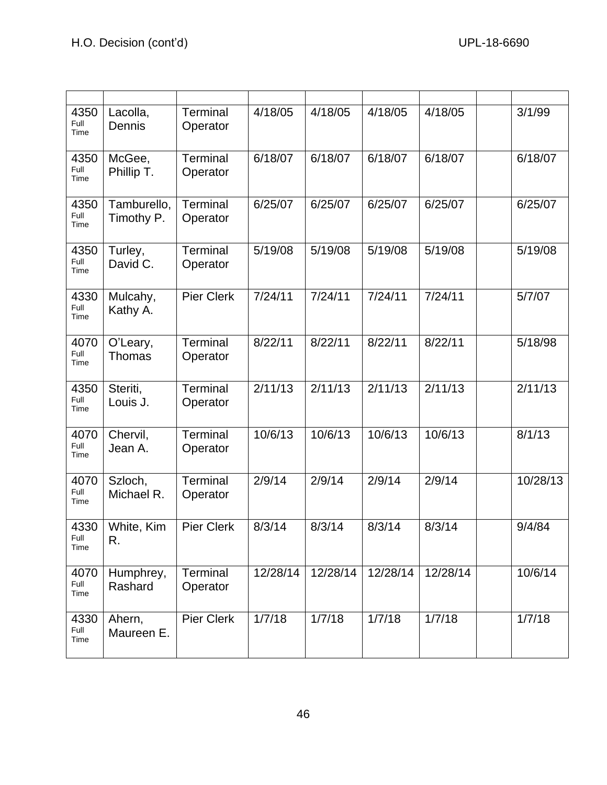| 4350<br>Full<br>Time | Lacolla,<br>Dennis        | <b>Terminal</b><br>Operator | 4/18/05  | 4/18/05  | 4/18/05  | 4/18/05  | 3/1/99   |
|----------------------|---------------------------|-----------------------------|----------|----------|----------|----------|----------|
| 4350<br>Full<br>Time | McGee,<br>Phillip T.      | Terminal<br>Operator        | 6/18/07  | 6/18/07  | 6/18/07  | 6/18/07  | 6/18/07  |
| 4350<br>Full<br>Time | Tamburello,<br>Timothy P. | Terminal<br>Operator        | 6/25/07  | 6/25/07  | 6/25/07  | 6/25/07  | 6/25/07  |
| 4350<br>Full<br>Time | Turley,<br>David C.       | Terminal<br>Operator        | 5/19/08  | 5/19/08  | 5/19/08  | 5/19/08  | 5/19/08  |
| 4330<br>Full<br>Time | Mulcahy,<br>Kathy A.      | <b>Pier Clerk</b>           | 7/24/11  | 7/24/11  | 7/24/11  | 7/24/11  | 5/7/07   |
| 4070<br>Full<br>Time | O'Leary,<br><b>Thomas</b> | Terminal<br>Operator        | 8/22/11  | 8/22/11  | 8/22/11  | 8/22/11  | 5/18/98  |
| 4350<br>Full<br>Time | Steriti,<br>Louis J.      | <b>Terminal</b><br>Operator | 2/11/13  | 2/11/13  | 2/11/13  | 2/11/13  | 2/11/13  |
| 4070<br>Full<br>Time | Chervil,<br>Jean A.       | Terminal<br>Operator        | 10/6/13  | 10/6/13  | 10/6/13  | 10/6/13  | 8/1/13   |
| 4070<br>Full<br>Time | Szloch,<br>Michael R.     | Terminal<br>Operator        | 2/9/14   | 2/9/14   | 2/9/14   | 2/9/14   | 10/28/13 |
| 4330<br>Full<br>Time | White, Kim<br>R.          | <b>Pier Clerk</b>           | 8/3/14   | 8/3/14   | 8/3/14   | 8/3/14   | 9/4/84   |
| 4070<br>Full<br>Time | Humphrey,<br>Rashard      | Terminal<br>Operator        | 12/28/14 | 12/28/14 | 12/28/14 | 12/28/14 | 10/6/14  |
| 4330<br>Full<br>Time | Ahern,<br>Maureen E.      | <b>Pier Clerk</b>           | 1/7/18   | 1/7/18   | 1/7/18   | 1/7/18   | 1/7/18   |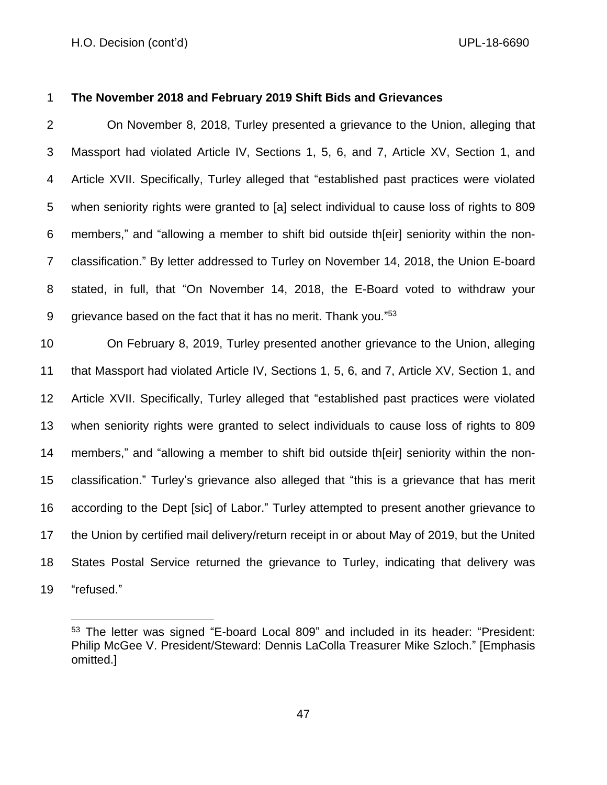## **The November 2018 and February 2019 Shift Bids and Grievances**

 On November 8, 2018, Turley presented a grievance to the Union, alleging that Massport had violated Article IV, Sections 1, 5, 6, and 7, Article XV, Section 1, and Article XVII. Specifically, Turley alleged that "established past practices were violated when seniority rights were granted to [a] select individual to cause loss of rights to 809 members," and "allowing a member to shift bid outside th[eir] seniority within the non- classification." By letter addressed to Turley on November 14, 2018, the Union E-board stated, in full, that "On November 14, 2018, the E-Board voted to withdraw your 9 grievance based on the fact that it has no merit. Thank you."<sup>53</sup>

 On February 8, 2019, Turley presented another grievance to the Union, alleging that Massport had violated Article IV, Sections 1, 5, 6, and 7, Article XV, Section 1, and Article XVII. Specifically, Turley alleged that "established past practices were violated when seniority rights were granted to select individuals to cause loss of rights to 809 members," and "allowing a member to shift bid outside th[eir] seniority within the non- classification." Turley's grievance also alleged that "this is a grievance that has merit according to the Dept [sic] of Labor." Turley attempted to present another grievance to the Union by certified mail delivery/return receipt in or about May of 2019, but the United States Postal Service returned the grievance to Turley, indicating that delivery was "refused."

 The letter was signed "E-board Local 809" and included in its header: "President: Philip McGee V. President/Steward: Dennis LaColla Treasurer Mike Szloch." [Emphasis omitted.]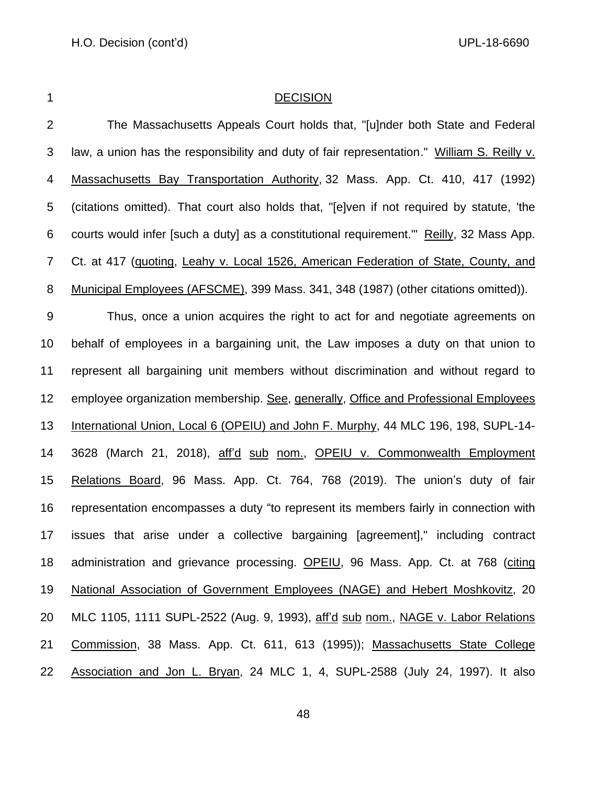### 1 DECISION

 The Massachusetts Appeals Court holds that, "[u]nder both State and Federal law, a union has the responsibility and duty of fair representatio[n.](https://research.socialaw.com/document.php?id=labor:0029329-0000000&type=hitlist&num=6#hit23)" William S. Reilly v. Massachusetts Bay Transportation Authority, [32 Mass. App. Ct. 410,](https://research.socialaw.com/document.php?field=jd&value=sjcapp:32_mass._app._ct._410) 417 (1992) (citations omitted). That court also holds that, "[e]ven if not required by statute, 'the courts would infer [such a duty] as a constitutional requirement.'" Reilly, 32 Mass App. Ct. at 417 (quoting, Leahy v. Local 1526, American Federation of State, County, and Municipal Employees (AFSCME), [399 Mass. 341,](https://research.socialaw.com/document.php?field=jd&value=sjcapp:399_mass._341) 348 (1987) (other citations omitted)). Thus, once a union acquires the right to act for and negotiate agreements on behalf of employees in a bargaining unit, the Law imposes a duty on that union to represent all bargaining unit members without discrimination and without regard to employee organization membership. See, generally, Office and Professional Employees International Union, Local 6 (OPEIU) and John F. Murphy, 44 MLC 196, 198, SUPL-14- 14 3628 (March 21, 2018), aff'd sub nom., OPEIU v. Commonwealth Employment Relations Board, 96 Mass. App. Ct. 764, 768 (2019). The union's duty of fair representation encompasses a duty "to represent its members fairly in connection with issues that arise under a collective bargaining [agreement]," including contract administration and grievance processing. OPEIU, 96 Mass. App. Ct. at 768 (citing National Association of Government Employees (NAGE) and Hebert Moshkovitz, 20 MLC 1105, 1111 SUPL-2522 (Aug. 9, 1993), aff'd sub nom., NAGE v. Labor Relations Commission, 38 Mass. App. Ct. 611, 613 (1995)); Massachusetts State College

Association and Jon L. Bryan, 24 MLC 1, 4, SUPL-2588 (July 24, 1997). It also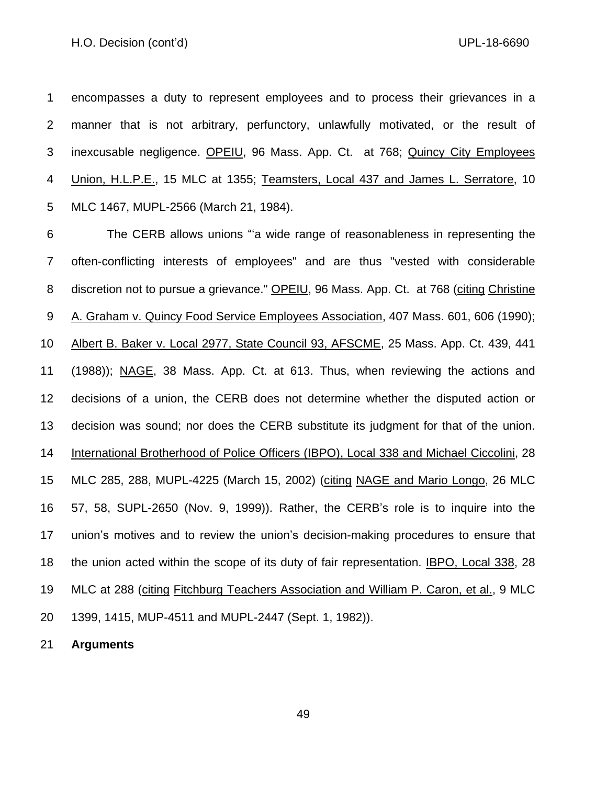encompasses a duty to represent employees and to process their grievances in a manner that is not arbitrary, perfunctory, unlawfully motivated, or the result of inexcusable negligence. OPEIU, 96 Mass. App. Ct. at 768; Quincy City Employees Union, H.L.P.E., 15 MLC at 1355; Teamsters, Local 437 and James L. Serratore, 10 MLC 1467, MUPL-2566 (March 21, 1984).

 The CERB allows unions "'a wide range of reasonableness in representing the often-conflicting interests of employees" and are thus "vested with considerable discretion not to pursue a grievance." OPEIU, 96 Mass. App. Ct. at 768 (citing Christine A. Graham v. Quincy Food Service Employees Association, 407 Mass. 601, 606 (1990); Albert B. Baker v. Local 2977, State Council 93, AFSCME, 25 Mass. App. Ct. 439, 441 (1988)); NAGE, 38 Mass. App. Ct. at 613. Thus, when reviewing the actions and decisions of a union, the CERB does not determine whether the disputed action or decision was sound; nor does the CERB substitute its judgment for that of the union. International Brotherhood of Police Officers (IBPO), Local 338 and Michael Ciccolini, 28 MLC 285, 288, MUPL-4225 (March 15, 2002) (citing NAGE and Mario Longo, 26 MLC 57, 58, SUPL-2650 (Nov. 9, 1999)). Rather, the CERB's role is to inquire into the union's motives and to review the union's decision-making procedures to ensure that the union acted within the scope of its duty of fair representation. IBPO, Local 338, 28 MLC at 288 (citing Fitchburg Teachers Association and William P. Caron, et al., 9 MLC 1399, 1415, MUP-4511 and MUPL-2447 (Sept. 1, 1982)).

**Arguments**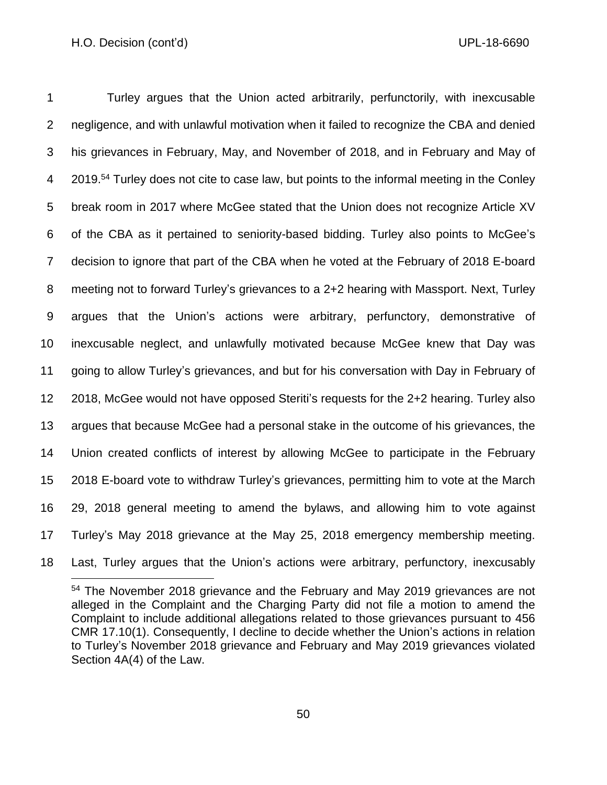Turley argues that the Union acted arbitrarily, perfunctorily, with inexcusable negligence, and with unlawful motivation when it failed to recognize the CBA and denied his grievances in February, May, and November of 2018, and in February and May of 4 2019.<sup>54</sup> Turley does not cite to case law, but points to the informal meeting in the Conley break room in 2017 where McGee stated that the Union does not recognize Article XV of the CBA as it pertained to seniority-based bidding. Turley also points to McGee's decision to ignore that part of the CBA when he voted at the February of 2018 E-board meeting not to forward Turley's grievances to a 2+2 hearing with Massport. Next, Turley argues that the Union's actions were arbitrary, perfunctory, demonstrative of inexcusable neglect, and unlawfully motivated because McGee knew that Day was going to allow Turley's grievances, and but for his conversation with Day in February of 2018, McGee would not have opposed Steriti's requests for the 2+2 hearing. Turley also argues that because McGee had a personal stake in the outcome of his grievances, the Union created conflicts of interest by allowing McGee to participate in the February 2018 E-board vote to withdraw Turley's grievances, permitting him to vote at the March 29, 2018 general meeting to amend the bylaws, and allowing him to vote against Turley's May 2018 grievance at the May 25, 2018 emergency membership meeting.

Last, Turley argues that the Union's actions were arbitrary, perfunctory, inexcusably

 The November 2018 grievance and the February and May 2019 grievances are not alleged in the Complaint and the Charging Party did not file a motion to amend the Complaint to include additional allegations related to those grievances pursuant to 456 CMR 17.10(1). Consequently, I decline to decide whether the Union's actions in relation to Turley's November 2018 grievance and February and May 2019 grievances violated Section 4A(4) of the Law.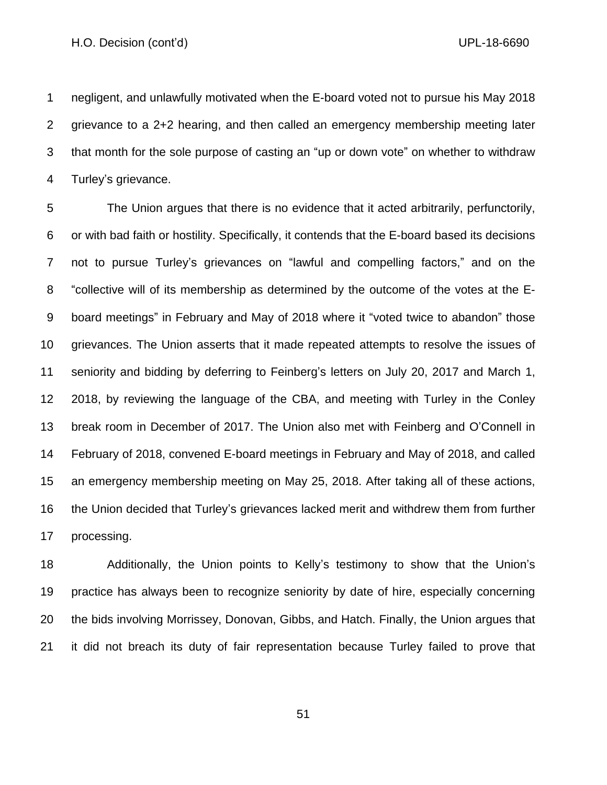negligent, and unlawfully motivated when the E-board voted not to pursue his May 2018 grievance to a 2+2 hearing, and then called an emergency membership meeting later that month for the sole purpose of casting an "up or down vote" on whether to withdraw Turley's grievance.

 The Union argues that there is no evidence that it acted arbitrarily, perfunctorily, or with bad faith or hostility. Specifically, it contends that the E-board based its decisions not to pursue Turley's grievances on "lawful and compelling factors," and on the "collective will of its membership as determined by the outcome of the votes at the E- board meetings" in February and May of 2018 where it "voted twice to abandon" those grievances. The Union asserts that it made repeated attempts to resolve the issues of seniority and bidding by deferring to Feinberg's letters on July 20, 2017 and March 1, 2018, by reviewing the language of the CBA, and meeting with Turley in the Conley break room in December of 2017. The Union also met with Feinberg and O'Connell in February of 2018, convened E-board meetings in February and May of 2018, and called an emergency membership meeting on May 25, 2018. After taking all of these actions, the Union decided that Turley's grievances lacked merit and withdrew them from further processing.

 Additionally, the Union points to Kelly's testimony to show that the Union's practice has always been to recognize seniority by date of hire, especially concerning the bids involving Morrissey, Donovan, Gibbs, and Hatch. Finally, the Union argues that it did not breach its duty of fair representation because Turley failed to prove that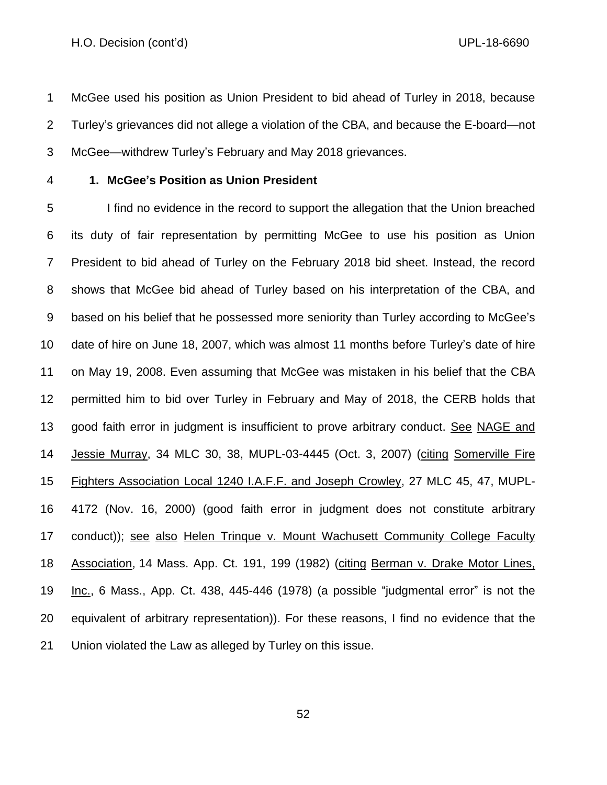McGee used his position as Union President to bid ahead of Turley in 2018, because Turley's grievances did not allege a violation of the CBA, and because the E-board—not McGee—withdrew Turley's February and May 2018 grievances.

## **1. McGee's Position as Union President**

 I find no evidence in the record to support the allegation that the Union breached its duty of fair representation by permitting McGee to use his position as Union President to bid ahead of Turley on the February 2018 bid sheet. Instead, the record shows that McGee bid ahead of Turley based on his interpretation of the CBA, and based on his belief that he possessed more seniority than Turley according to McGee's date of hire on June 18, 2007, which was almost 11 months before Turley's date of hire on May 19, 2008. Even assuming that McGee was mistaken in his belief that the CBA permitted him to bid over Turley in February and May of 2018, the CERB holds that good faith error in judgment is insufficient to prove arbitrary conduct. See NAGE and Jessie Murray, 34 MLC 30, 38, MUPL-03-4445 (Oct. 3, 2007) (citing Somerville Fire Fighters Association Local 1240 I.A.F.F. and Joseph Crowley, 27 MLC 45, 47, MUPL- 4172 (Nov. 16, 2000) (good faith error in judgment does not constitute arbitrary conduct)); see also Helen Trinque v. Mount Wachusett Community College Faculty Association, [14 Mass. App. Ct. 191,](https://research.socialaw.com/document.php?id=sjcapp:14_mass_app_ct_191) 199 (1982) (citing Berman v. Drake Motor Lines, Inc., 6 Mass., App. Ct. 438, 445-446 (1978) (a possible "judgmental error" is not the equivalent of arbitrary representation)). For these reasons, I find no evidence that the Union violated the Law as alleged by Turley on this issue.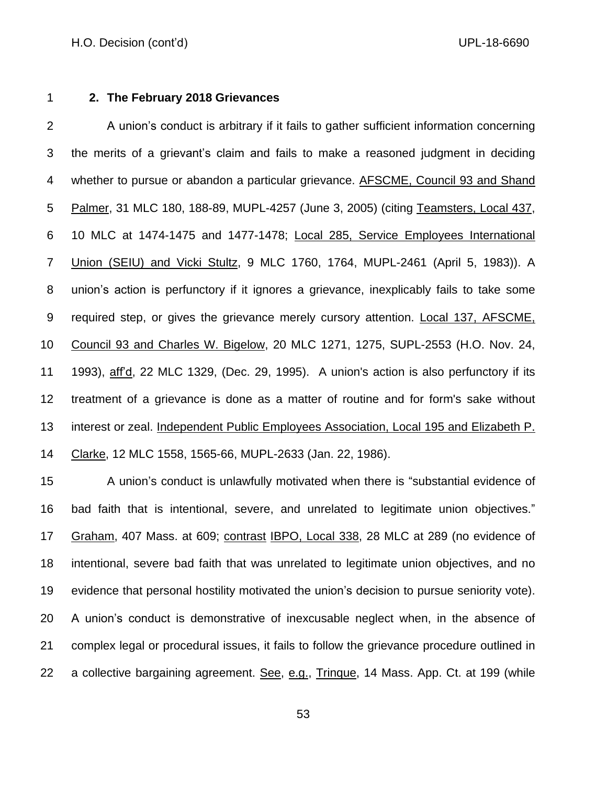## **2. The February 2018 Grievances**

2 A union's conduct is arbitrary if it fails to gather sufficient information concerning the merits of a grievant's claim and fails to make a reasoned judgment in deciding whether to pursue or abandon a particular grievance. AFSCME, Council 93 and Shand Palmer, 31 MLC 180, 188-89, MUPL-4257 (June 3, 2005) (citing Teamsters, Local 437, 10 MLC at 1474-1475 and 1477-1478; Local 285, Service Employees International Union (SEIU) and Vicki Stultz, 9 MLC 1760, 1764, MUPL-2461 (April 5, 1983)). A union's action is perfunctory if it ignores a grievance, inexplicably fails to take some required step, or gives the grievance merely cursory attention. Local 137, AFSCME, Council 93 and Charles W. Bigelow, 20 MLC 1271, 1275, SUPL-2553 (H.O. Nov. 24, 1993), aff'd, 22 MLC 1329, (Dec. 29, 1995). A union's action is also perfunctory if its treatment of a grievance is done as a matter of routine and for form's sake without interest or zeal. Independent Public Employees Association, Local 195 and Elizabeth P. Clarke, 12 MLC 1558, 1565-66, MUPL-2633 (Jan. 22, 1986).

 A union's conduct is unlawfully motivated when there is "substantial evidence of bad faith that is intentional, severe, and unrelated to legitimate union objectives." Graham, 407 Mass. at 609; contrast IBPO, Local 338, 28 MLC at 289 (no evidence of intentional, severe bad faith that was unrelated to legitimate union objectives, and no evidence that personal hostility motivated the union's decision to pursue seniority vote). A union's conduct is demonstrative of inexcusable neglect when, in the absence of complex legal or procedural issues, it fails to follow the grievance procedure outlined in 22 a collective bargaining agreement. See, e.g., Trinque, 14 Mass. App. Ct. at 199 (while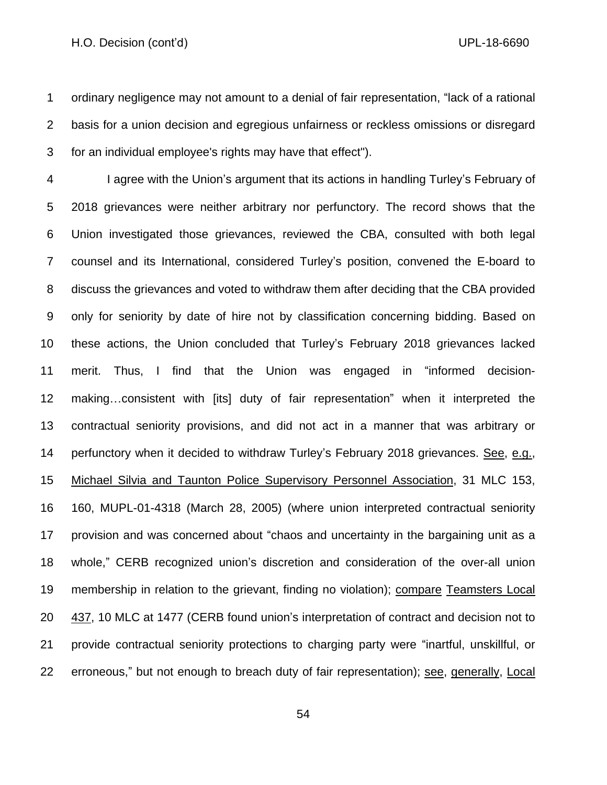ordinary negligence may not amount to a denial of fair representation, "lack of a rational basis for a union decision and egregious unfairness or reckless omissions or disregard for an individual employee's rights may have that effect").

 I agree with the Union's argument that its actions in handling Turley's February of 2018 grievances were neither arbitrary nor perfunctory. The record shows that the Union investigated those grievances, reviewed the CBA, consulted with both legal counsel and its International, considered Turley's position, convened the E-board to discuss the grievances and voted to withdraw them after deciding that the CBA provided only for seniority by date of hire not by classification concerning bidding. Based on these actions, the Union concluded that Turley's February 2018 grievances lacked merit. Thus, I find that the Union was engaged in "informed decision- making…consistent with [its] duty of fair representation" when it interpreted the contractual seniority provisions, and did not act in a manner that was arbitrary or perfunctory when it decided to withdraw Turley's February 2018 grievances. See, e.g., Michael Silvia and Taunton Police Supervisory Personnel Association, 31 MLC 153, 160, MUPL-01-4318 (March 28, 2005) (where union interpreted contractual seniority provision and was concerned about "chaos and uncertainty in the bargaining unit as a whole," CERB recognized union's discretion and consideration of the over-all union membership in relation to the grievant, finding no violation); compare Teamsters Local 437, 10 MLC at 1477 (CERB found union's interpretation of contract and decision not to provide contractual seniority protections to charging party were "inartful, unskillful, or erroneous," but not enough to breach duty of fair representation); see, generally, Local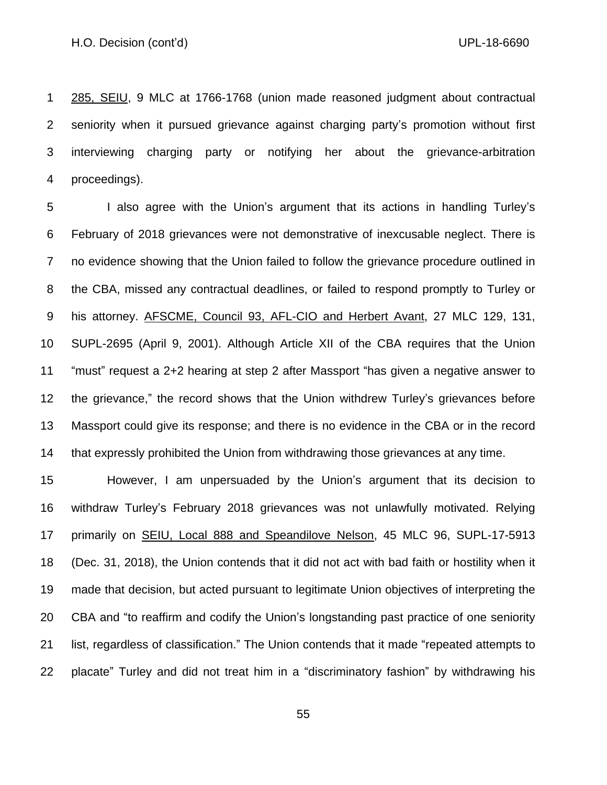285, SEIU, 9 MLC at 1766-1768 (union made reasoned judgment about contractual seniority when it pursued grievance against charging party's promotion without first interviewing charging party or notifying her about the grievance-arbitration proceedings).

 I also agree with the Union's argument that its actions in handling Turley's February of 2018 grievances were not demonstrative of inexcusable neglect. There is no evidence showing that the Union failed to follow the grievance procedure outlined in the CBA, missed any contractual deadlines, or failed to respond promptly to Turley or his attorney. AFSCME, Council 93, AFL-CIO and Herbert Avant, 27 MLC 129, 131, SUPL-2695 (April 9, 2001). Although Article XII of the CBA requires that the Union "must" request a 2+2 hearing at step 2 after Massport "has given a negative answer to the grievance," the record shows that the Union withdrew Turley's grievances before Massport could give its response; and there is no evidence in the CBA or in the record that expressly prohibited the Union from withdrawing those grievances at any time.

 However, I am unpersuaded by the Union's argument that its decision to withdraw Turley's February 2018 grievances was not unlawfully motivated. Relying primarily on SEIU, Local 888 and Speandilove Nelson, 45 MLC 96, SUPL-17-5913 (Dec. 31, 2018), the Union contends that it did not act with bad faith or hostility when it made that decision, but acted pursuant to legitimate Union objectives of interpreting the CBA and "to reaffirm and codify the Union's longstanding past practice of one seniority list, regardless of classification." The Union contends that it made "repeated attempts to placate" Turley and did not treat him in a "discriminatory fashion" by withdrawing his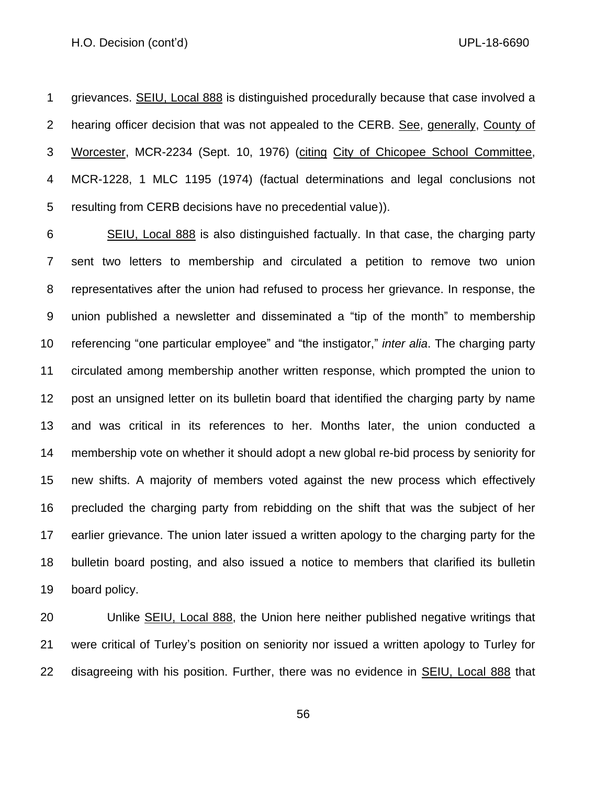grievances. SEIU, Local 888 is distinguished procedurally because that case involved a 2 hearing officer decision that was not appealed to the CERB. See, generally, County of Worcester, MCR-2234 (Sept. 10, 1976) (citing City of Chicopee School Committee, MCR-1228, 1 MLC 1195 (1974) (factual determinations and legal conclusions not resulting from CERB decisions have no precedential valu[e\)](https://research.socialaw.com/document.php?id=labor:0027724-0000000&type=hitlist&num=4#hit12)).

 SEIU, Local 888 is also distinguished factually. In that case, the charging party sent two letters to membership and circulated a petition to remove two union representatives after the union had refused to process her grievance. In response, the union published a newsletter and disseminated a "tip of the month" to membership referencing "one particular employee" and "the instigator," *inter alia*. The charging party circulated among membership another written response, which prompted the union to post an unsigned letter on its bulletin board that identified the charging party by name and was critical in its references to her. Months later, the union conducted a membership vote on whether it should adopt a new global re-bid process by seniority for new shifts. A majority of members voted against the new process which effectively precluded the charging party from rebidding on the shift that was the subject of her earlier grievance. The union later issued a written apology to the charging party for the bulletin board posting, and also issued a notice to members that clarified its bulletin board policy.

 Unlike SEIU, Local 888, the Union here neither published negative writings that were critical of Turley's position on seniority nor issued a written apology to Turley for 22 disagreeing with his position. Further, there was no evidence in **SEIU, Local 888** that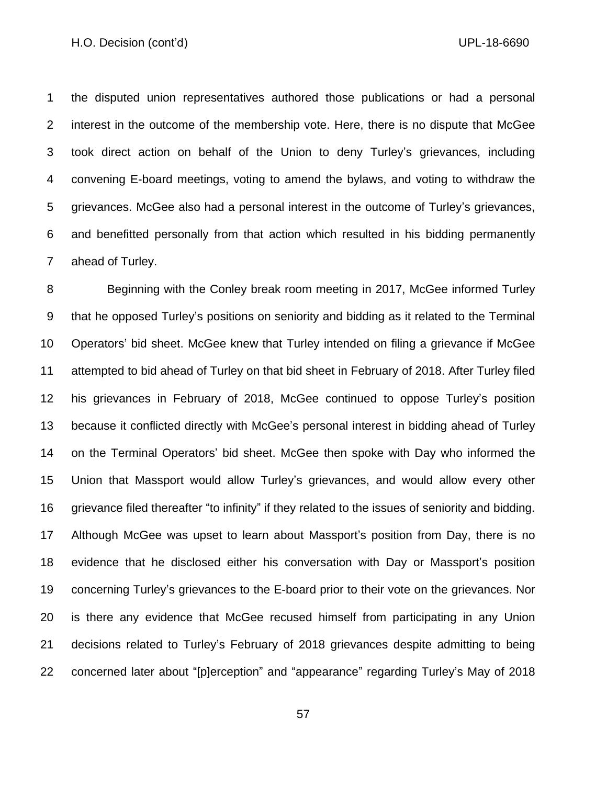the disputed union representatives authored those publications or had a personal interest in the outcome of the membership vote. Here, there is no dispute that McGee took direct action on behalf of the Union to deny Turley's grievances, including convening E-board meetings, voting to amend the bylaws, and voting to withdraw the grievances. McGee also had a personal interest in the outcome of Turley's grievances, and benefitted personally from that action which resulted in his bidding permanently ahead of Turley.

 Beginning with the Conley break room meeting in 2017, McGee informed Turley that he opposed Turley's positions on seniority and bidding as it related to the Terminal Operators' bid sheet. McGee knew that Turley intended on filing a grievance if McGee attempted to bid ahead of Turley on that bid sheet in February of 2018. After Turley filed his grievances in February of 2018, McGee continued to oppose Turley's position because it conflicted directly with McGee's personal interest in bidding ahead of Turley on the Terminal Operators' bid sheet. McGee then spoke with Day who informed the Union that Massport would allow Turley's grievances, and would allow every other grievance filed thereafter "to infinity" if they related to the issues of seniority and bidding. Although McGee was upset to learn about Massport's position from Day, there is no evidence that he disclosed either his conversation with Day or Massport's position concerning Turley's grievances to the E-board prior to their vote on the grievances. Nor is there any evidence that McGee recused himself from participating in any Union decisions related to Turley's February of 2018 grievances despite admitting to being concerned later about "[p]erception" and "appearance" regarding Turley's May of 2018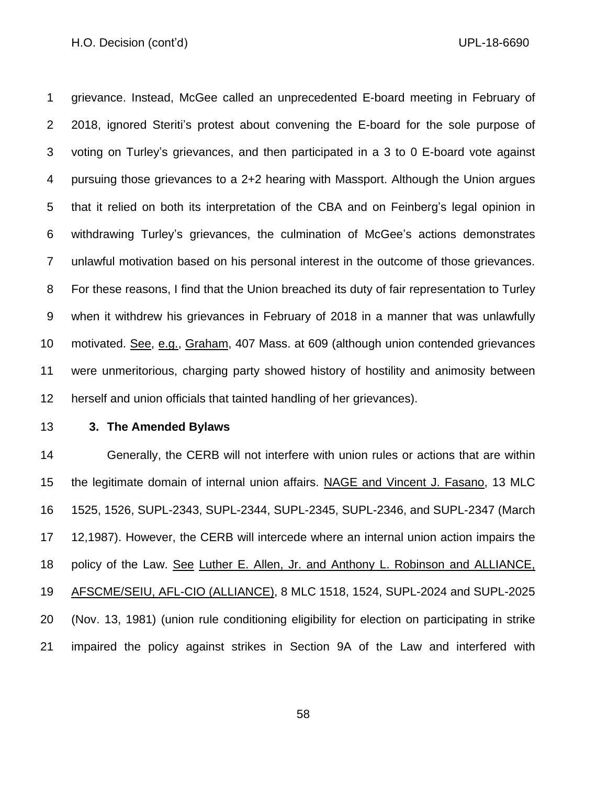grievance. Instead, McGee called an unprecedented E-board meeting in February of 2018, ignored Steriti's protest about convening the E-board for the sole purpose of voting on Turley's grievances, and then participated in a 3 to 0 E-board vote against pursuing those grievances to a 2+2 hearing with Massport. Although the Union argues that it relied on both its interpretation of the CBA and on Feinberg's legal opinion in withdrawing Turley's grievances, the culmination of McGee's actions demonstrates unlawful motivation based on his personal interest in the outcome of those grievances. For these reasons, I find that the Union breached its duty of fair representation to Turley when it withdrew his grievances in February of 2018 in a manner that was unlawfully motivated. See, e.g., Graham, 407 Mass. at 609 (although union contended grievances were unmeritorious, charging party showed history of hostility and animosity between herself and union officials that tainted handling of her grievances).

### **3. The Amended Bylaws**

 Generally, the CERB will not interfere with union rules or actions that are within the legitimate domain of internal union affairs. NAGE and Vincent J. Fasano, 13 MLC 1525, 1526, SUPL-2343, SUPL-2344, SUPL-2345, SUPL-2346, and SUPL-2347 (March 12,1987). However, the CERB will intercede where an internal union action impairs the policy of the Law. See Luther E. Allen, Jr. and Anthony L. Robinson and ALLIANCE, AFSCME/SEIU, AFL-CIO (ALLIANCE), 8 MLC 1518, 1524, SUPL-2024 and SUPL-2025 (Nov. 13, 1981) (union rule conditioning eligibility for election on participating in strike impaired the policy against strikes in Section 9A of the Law and interfered with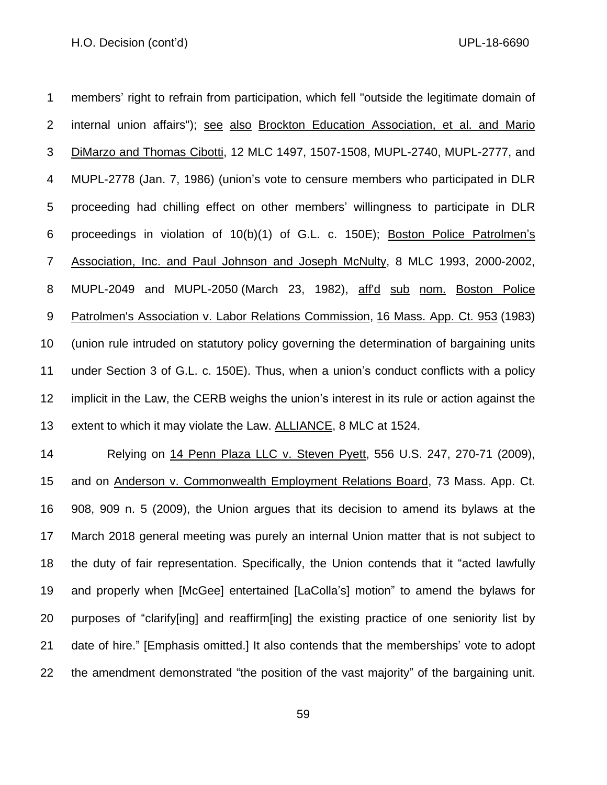members' right to refrain from participation, which fell "outside the legitimate domain of internal union affairs"); see also Brockton Education Association, et al. and Mario DiMarzo and Thomas Cibotti, 12 MLC 1497, 1507-1508, MUPL-2740, MUPL-2777, and MUPL-2778 (Jan. 7, 1986) (union's vote to censure members who participated in DLR proceeding had chilling effect on other members' willingness to participate in DLR proceedings in violation of 10(b)(1) of G.L. c. 150E); Boston Police Patrolmen's Association, Inc. and Paul Johnson and Joseph McNulty, 8 MLC 1993, 2000-2002, MUPL-2049 and MUPL-2050 (March 23, 1982), aff'd sub nom. Boston Police Patrolmen's Association v. Labor Relations Commission, [16 Mass. App. Ct. 953](https://research.socialaw.com/document.php?id=sjcapp:16_mass_app_ct_953) (1983) (union rule intruded on statutory policy governing the determination of bargaining units under Section 3 of G.L. c. 150E). Thus, when a union's conduct conflicts with a policy implicit in the Law, the CERB weighs the union's interest in its rule or action against the 13 extent to which it may violate the Law. ALLIANCE, 8 MLC at 1524.

 Relying on 14 Penn Plaza LLC v. Steven Pyett, 556 U.S. 247, 270-71 (2009), and on Anderson v. Commonwealth Employment Relations Board, 73 Mass. App. Ct. 908, 909 n. 5 (2009), the Union argues that its decision to amend its bylaws at the March 2018 general meeting was purely an internal Union matter that is not subject to the duty of fair representation. Specifically, the Union contends that it "acted lawfully and properly when [McGee] entertained [LaColla's] motion" to amend the bylaws for purposes of "clarify[ing] and reaffirm[ing] the existing practice of one seniority list by date of hire." [Emphasis omitted.] It also contends that the memberships' vote to adopt the amendment demonstrated "the position of the vast majority" of the bargaining unit.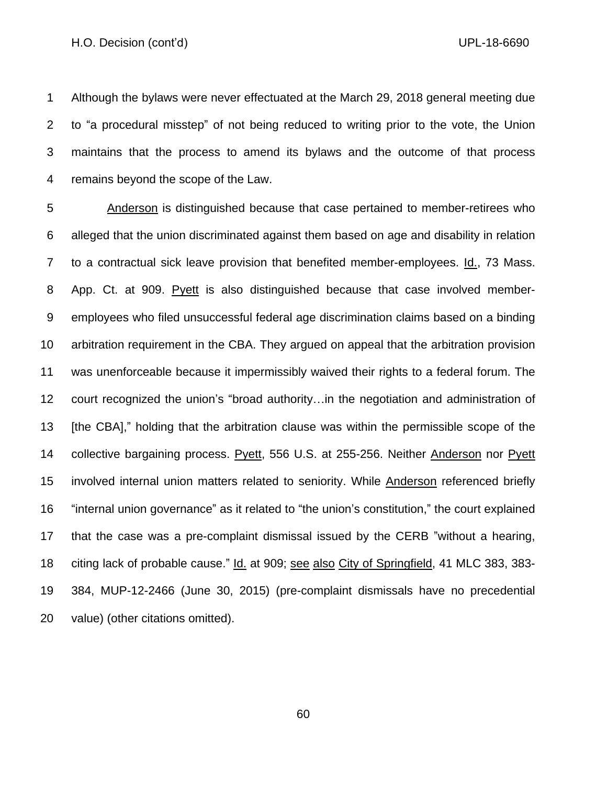Although the bylaws were never effectuated at the March 29, 2018 general meeting due to "a procedural misstep" of not being reduced to writing prior to the vote, the Union maintains that the process to amend its bylaws and the outcome of that process remains beyond the scope of the Law.

 Anderson is distinguished because that case pertained to member-retirees who alleged that the union discriminated against them based on age and disability in relation to a contractual sick leave provision that benefited member-employees. Id., 73 Mass. App. Ct. at 909. Pyett is also distinguished because that case involved member- employees who filed unsuccessful federal age discrimination claims based on a binding arbitration requirement in the CBA. They argued on appeal that the arbitration provision was unenforceable because it impermissibly waived their rights to a federal forum. The court recognized the union's "broad authority…in the negotiation and administration of 13 [the CBA]," holding that the arbitration clause was within the permissible scope of the collective bargaining process. Pyett, 556 U.S. at 255-256. Neither Anderson nor Pyett involved internal union matters related to seniority. While Anderson referenced briefly "internal union governance" as it related to "the union's constitution," the court explained that the case was a pre-complaint dismissal issued by the CERB "without a hearing, citing lack of probable cause." Id. at 909; see also City of Springfield, 41 MLC 383, 383- 384, MUP-12-2466 (June 30, 2015) (pre-complaint dismissals have no precedential value) (other citations omitted).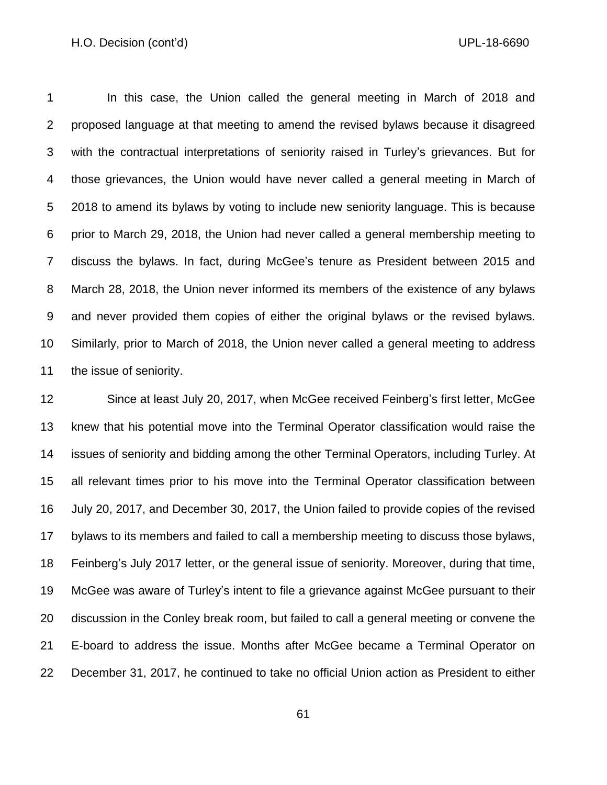In this case, the Union called the general meeting in March of 2018 and proposed language at that meeting to amend the revised bylaws because it disagreed with the contractual interpretations of seniority raised in Turley's grievances. But for those grievances, the Union would have never called a general meeting in March of 2018 to amend its bylaws by voting to include new seniority language. This is because prior to March 29, 2018, the Union had never called a general membership meeting to discuss the bylaws. In fact, during McGee's tenure as President between 2015 and March 28, 2018, the Union never informed its members of the existence of any bylaws and never provided them copies of either the original bylaws or the revised bylaws. Similarly, prior to March of 2018, the Union never called a general meeting to address the issue of seniority.

 Since at least July 20, 2017, when McGee received Feinberg's first letter, McGee knew that his potential move into the Terminal Operator classification would raise the issues of seniority and bidding among the other Terminal Operators, including Turley. At all relevant times prior to his move into the Terminal Operator classification between July 20, 2017, and December 30, 2017, the Union failed to provide copies of the revised bylaws to its members and failed to call a membership meeting to discuss those bylaws, Feinberg's July 2017 letter, or the general issue of seniority. Moreover, during that time, McGee was aware of Turley's intent to file a grievance against McGee pursuant to their discussion in the Conley break room, but failed to call a general meeting or convene the E-board to address the issue. Months after McGee became a Terminal Operator on December 31, 2017, he continued to take no official Union action as President to either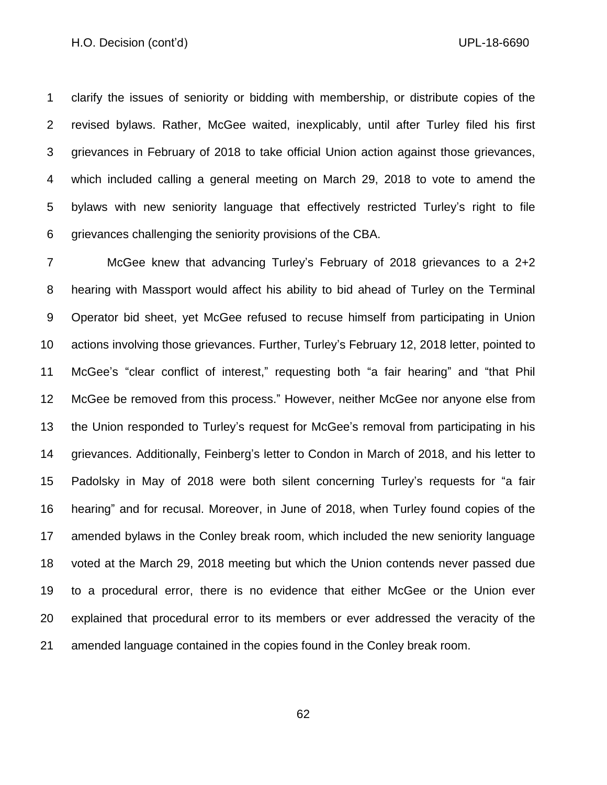clarify the issues of seniority or bidding with membership, or distribute copies of the revised bylaws. Rather, McGee waited, inexplicably, until after Turley filed his first grievances in February of 2018 to take official Union action against those grievances, which included calling a general meeting on March 29, 2018 to vote to amend the bylaws with new seniority language that effectively restricted Turley's right to file grievances challenging the seniority provisions of the CBA.

 McGee knew that advancing Turley's February of 2018 grievances to a 2+2 hearing with Massport would affect his ability to bid ahead of Turley on the Terminal Operator bid sheet, yet McGee refused to recuse himself from participating in Union actions involving those grievances. Further, Turley's February 12, 2018 letter, pointed to McGee's "clear conflict of interest," requesting both "a fair hearing" and "that Phil McGee be removed from this process." However, neither McGee nor anyone else from the Union responded to Turley's request for McGee's removal from participating in his grievances. Additionally, Feinberg's letter to Condon in March of 2018, and his letter to Padolsky in May of 2018 were both silent concerning Turley's requests for "a fair hearing" and for recusal. Moreover, in June of 2018, when Turley found copies of the amended bylaws in the Conley break room, which included the new seniority language voted at the March 29, 2018 meeting but which the Union contends never passed due to a procedural error, there is no evidence that either McGee or the Union ever explained that procedural error to its members or ever addressed the veracity of the amended language contained in the copies found in the Conley break room.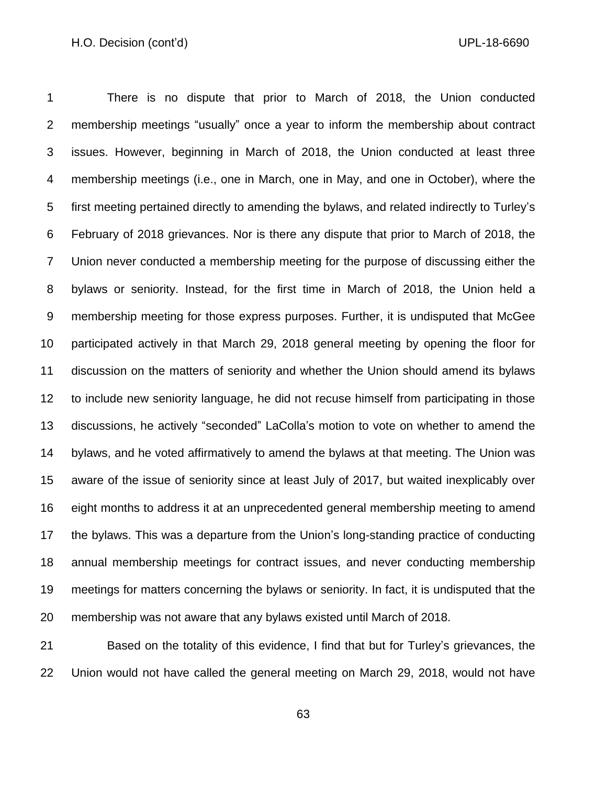There is no dispute that prior to March of 2018, the Union conducted membership meetings "usually" once a year to inform the membership about contract issues. However, beginning in March of 2018, the Union conducted at least three membership meetings (i.e., one in March, one in May, and one in October), where the first meeting pertained directly to amending the bylaws, and related indirectly to Turley's February of 2018 grievances. Nor is there any dispute that prior to March of 2018, the Union never conducted a membership meeting for the purpose of discussing either the bylaws or seniority. Instead, for the first time in March of 2018, the Union held a membership meeting for those express purposes. Further, it is undisputed that McGee participated actively in that March 29, 2018 general meeting by opening the floor for discussion on the matters of seniority and whether the Union should amend its bylaws to include new seniority language, he did not recuse himself from participating in those discussions, he actively "seconded" LaColla's motion to vote on whether to amend the bylaws, and he voted affirmatively to amend the bylaws at that meeting. The Union was aware of the issue of seniority since at least July of 2017, but waited inexplicably over eight months to address it at an unprecedented general membership meeting to amend the bylaws. This was a departure from the Union's long-standing practice of conducting annual membership meetings for contract issues, and never conducting membership meetings for matters concerning the bylaws or seniority. In fact, it is undisputed that the membership was not aware that any bylaws existed until March of 2018.

 Based on the totality of this evidence, I find that but for Turley's grievances, the Union would not have called the general meeting on March 29, 2018, would not have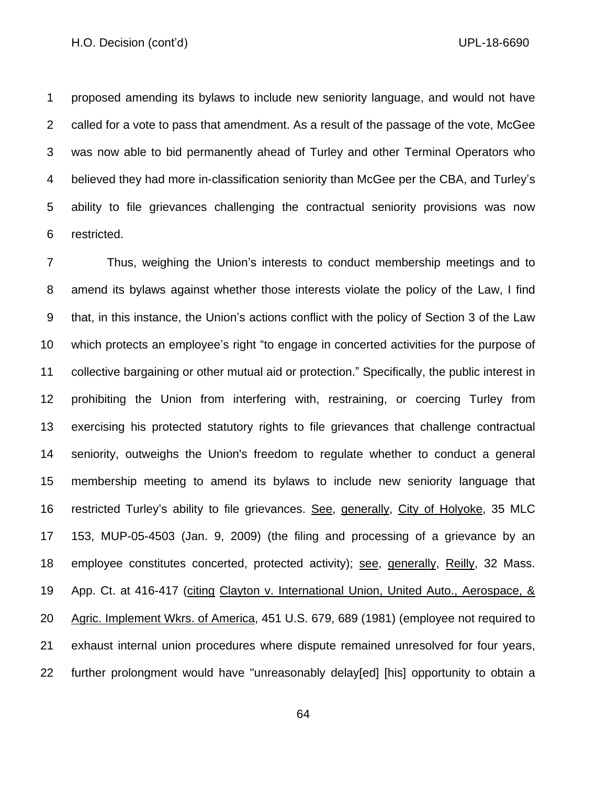proposed amending its bylaws to include new seniority language, and would not have called for a vote to pass that amendment. As a result of the passage of the vote, McGee was now able to bid permanently ahead of Turley and other Terminal Operators who believed they had more in-classification seniority than McGee per the CBA, and Turley's ability to file grievances challenging the contractual seniority provisions was now restricted.

 Thus, weighing the Union's interests to conduct membership meetings and to amend its bylaws against whether those interests violate the policy of the Law, I find that, in this instance, the Union's actions conflict with the policy of Section 3 of the Law which protects an employee's right "to engage in concerted activities for the purpose of collective bargaining or other mutual aid or protection." Specifically, the public interest in prohibiting the Union from interfering with, restraining, or coercing Turley from exercising his protected statutory rights to file grievances that challenge contractual seniority, outweighs the Union's freedom to regulate whether to conduct a general membership meeting to amend its bylaws to include new seniority language that restricted Turley's ability to file grievances. See, generally, City of Holyoke, 35 MLC 153, MUP-05-4503 (Jan. 9, 2009) (the filing and processing of a grievance by an employee constitutes concerted, protected activity); see, generally, Reilly, 32 Mass. App. Ct. at 416-417 (citing Clayton v. International Union, United Auto., Aerospace, & Agric. Implement Wkrs. of America, 451 U.S. 679, 689 (1981) (employee not required to exhaust internal union procedures where dispute remained unresolved for four years, further prolongment would have "unreasonably delay[ed] [his] opportunity to obtain a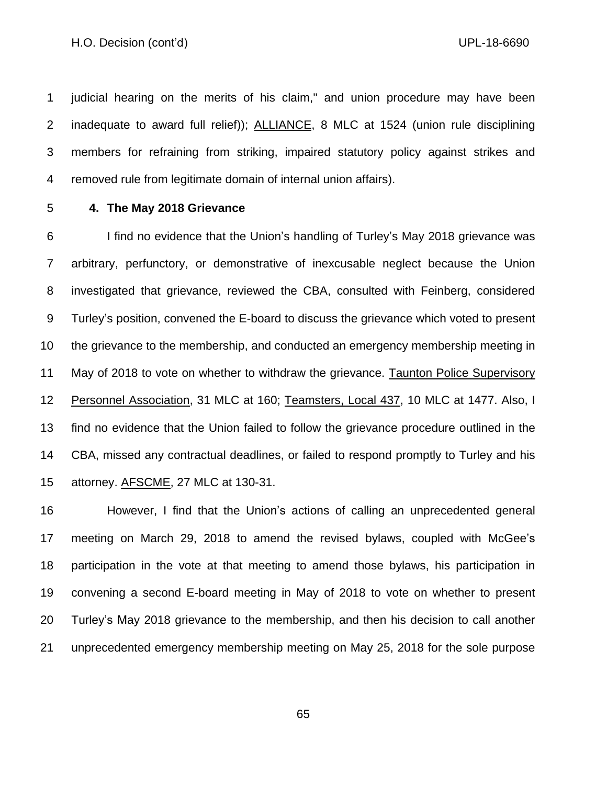judicial hearing on the merits of his claim," and union procedure may have been inadequate to award full relief)); ALLIANCE, 8 MLC at 1524 (union rule disciplining members for refraining from striking, impaired statutory policy against strikes and removed rule from legitimate domain of internal union affairs).

## **4. The May 2018 Grievance**

 I find no evidence that the Union's handling of Turley's May 2018 grievance was arbitrary, perfunctory, or demonstrative of inexcusable neglect because the Union investigated that grievance, reviewed the CBA, consulted with Feinberg, considered Turley's position, convened the E-board to discuss the grievance which voted to present the grievance to the membership, and conducted an emergency membership meeting in May of 2018 to vote on whether to withdraw the grievance. Taunton Police Supervisory 12 Personnel Association, 31 MLC at 160; Teamsters, Local 437, 10 MLC at 1477. Also, I find no evidence that the Union failed to follow the grievance procedure outlined in the CBA, missed any contractual deadlines, or failed to respond promptly to Turley and his 15 attorney. **AFSCME**, 27 MLC at 130-31.

 However, I find that the Union's actions of calling an unprecedented general meeting on March 29, 2018 to amend the revised bylaws, coupled with McGee's participation in the vote at that meeting to amend those bylaws, his participation in convening a second E-board meeting in May of 2018 to vote on whether to present Turley's May 2018 grievance to the membership, and then his decision to call another unprecedented emergency membership meeting on May 25, 2018 for the sole purpose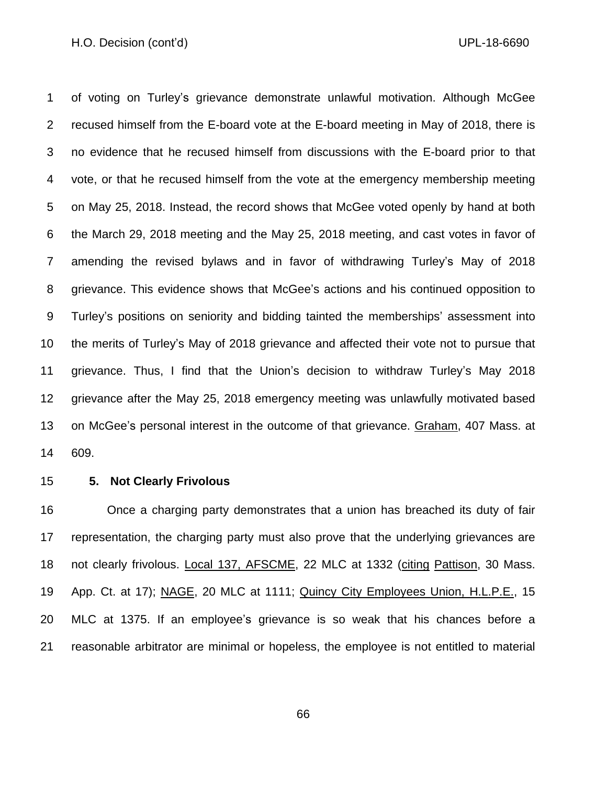of voting on Turley's grievance demonstrate unlawful motivation. Although McGee recused himself from the E-board vote at the E-board meeting in May of 2018, there is no evidence that he recused himself from discussions with the E-board prior to that vote, or that he recused himself from the vote at the emergency membership meeting on May 25, 2018. Instead, the record shows that McGee voted openly by hand at both the March 29, 2018 meeting and the May 25, 2018 meeting, and cast votes in favor of amending the revised bylaws and in favor of withdrawing Turley's May of 2018 grievance. This evidence shows that McGee's actions and his continued opposition to Turley's positions on seniority and bidding tainted the memberships' assessment into the merits of Turley's May of 2018 grievance and affected their vote not to pursue that grievance. Thus, I find that the Union's decision to withdraw Turley's May 2018 grievance after the May 25, 2018 emergency meeting was unlawfully motivated based on McGee's personal interest in the outcome of that grievance. Graham, 407 Mass. at 609.

#### **5. Not Clearly Frivolous**

 Once a charging party demonstrates that a union has breached its duty of fair representation, the charging party must also prove that the underlying grievances are 18 not clearly frivolous. Local 137, AFSCME, 22 MLC at 1332 (citing Pattison, 30 Mass. App. Ct. at 17); NAGE, 20 MLC at 1111; Quincy City Employees Union, H.L.P.E., 15 MLC at 1375. If an employee's grievance is so weak that his chances before a reasonable arbitrator are minimal or hopeless, the employee is not entitled to material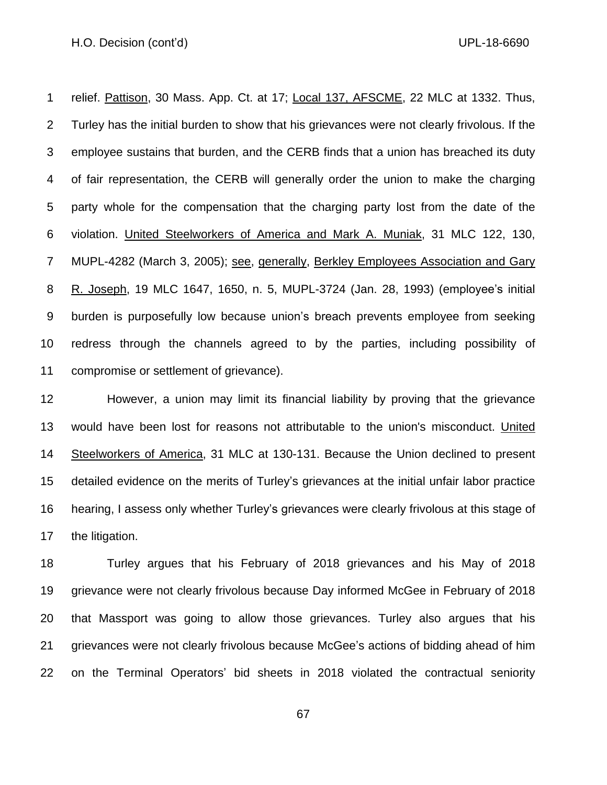1 relief. Pattison, 30 Mass. App. Ct. at 17; Local 137, AFSCME, 22 MLC at 1332. Thus, Turley has the initial burden to show that his grievances were not clearly frivolous. If the employee sustains that burden, and the CERB finds that a union has breached its duty of fair representation, the CERB will generally order the union to make the charging party whole for the compensation that the charging party lost from the date of the violation. United Steelworkers of America and Mark A. Muniak, 31 MLC 122, 130, MUPL-4282 (March 3, 2005); see, generally, Berkley Employees Association and Gary R. Joseph, 19 MLC 1647, 1650, n. 5, MUPL-3724 (Jan. 28, 1993) (employee's initial burden is purposefully low because union's breach prevents employee from seeking redress through the channels agreed to by the parties, including possibility of compromise or settlement of grievance).

 However, a union may limit its financial liability by proving that the grievance would have been lost for reasons not attributable to the union's misconduct. United Steelworkers of America, 31 MLC at 130-131. Because the Union declined to present detailed evidence on the merits of Turley's grievances at the initial unfair labor practice hearing, I assess only whether Turley's grievances were clearly frivolous at this stage of the litigation.

 Turley argues that his February of 2018 grievances and his May of 2018 grievance were not clearly frivolous because Day informed McGee in February of 2018 that Massport was going to allow those grievances. Turley also argues that his grievances were not clearly frivolous because McGee's actions of bidding ahead of him on the Terminal Operators' bid sheets in 2018 violated the contractual seniority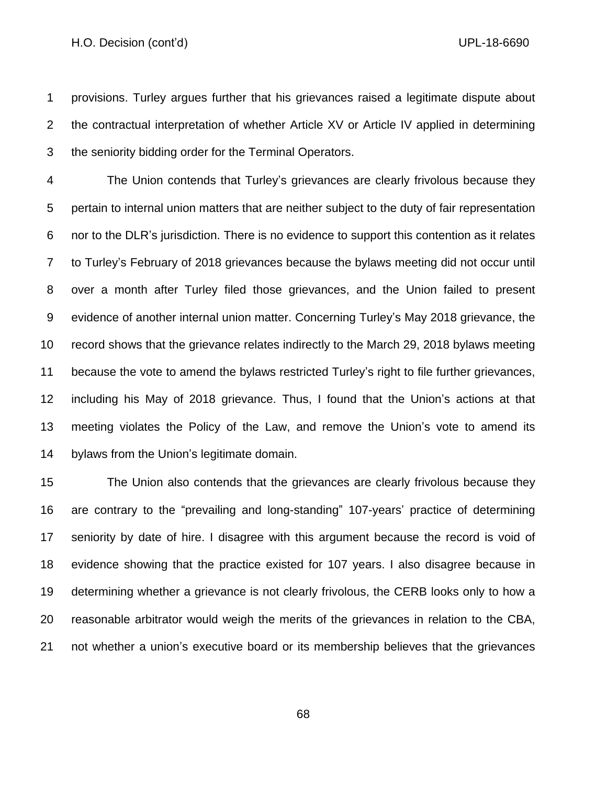provisions. Turley argues further that his grievances raised a legitimate dispute about the contractual interpretation of whether Article XV or Article IV applied in determining the seniority bidding order for the Terminal Operators.

 The Union contends that Turley's grievances are clearly frivolous because they pertain to internal union matters that are neither subject to the duty of fair representation nor to the DLR's jurisdiction. There is no evidence to support this contention as it relates to Turley's February of 2018 grievances because the bylaws meeting did not occur until over a month after Turley filed those grievances, and the Union failed to present evidence of another internal union matter. Concerning Turley's May 2018 grievance, the record shows that the grievance relates indirectly to the March 29, 2018 bylaws meeting because the vote to amend the bylaws restricted Turley's right to file further grievances, including his May of 2018 grievance. Thus, I found that the Union's actions at that meeting violates the Policy of the Law, and remove the Union's vote to amend its bylaws from the Union's legitimate domain.

 The Union also contends that the grievances are clearly frivolous because they are contrary to the "prevailing and long-standing" 107-years' practice of determining seniority by date of hire. I disagree with this argument because the record is void of evidence showing that the practice existed for 107 years. I also disagree because in determining whether a grievance is not clearly frivolous, the CERB looks only to how a reasonable arbitrator would weigh the merits of the grievances in relation to the CBA, not whether a union's executive board or its membership believes that the grievances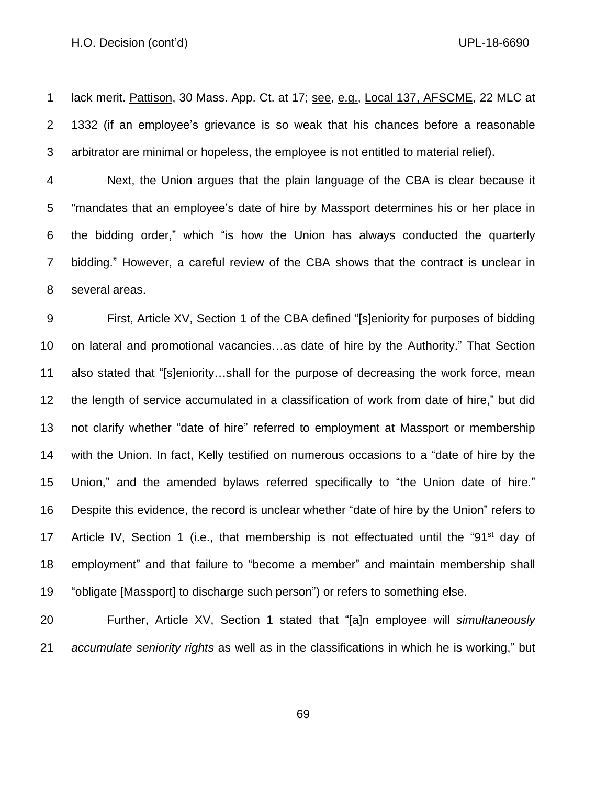1 lack merit. Pattison, 30 Mass. App. Ct. at 17; see, e.g., Local 137, AFSCME, 22 MLC at 1332 (if an employee's grievance is so weak that his chances before a reasonable arbitrator are minimal or hopeless, the employee is not entitled to material relief).

 Next, the Union argues that the plain language of the CBA is clear because it "mandates that an employee's date of hire by Massport determines his or her place in the bidding order," which "is how the Union has always conducted the quarterly bidding." However, a careful review of the CBA shows that the contract is unclear in several areas.

 First, Article XV, Section 1 of the CBA defined "[s]eniority for purposes of bidding on lateral and promotional vacancies…as date of hire by the Authority." That Section also stated that "[s]eniority…shall for the purpose of decreasing the work force, mean the length of service accumulated in a classification of work from date of hire," but did not clarify whether "date of hire" referred to employment at Massport or membership with the Union. In fact, Kelly testified on numerous occasions to a "date of hire by the Union," and the amended bylaws referred specifically to "the Union date of hire." Despite this evidence, the record is unclear whether "date of hire by the Union" refers to 17 Article IV, Section 1 (i.e., that membership is not effectuated until the "91<sup>st</sup> day of employment" and that failure to "become a member" and maintain membership shall "obligate [Massport] to discharge such person") or refers to something else.

 Further, Article XV, Section 1 stated that "[a]n employee will *simultaneously accumulate seniority rights* as well as in the classifications in which he is working," but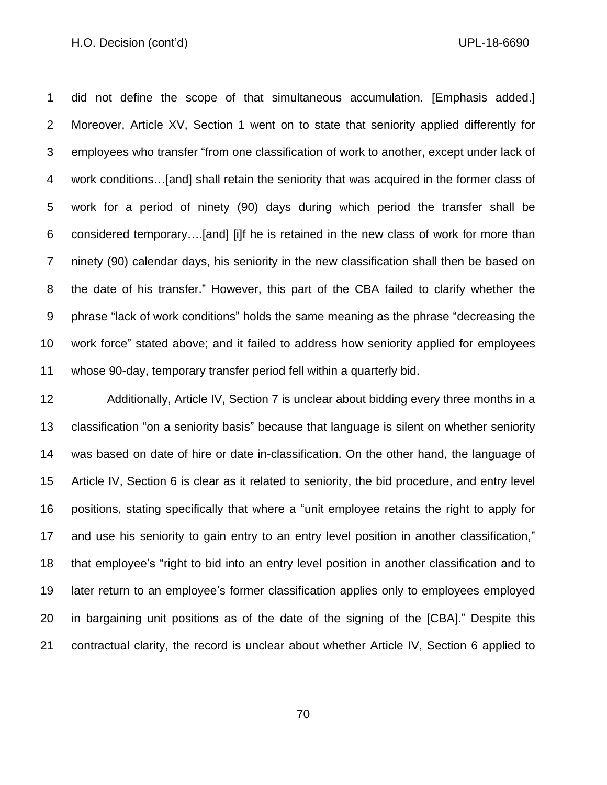did not define the scope of that simultaneous accumulation. [Emphasis added.] Moreover, Article XV, Section 1 went on to state that seniority applied differently for employees who transfer "from one classification of work to another, except under lack of work conditions…[and] shall retain the seniority that was acquired in the former class of work for a period of ninety (90) days during which period the transfer shall be considered temporary….[and] [i]f he is retained in the new class of work for more than ninety (90) calendar days, his seniority in the new classification shall then be based on the date of his transfer." However, this part of the CBA failed to clarify whether the phrase "lack of work conditions" holds the same meaning as the phrase "decreasing the work force" stated above; and it failed to address how seniority applied for employees whose 90-day, temporary transfer period fell within a quarterly bid.

 Additionally, Article IV, Section 7 is unclear about bidding every three months in a classification "on a seniority basis" because that language is silent on whether seniority was based on date of hire or date in-classification. On the other hand, the language of Article IV, Section 6 is clear as it related to seniority, the bid procedure, and entry level positions, stating specifically that where a "unit employee retains the right to apply for and use his seniority to gain entry to an entry level position in another classification," that employee's "right to bid into an entry level position in another classification and to later return to an employee's former classification applies only to employees employed in bargaining unit positions as of the date of the signing of the [CBA]." Despite this contractual clarity, the record is unclear about whether Article IV, Section 6 applied to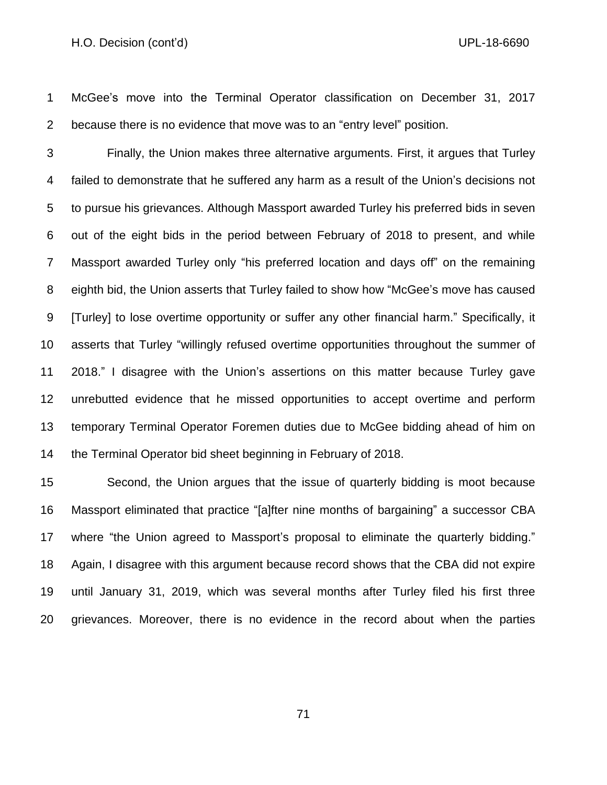McGee's move into the Terminal Operator classification on December 31, 2017 because there is no evidence that move was to an "entry level" position.

 Finally, the Union makes three alternative arguments. First, it argues that Turley failed to demonstrate that he suffered any harm as a result of the Union's decisions not to pursue his grievances. Although Massport awarded Turley his preferred bids in seven out of the eight bids in the period between February of 2018 to present, and while Massport awarded Turley only "his preferred location and days off" on the remaining eighth bid, the Union asserts that Turley failed to show how "McGee's move has caused [Turley] to lose overtime opportunity or suffer any other financial harm." Specifically, it asserts that Turley "willingly refused overtime opportunities throughout the summer of 2018." I disagree with the Union's assertions on this matter because Turley gave unrebutted evidence that he missed opportunities to accept overtime and perform temporary Terminal Operator Foremen duties due to McGee bidding ahead of him on the Terminal Operator bid sheet beginning in February of 2018.

 Second, the Union argues that the issue of quarterly bidding is moot because Massport eliminated that practice "[a]fter nine months of bargaining" a successor CBA where "the Union agreed to Massport's proposal to eliminate the quarterly bidding." Again, I disagree with this argument because record shows that the CBA did not expire until January 31, 2019, which was several months after Turley filed his first three grievances. Moreover, there is no evidence in the record about when the parties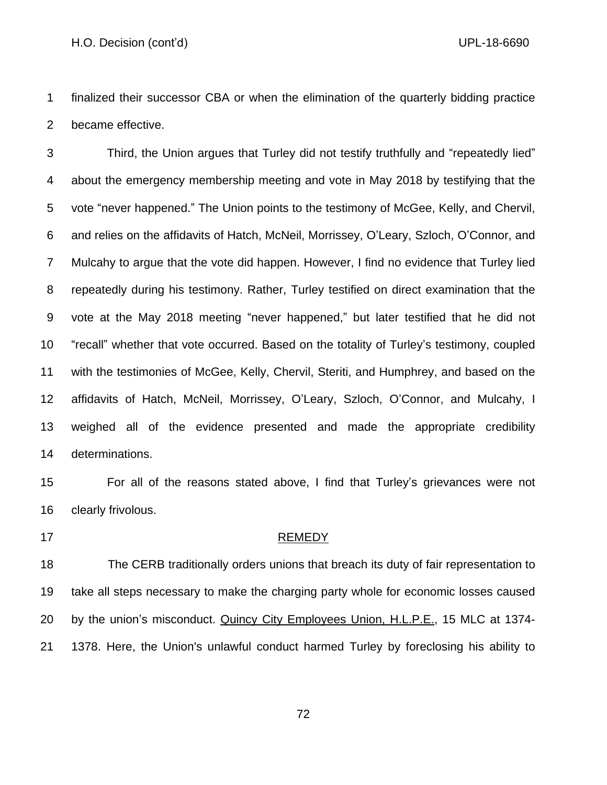finalized their successor CBA or when the elimination of the quarterly bidding practice became effective.

 Third, the Union argues that Turley did not testify truthfully and "repeatedly lied" about the emergency membership meeting and vote in May 2018 by testifying that the vote "never happened." The Union points to the testimony of McGee, Kelly, and Chervil, and relies on the affidavits of Hatch, McNeil, Morrissey, O'Leary, Szloch, O'Connor, and Mulcahy to argue that the vote did happen. However, I find no evidence that Turley lied repeatedly during his testimony. Rather, Turley testified on direct examination that the vote at the May 2018 meeting "never happened," but later testified that he did not "recall" whether that vote occurred. Based on the totality of Turley's testimony, coupled with the testimonies of McGee, Kelly, Chervil, Steriti, and Humphrey, and based on the affidavits of Hatch, McNeil, Morrissey, O'Leary, Szloch, O'Connor, and Mulcahy, I weighed all of the evidence presented and made the appropriate credibility determinations.

 For all of the reasons stated above, I find that Turley's grievances were not clearly frivolous.

#### 17 REMEDY

 The CERB traditionally orders unions that breach its duty of fair representation to take all steps necessary to make the charging party whole for economic losses caused by the union's misconduct. Quincy City Employees Union, H.L.P.E., 15 MLC at 1374- 1378. Here, the Union's unlawful conduct harmed Turley by foreclosing his ability to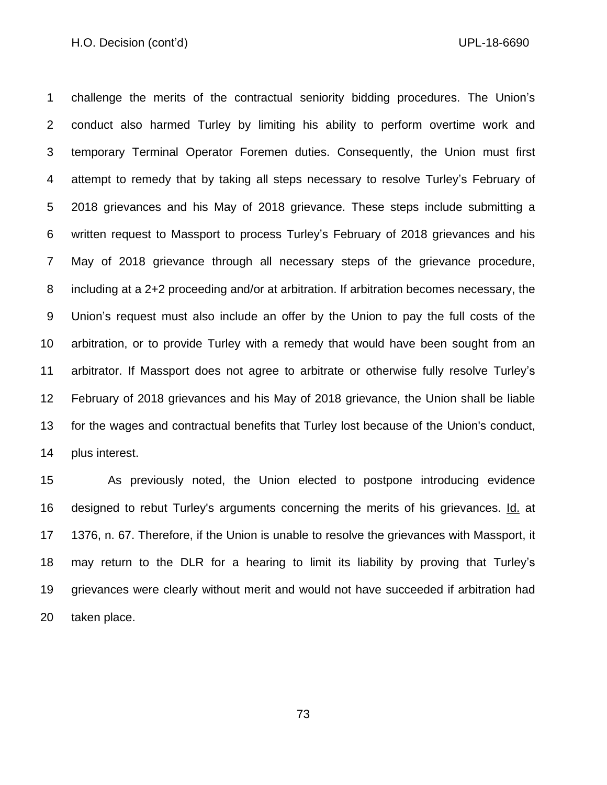challenge the merits of the contractual seniority bidding procedures. The Union's conduct also harmed Turley by limiting his ability to perform overtime work and temporary Terminal Operator Foremen duties. Consequently, the Union must first attempt to remedy that by taking all steps necessary to resolve Turley's February of 2018 grievances and his May of 2018 grievance. These steps include submitting a written request to Massport to process Turley's February of 2018 grievances and his May of 2018 grievance through all necessary steps of the grievance procedure, including at a 2+2 proceeding and/or at arbitration. If arbitration becomes necessary, the Union's request must also include an offer by the Union to pay the full costs of the arbitration, or to provide Turley with a remedy that would have been sought from an arbitrator. If Massport does not agree to arbitrate or otherwise fully resolve Turley's February of 2018 grievances and his May of 2018 grievance, the Union shall be liable for the wages and contractual benefits that Turley lost because of the Union's conduct, plus interest.

 As previously noted, the Union elected to postpone introducing evidence designed to rebut Turley's arguments concerning the merits of his grievances. Id. at 1376, n. 67. Therefore, if the Union is unable to resolve the grievances with Massport, it may return to the DLR for a hearing to limit its liability by proving that Turley's grievances were clearly without merit and would not have succeeded if arbitration had taken place.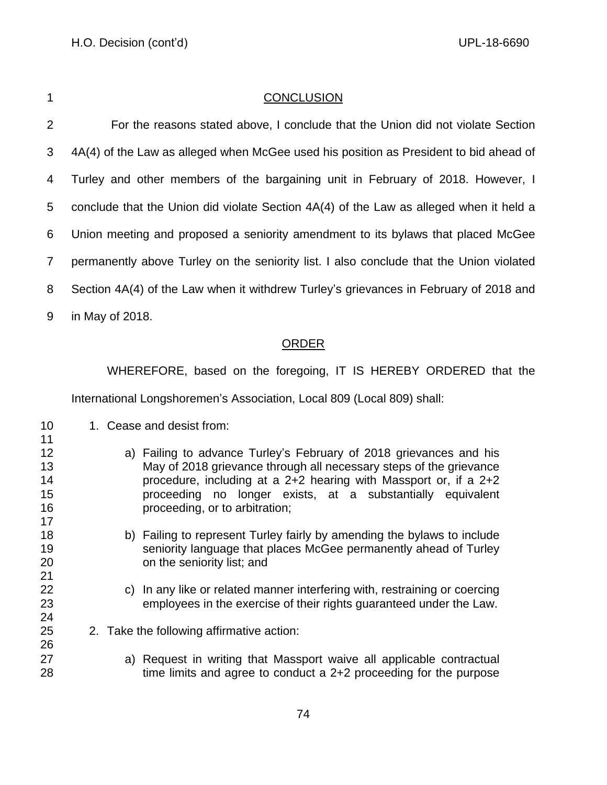| ٦<br>٧ |  |
|--------|--|
|        |  |
|        |  |
|        |  |

## **CONCLUSION**

2 For the reasons stated above, I conclude that the Union did not violate Section 4A(4) of the Law as alleged when McGee used his position as President to bid ahead of Turley and other members of the bargaining unit in February of 2018. However, I conclude that the Union did violate Section 4A(4) of the Law as alleged when it held a Union meeting and proposed a seniority amendment to its bylaws that placed McGee permanently above Turley on the seniority list. I also conclude that the Union violated Section 4A(4) of the Law when it withdrew Turley's grievances in February of 2018 and

in May of 2018.

### ORDER

WHEREFORE, based on the foregoing, IT IS HEREBY ORDERED that the

International Longshoremen's Association, Local 809 (Local 809) shall:

- 10 1. Cease and desist from:
- a) Failing to advance Turley's February of 2018 grievances and his May of 2018 grievance through all necessary steps of the grievance procedure, including at a 2+2 hearing with Massport or, if a 2+2 proceeding no longer exists, at a substantially equivalent **proceeding**, or to arbitration; b) Failing to represent Turley fairly by amending the bylaws to include seniority language that places McGee permanently ahead of Turley on the seniority list; and c) In any like or related manner interfering with, restraining or coercing employees in the exercise of their rights guaranteed under the Law. 2. Take the following affirmative action: a) Request in writing that Massport waive all applicable contractual time limits and agree to conduct a 2+2 proceeding for the purpose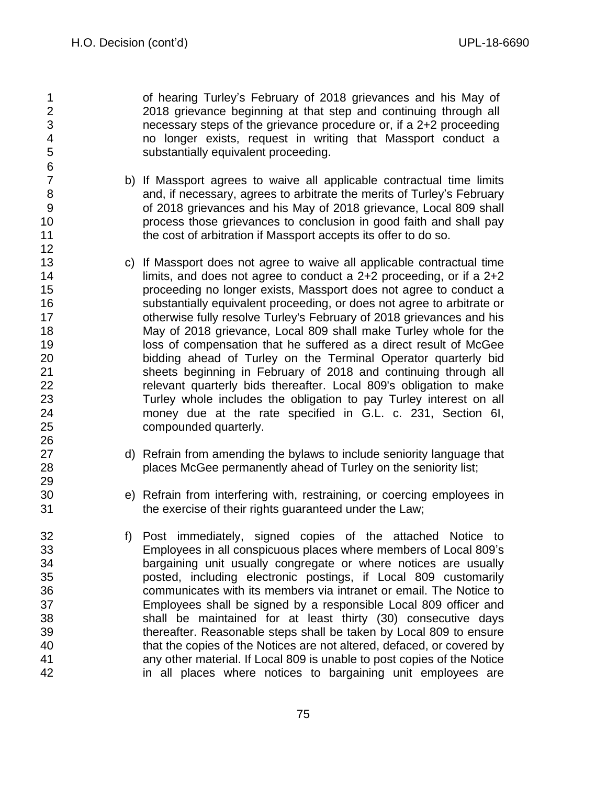of hearing Turley's February of 2018 grievances and his May of 2018 grievance beginning at that step and continuing through all necessary steps of the grievance procedure or, if a 2+2 proceeding no longer exists, request in writing that Massport conduct a substantially equivalent proceeding.

- b) If Massport agrees to waive all applicable contractual time limits and, if necessary, agrees to arbitrate the merits of Turley's February of 2018 grievances and his May of 2018 grievance, Local 809 shall process those grievances to conclusion in good faith and shall pay **the cost of arbitration if Massport accepts its offer to do so.**
- c) If Massport does not agree to waive all applicable contractual time **I** limits, and does not agree to conduct a 2+2 proceeding, or if a 2+2 proceeding no longer exists, Massport does not agree to conduct a substantially equivalent proceeding, or does not agree to arbitrate or otherwise fully resolve Turley's February of 2018 grievances and his May of 2018 grievance, Local 809 shall make Turley whole for the loss of compensation that he suffered as a direct result of McGee bidding ahead of Turley on the Terminal Operator quarterly bid sheets beginning in February of 2018 and continuing through all relevant quarterly bids thereafter. Local 809's obligation to make Turley whole includes the obligation to pay Turley interest on all money due at the rate specified in G.L. c. 231, Section 6I, compounded quarterly.
- 27 d) Refrain from amending the bylaws to include seniority language that places McGee permanently ahead of Turley on the seniority list;
- e) Refrain from interfering with, restraining, or coercing employees in the exercise of their rights guaranteed under the Law;
- f) Post immediately, signed copies of the attached Notice to Employees in all conspicuous places where members of Local 809's bargaining unit usually congregate or where notices are usually posted, including electronic postings, if Local 809 customarily communicates with its members via intranet or email. The Notice to Employees shall be signed by a responsible Local 809 officer and shall be maintained for at least thirty (30) consecutive days thereafter. Reasonable steps shall be taken by Local 809 to ensure that the copies of the Notices are not altered, defaced, or covered by any other material. If Local 809 is unable to post copies of the Notice in all places where notices to bargaining unit employees are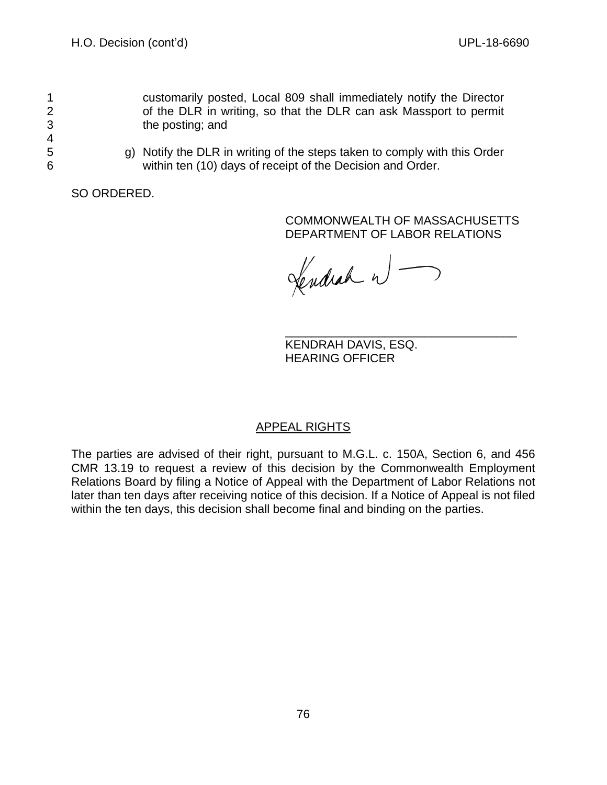4

1 customarily posted, Local 809 shall immediately notify the Director 2 of the DLR in writing, so that the DLR can ask Massport to permit 3 the posting; and

5 g) Notify the DLR in writing of the steps taken to comply with this Order 6 within ten (10) days of receipt of the Decision and Order.

SO ORDERED.

## COMMONWEALTH OF MASSACHUSETTS DEPARTMENT OF LABOR RELATIONS

Lendrah w -

\_\_\_\_\_\_\_\_\_\_\_\_\_\_\_\_\_\_\_\_\_\_\_\_\_\_\_\_\_\_\_\_\_\_\_ KENDRAH DAVIS, ESQ. HEARING OFFICER

# APPEAL RIGHTS

The parties are advised of their right, pursuant to M.G.L. c. 150A, Section 6, and 456 CMR 13.19 to request a review of this decision by the Commonwealth Employment Relations Board by filing a Notice of Appeal with the Department of Labor Relations not later than ten days after receiving notice of this decision. If a Notice of Appeal is not filed within the ten days, this decision shall become final and binding on the parties.